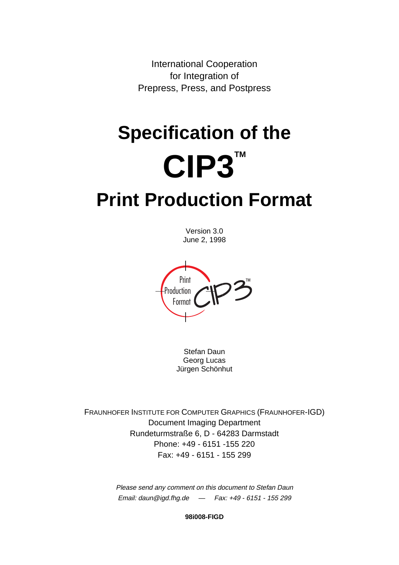International Cooperation for Integration of Prepress, Press, and Postpress

# **Specification of the CIP3™ Print Production Format**

Version 3.0 June 2, 1998

Format Production Print

Stefan Daun Georg Lucas Jürgen Schönhut

FRAUNHOFER INSTITUTE FOR COMPUTER GRAPHICS (FRAUNHOFER-IGD) Document Imaging Department Rundeturmstraße 6, D - 64283 Darmstadt Phone: +49 - 6151 -155 220 Fax: +49 - 6151 - 155 299

> Please send any comment on this document to Stefan Daun Email: daun@igd.fhg.de — Fax: +49 - 6151 - 155 299

> > **98i008-FIGD**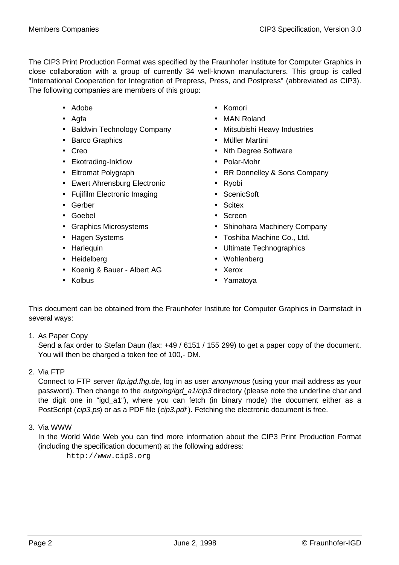The CIP3 Print Production Format was specified by the Fraunhofer Institute for Computer Graphics in close collaboration with a group of currently 34 well-known manufacturers. This group is called "International Cooperation for Integration of Prepress, Press, and Postpress" (abbreviated as CIP3). The following companies are members of this group:

- Adobe
- Agfa
- Baldwin Technology Company
- Barco Graphics
- Creo
- Ekotrading-Inkflow
- Eltromat Polygraph
- Ewert Ahrensburg Electronic
- Fujifilm Electronic Imaging
- Gerber
- Goebel
- Graphics Microsystems
- Hagen Systems
- Harlequin
- Heidelberg
- Koenig & Bauer Albert AG
- Kolbus
- Komori
- MAN Roland
- Mitsubishi Heavy Industries
- Müller Martini
- Nth Degree Software
- Polar-Mohr
- RR Donnelley & Sons Company
- Ryobi
- ScenicSoft
- Scitex
- Screen
- Shinohara Machinery Company
- Toshiba Machine Co., Ltd.
- Ultimate Technographics
- Wohlenberg
- Xerox
- Yamatoya

This document can be obtained from the Fraunhofer Institute for Computer Graphics in Darmstadt in several ways:

1. As Paper Copy

Send a fax order to Stefan Daun (fax: +49 / 6151 / 155 299) to get a paper copy of the document. You will then be charged a token fee of 100,- DM.

2. Via FTP

Connect to FTP server *ftp.igd.fhg.de*, log in as user *anonymous* (using your mail address as your password). Then change to the *outgoing/igd\_a1/cip3* directory (please note the underline char and the digit one in "igd\_a1"), where you can fetch (in binary mode) the document either as a PostScript (cip3.ps) or as a PDF file (cip3.pdf). Fetching the electronic document is free.

3. Via WWW

In the World Wide Web you can find more information about the CIP3 Print Production Format (including the specification document) at the following address:

http://www.cip3.org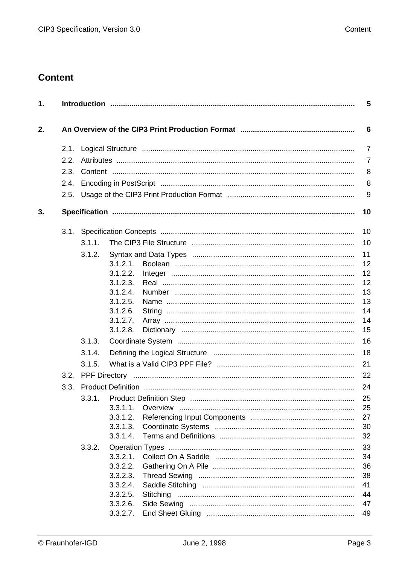# **Content**

| 1. |      |        |                      | 5               |
|----|------|--------|----------------------|-----------------|
| 2. |      |        |                      | $6\phantom{1}6$ |
|    | 2.1. |        |                      | $\overline{7}$  |
|    | 2.2. |        |                      | $\overline{7}$  |
|    | 2.3. |        |                      | 8               |
|    | 2.4. |        |                      | 8               |
|    | 2.5. |        |                      | 9               |
| 3. |      |        |                      | 10              |
|    | 3.1. |        |                      | 10              |
|    |      | 3.1.1. |                      | 10              |
|    |      | 3.1.2. |                      | 11              |
|    |      |        | 3.1.2.1.             | 12              |
|    |      |        | 3.1.2.2.             | 12              |
|    |      |        | 3.1.2.3.<br>3.1.2.4. | 12<br>13        |
|    |      |        | 3.1.2.5.             | 13              |
|    |      |        | 3.1.2.6.             | 14              |
|    |      |        | 3.1.2.7.             | 14              |
|    |      |        | 3.1.2.8.             | 15              |
|    |      | 3.1.3. |                      | 16              |
|    |      | 3.1.4. |                      | 18              |
|    |      | 3.1.5. |                      | 21              |
|    | 3.2. |        |                      | 22              |
|    | 3.3. |        |                      | 24              |
|    |      |        |                      | 25              |
|    |      |        | 3.3.1.1.             | 25              |
|    |      |        | 3.3.1.2.             | 27              |
|    |      |        | 3.3.1.3.             | 30              |
|    |      |        | 3.3.1.4.             | 32              |
|    |      | 3.3.2. |                      | 33              |
|    |      |        | 3.3.2.1.             | 34              |
|    |      |        | 3.3.2.2.             | 36              |
|    |      |        | 3.3.2.3.             | 38              |
|    |      |        | 3.3.2.4.             | 41              |
|    |      |        | 3.3.2.5.             | 44<br>47        |
|    |      |        | 3.3.2.6.<br>3.3.2.7. | 49              |
|    |      |        |                      |                 |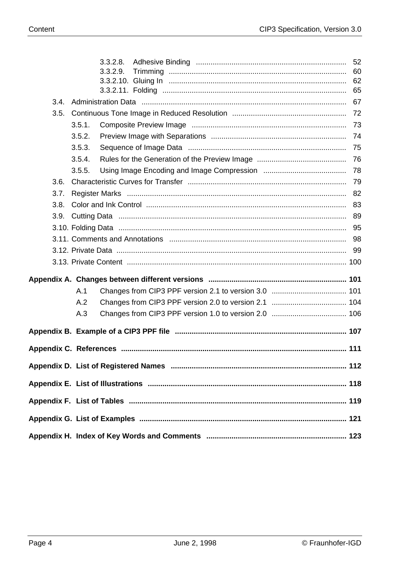|      |        | 3.3.2.8. | 52   |
|------|--------|----------|------|
|      |        | 3.3.2.9. | 60   |
|      |        |          |      |
|      |        |          |      |
| 3.4. |        |          |      |
| 3.5. |        |          | - 72 |
|      | 3.5.1. |          |      |
|      | 3.5.2. |          |      |
|      | 3.5.3. |          |      |
|      | 3.5.4. |          |      |
|      | 3.5.5. |          |      |
| 3.6. |        |          |      |
| 3.7. |        |          |      |
| 3.8. |        |          |      |
| 3.9. |        |          |      |
|      |        |          |      |
|      |        |          |      |
|      |        |          |      |
|      |        |          |      |
|      |        |          |      |
|      |        |          |      |
|      | A.1    |          |      |
|      | A.2    |          |      |
|      | A.3    |          |      |
|      |        |          |      |
|      |        |          |      |
|      |        |          |      |
|      |        |          |      |
|      |        |          |      |
|      |        |          |      |
|      |        |          |      |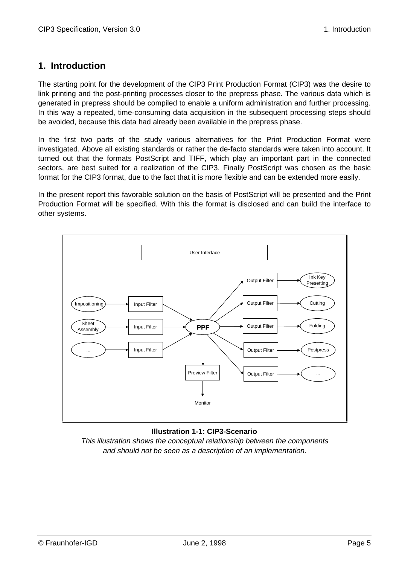# **1. Introduction**

The starting point for the development of the CIP3 Print Production Format (CIP3) was the desire to link printing and the post-printing processes closer to the prepress phase. The various data which is generated in prepress should be compiled to enable a uniform administration and further processing. In this way a repeated, time-consuming data acquisition in the subsequent processing steps should be avoided, because this data had already been available in the prepress phase.

In the first two parts of the study various alternatives for the Print Production Format were investigated. Above all existing standards or rather the de-facto standards were taken into account. It turned out that the formats PostScript and TIFF, which play an important part in the connected sectors, are best suited for a realization of the CIP3. Finally PostScript was chosen as the basic format for the CIP3 format, due to the fact that it is more flexible and can be extended more easily.

In the present report this favorable solution on the basis of PostScript will be presented and the Print Production Format will be specified. With this the format is disclosed and can build the interface to other systems.



# **Illustration 1-1: CIP3-Scenario**

This illustration shows the conceptual relationship between the components and should not be seen as a description of an implementation.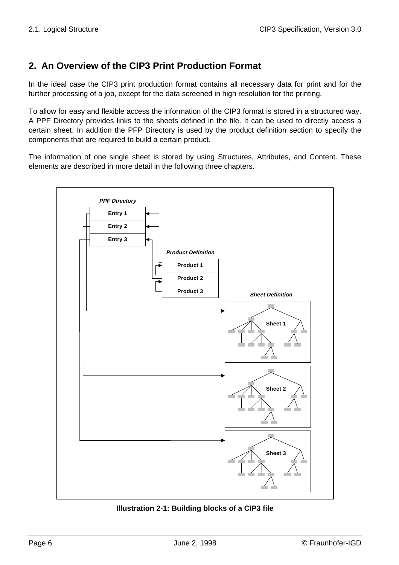# **2. An Overview of the CIP3 Print Production Format**

In the ideal case the CIP3 print production format contains all necessary data for print and for the further processing of a job, except for the data screened in high resolution for the printing.

To allow for easy and flexible access the information of the CIP3 format is stored in a structured way. A PPF Directory provides links to the sheets defined in the file. It can be used to directly access a certain sheet. In addition the PFP Directory is used by the product definition section to specify the components that are required to build a certain product.

The information of one single sheet is stored by using Structures, Attributes, and Content. These elements are described in more detail in the following three chapters.



**Illustration 2-1: Building blocks of a CIP3 file**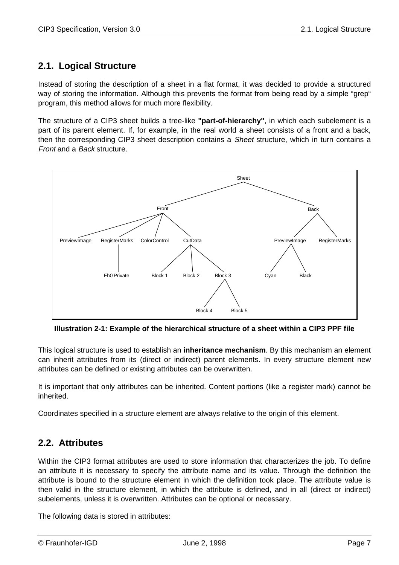# **2.1. Logical Structure**

Instead of storing the description of a sheet in a flat format, it was decided to provide a structured way of storing the information. Although this prevents the format from being read by a simple "grep" program, this method allows for much more flexibility.

The structure of a CIP3 sheet builds a tree-like **"part-of-hierarchy"**, in which each subelement is a part of its parent element. If, for example, in the real world a sheet consists of a front and a back, then the corresponding CIP3 sheet description contains a *Sheet* structure, which in turn contains a Front and a Back structure.



**Illustration 2-1: Example of the hierarchical structure of a sheet within a CIP3 PPF file**

This logical structure is used to establish an **inheritance mechanism**. By this mechanism an element can inherit attributes from its (direct or indirect) parent elements. In every structure element new attributes can be defined or existing attributes can be overwritten.

It is important that only attributes can be inherited. Content portions (like a register mark) cannot be inherited.

Coordinates specified in a structure element are always relative to the origin of this element.

# **2.2. Attributes**

Within the CIP3 format attributes are used to store information that characterizes the job. To define an attribute it is necessary to specify the attribute name and its value. Through the definition the attribute is bound to the structure element in which the definition took place. The attribute value is then valid in the structure element, in which the attribute is defined, and in all (direct or indirect) subelements, unless it is overwritten. Attributes can be optional or necessary.

The following data is stored in attributes: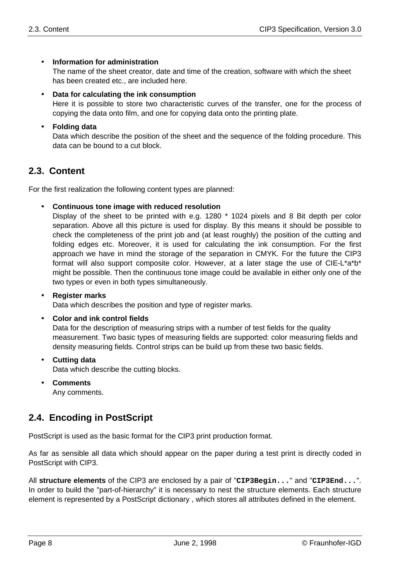# • **Information for administration**

The name of the sheet creator, date and time of the creation, software with which the sheet has been created etc., are included here.

• **Data for calculating the ink consumption**

Here it is possible to store two characteristic curves of the transfer, one for the process of copying the data onto film, and one for copying data onto the printing plate.

## • **Folding data**

Data which describe the position of the sheet and the sequence of the folding procedure. This data can be bound to a cut block.

# **2.3. Content**

For the first realization the following content types are planned:

#### • **Continuous tone image with reduced resolution**

Display of the sheet to be printed with e.g. 1280 \* 1024 pixels and 8 Bit depth per color separation. Above all this picture is used for display. By this means it should be possible to check the completeness of the print job and (at least roughly) the position of the cutting and folding edges etc. Moreover, it is used for calculating the ink consumption. For the first approach we have in mind the storage of the separation in CMYK. For the future the CIP3 format will also support composite color. However, at a later stage the use of CIE-L\*a\*b\* might be possible. Then the continuous tone image could be available in either only one of the two types or even in both types simultaneously.

## • **Register marks**

Data which describes the position and type of register marks.

#### • **Color and ink control fields**

Data for the description of measuring strips with a number of test fields for the quality measurement. Two basic types of measuring fields are supported: color measuring fields and density measuring fields. Control strips can be build up from these two basic fields.

- **Cutting data** Data which describe the cutting blocks.
- **Comments**

Any comments.

# **2.4. Encoding in PostScript**

PostScript is used as the basic format for the CIP3 print production format.

As far as sensible all data which should appear on the paper during a test print is directly coded in PostScript with CIP3.

All **structure elements** of the CIP3 are enclosed by a pair of "**CIP3Begin...**" and "**CIP3End...**". In order to build the "part-of-hierarchy" it is necessary to nest the structure elements. Each structure element is represented by a PostScript dictionary , which stores all attributes defined in the element.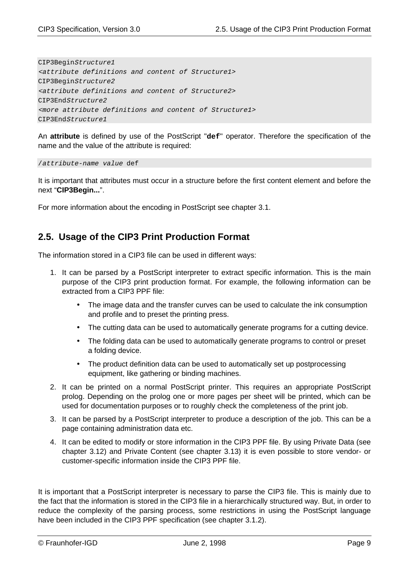CIP3BeginStructure1 <attribute definitions and content of Structure1> CIP3BeginStructure2 <attribute definitions and content of Structure2> CIP3EndStructure2 <more attribute definitions and content of Structure1> CIP3EndStructure1

An **attribute** is defined by use of the PostScript "**def**" operator. Therefore the specification of the name and the value of the attribute is required:

/attribute-name value def

It is important that attributes must occur in a structure before the first content element and before the next "**CIP3Begin...**".

For more information about the encoding in PostScript see chapter 3.1.

# **2.5. Usage of the CIP3 Print Production Format**

The information stored in a CIP3 file can be used in different ways:

- 1. It can be parsed by a PostScript interpreter to extract specific information. This is the main purpose of the CIP3 print production format. For example, the following information can be extracted from a CIP3 PPF file:
	- The image data and the transfer curves can be used to calculate the ink consumption and profile and to preset the printing press.
	- The cutting data can be used to automatically generate programs for a cutting device.
	- The folding data can be used to automatically generate programs to control or preset a folding device.
	- The product definition data can be used to automatically set up postprocessing equipment, like gathering or binding machines.
- 2. It can be printed on a normal PostScript printer. This requires an appropriate PostScript prolog. Depending on the prolog one or more pages per sheet will be printed, which can be used for documentation purposes or to roughly check the completeness of the print job.
- 3. It can be parsed by a PostScript interpreter to produce a description of the job. This can be a page containing administration data etc.
- 4. It can be edited to modify or store information in the CIP3 PPF file. By using Private Data (see chapter 3.12) and Private Content (see chapter 3.13) it is even possible to store vendor- or customer-specific information inside the CIP3 PPF file.

It is important that a PostScript interpreter is necessary to parse the CIP3 file. This is mainly due to the fact that the information is stored in the CIP3 file in a hierarchically structured way. But, in order to reduce the complexity of the parsing process, some restrictions in using the PostScript language have been included in the CIP3 PPF specification (see chapter 3.1.2).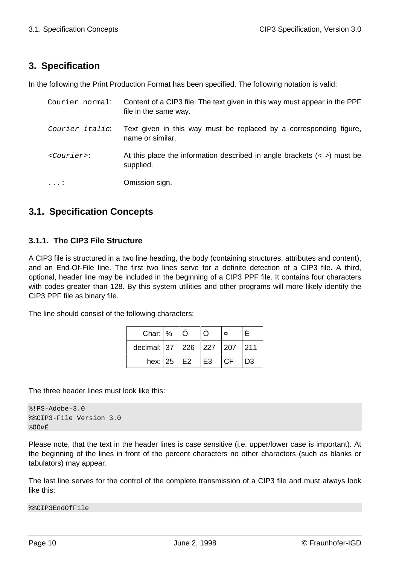# **3. Specification**

In the following the Print Production Format has been specified. The following notation is valid:

| Courier normal:       | Content of a CIP3 file. The text given in this way must appear in the PPF<br>file in the same way. |
|-----------------------|----------------------------------------------------------------------------------------------------|
| Courier italic:       | Text given in this way must be replaced by a corresponding figure,<br>name or similar.             |
| $<$ <i>Courier</i> >: | At this place the information described in angle brackets $(<)$ must be<br>supplied.               |
| $\ldots$ :            | Omission sign.                                                                                     |

# **3.1. Specification Concepts**

# **3.1.1. The CIP3 File Structure**

A CIP3 file is structured in a two line heading, the body (containing structures, attributes and content), and an End-Of-File line. The first two lines serve for a definite detection of a CIP3 file. A third, optional, header line may be included in the beginning of a CIP3 PPF file. It contains four characters with codes greater than 128. By this system utilities and other programs will more likely identify the CIP3 PPF file as binary file.

The line should consist of the following characters:

| Char: $\frac{9}{6}$     |  |    |     |                |
|-------------------------|--|----|-----|----------------|
| decimal: 37 226 227 207 |  |    |     | 1211           |
| hex: $25$ $E2$          |  | E3 | C.F | D <sub>3</sub> |

The three header lines must look like this:

```
%PPS-Adobe-3.0%%CIP3-File Version 3.0
%ÔÒ¤Ë
```
Please note, that the text in the header lines is case sensitive (i.e. upper/lower case is important). At the beginning of the lines in front of the percent characters no other characters (such as blanks or tabulators) may appear.

The last line serves for the control of the complete transmission of a CIP3 file and must always look like this:

```
%%CIP3EndOfFile
```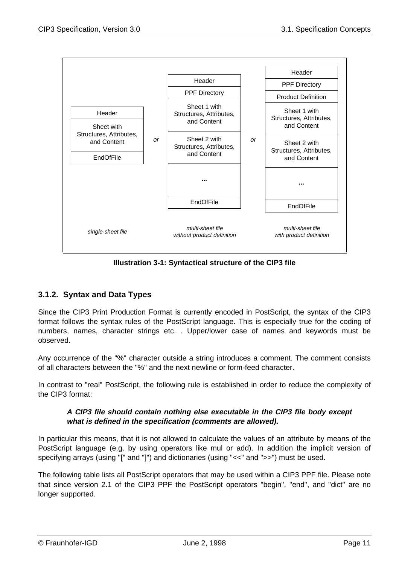

**Illustration 3-1: Syntactical structure of the CIP3 file**

# **3.1.2. Syntax and Data Types**

Since the CIP3 Print Production Format is currently encoded in PostScript, the syntax of the CIP3 format follows the syntax rules of the PostScript language. This is especially true for the coding of numbers, names, character strings etc. . Upper/lower case of names and keywords must be observed.

Any occurrence of the "%" character outside a string introduces a comment. The comment consists of all characters between the "%" and the next newline or form-feed character.

In contrast to "real" PostScript, the following rule is established in order to reduce the complexity of the CIP3 format:

## **A CIP3 file should contain nothing else executable in the CIP3 file body except what is defined in the specification (comments are allowed).**

In particular this means, that it is not allowed to calculate the values of an attribute by means of the PostScript language (e.g. by using operators like mul or add). In addition the implicit version of specifying arrays (using "[" and "]") and dictionaries (using "<<" and ">>") must be used.

The following table lists all PostScript operators that may be used within a CIP3 PPF file. Please note that since version 2.1 of the CIP3 PPF the PostScript operators "begin", "end", and "dict" are no longer supported.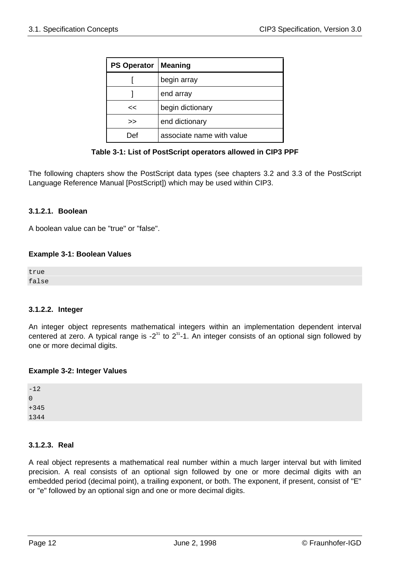| <b>PS Operator</b> | <b>Meaning</b>            |  |
|--------------------|---------------------------|--|
|                    | begin array               |  |
|                    | end array                 |  |
| <<                 | begin dictionary          |  |
| >                  | end dictionary            |  |
|                    | associate name with value |  |



The following chapters show the PostScript data types (see chapters 3.2 and 3.3 of the PostScript Language Reference Manual [PostScript]) which may be used within CIP3.

## **3.1.2.1. Boolean**

A boolean value can be "true" or "false".

## **Example 3-1: Boolean Values**

true false

## **3.1.2.2. Integer**

An integer object represents mathematical integers within an implementation dependent interval centered at zero. A typical range is -2 $31$  to  $231$ -1. An integer consists of an optional sign followed by one or more decimal digits.

## **Example 3-2: Integer Values**

| $\mathbf 0$ |
|-------------|
|             |
| $+345$      |
| 1344        |

# **3.1.2.3. Real**

A real object represents a mathematical real number within a much larger interval but with limited precision. A real consists of an optional sign followed by one or more decimal digits with an embedded period (decimal point), a trailing exponent, or both. The exponent, if present, consist of "E" or "e" followed by an optional sign and one or more decimal digits.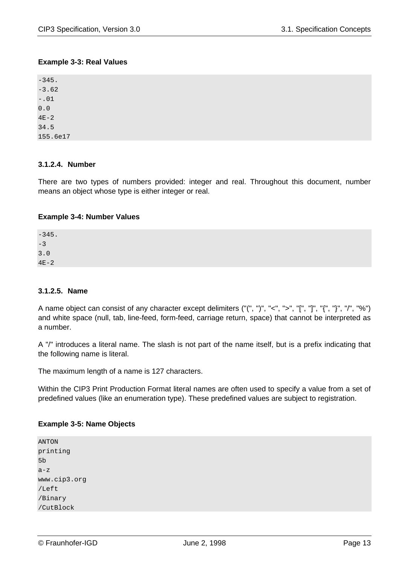# **Example 3-3: Real Values**

 $-345$ -3.62 -.01 0.0  $4E-2$ 34.5 155.6e17

# **3.1.2.4. Number**

There are two types of numbers provided: integer and real. Throughout this document, number means an object whose type is either integer or real.

# **Example 3-4: Number Values**

-345.  $-3$ 3.0  $4E-2$ 

## **3.1.2.5. Name**

A name object can consist of any character except delimiters ("(", ")", "<", ">", "[", "]", "{", "}", "/", "%") and white space (null, tab, line-feed, form-feed, carriage return, space) that cannot be interpreted as a number.

A "/" introduces a literal name. The slash is not part of the name itself, but is a prefix indicating that the following name is literal.

The maximum length of a name is 127 characters.

Within the CIP3 Print Production Format literal names are often used to specify a value from a set of predefined values (like an enumeration type). These predefined values are subject to registration.

## **Example 3-5: Name Objects**

ANTON printing 5b  $a-z$ www.cip3.org /Left /Binary /CutBlock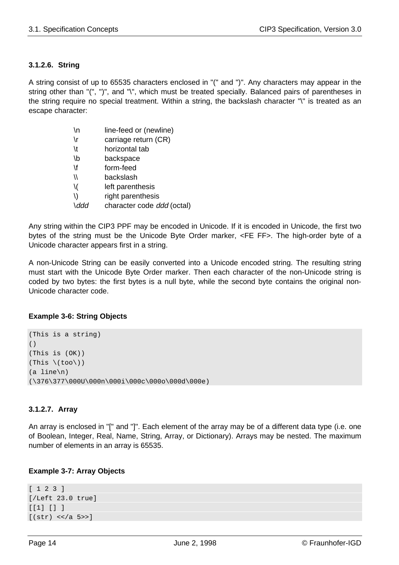# **3.1.2.6. String**

A string consist of up to 65535 characters enclosed in "(" and ")". Any characters may appear in the string other than "(", ")", and "\", which must be treated specially. Balanced pairs of parentheses in the string require no special treatment. Within a string, the backslash character "\" is treated as an escape character:

| ۱n | line-feed or (newline)     |
|----|----------------------------|
| ۱r | carriage return (CR)       |
| \t | horizontal tab             |
| \b | backspace                  |
| ۱f | form-feed                  |
| Л  | backslash                  |
| V  | left parenthesis           |
| /) | right parenthesis          |
|    | character code ddd (octal) |

Any string within the CIP3 PPF may be encoded in Unicode. If it is encoded in Unicode, the first two bytes of the string must be the Unicode Byte Order marker, <FE FF>. The high-order byte of a Unicode character appears first in a string.

A non-Unicode String can be easily converted into a Unicode encoded string. The resulting string must start with the Unicode Byte Order marker. Then each character of the non-Unicode string is coded by two bytes: the first bytes is a null byte, while the second byte contains the original non-Unicode character code.

## **Example 3-6: String Objects**

```
(This is a string)
()
(This is (OK))
(\text{This } \setminus (\text{too} \setminus))(a line\n)
(\376\377\000U\000n\000i\000c\000o\000d\000e)
```
# **3.1.2.7. Array**

An array is enclosed in "[" and "]". Each element of the array may be of a different data type (i.e. one of Boolean, Integer, Real, Name, String, Array, or Dictionary). Arrays may be nested. The maximum number of elements in an array is 65535.

## **Example 3-7: Array Objects**

```
[ 1 2 3 ]
[/Left 23.0 true]
[1] [1][(str) <</a 5>>]
```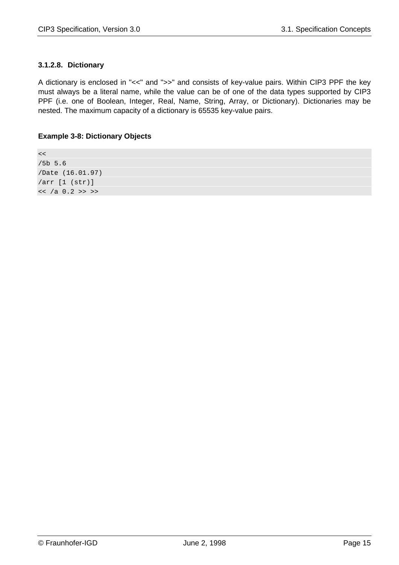# **3.1.2.8. Dictionary**

A dictionary is enclosed in "<<" and ">>" and consists of key-value pairs. Within CIP3 PPF the key must always be a literal name, while the value can be of one of the data types supported by CIP3 PPF (i.e. one of Boolean, Integer, Real, Name, String, Array, or Dictionary). Dictionaries may be nested. The maximum capacity of a dictionary is 65535 key-value pairs.

## **Example 3-8: Dictionary Objects**

 $<<$ /5b 5.6 /Date (16.01.97) /arr [1 (str)]  $<<$  /a 0.2 >> >>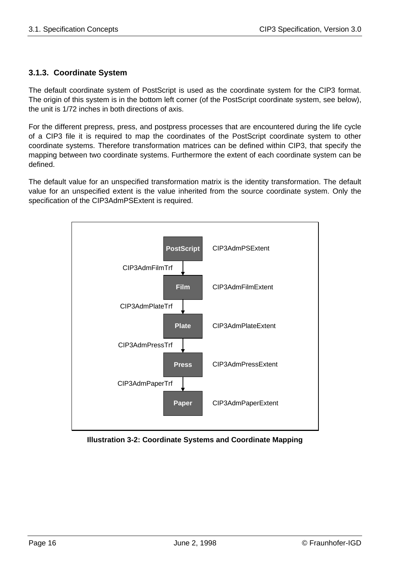# **3.1.3. Coordinate System**

The default coordinate system of PostScript is used as the coordinate system for the CIP3 format. The origin of this system is in the bottom left corner (of the PostScript coordinate system, see below). the unit is 1/72 inches in both directions of axis.

For the different prepress, press, and postpress processes that are encountered during the life cycle of a CIP3 file it is required to map the coordinates of the PostScript coordinate system to other coordinate systems. Therefore transformation matrices can be defined within CIP3, that specify the mapping between two coordinate systems. Furthermore the extent of each coordinate system can be defined.

The default value for an unspecified transformation matrix is the identity transformation. The default value for an unspecified extent is the value inherited from the source coordinate system. Only the specification of the CIP3AdmPSExtent is required.



**Illustration 3-2: Coordinate Systems and Coordinate Mapping**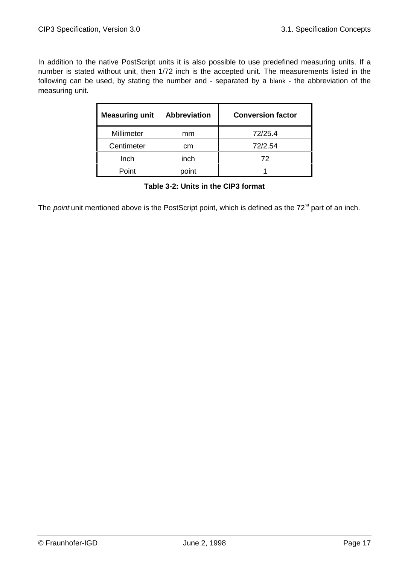In addition to the native PostScript units it is also possible to use predefined measuring units. If a number is stated without unit, then 1/72 inch is the accepted unit. The measurements listed in the following can be used, by stating the number and - separated by a blank - the abbreviation of the measuring unit.

| <b>Measuring unit</b> | <b>Abbreviation</b> | <b>Conversion factor</b> |  |
|-----------------------|---------------------|--------------------------|--|
| Millimeter            | mm                  | 72/25.4                  |  |
| Centimeter            | cm                  | 72/2.54                  |  |
| Inch                  | inch                | 72                       |  |
| Point                 | point               |                          |  |

**Table 3-2: Units in the CIP3 format**

The *point* unit mentioned above is the PostScript point, which is defined as the  $72<sup>nd</sup>$  part of an inch.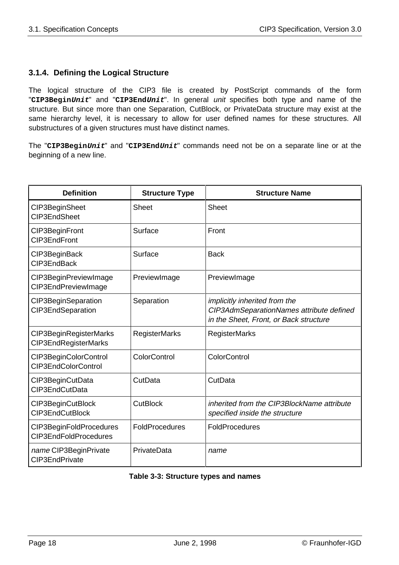# **3.1.4. Defining the Logical Structure**

The logical structure of the CIP3 file is created by PostScript commands of the form "**CIP3BeginUnit**" and "**CIP3EndUnit**". In general unit specifies both type and name of the structure. But since more than one Separation, CutBlock, or PrivateData structure may exist at the same hierarchy level, it is necessary to allow for user defined names for these structures. All substructures of a given structures must have distinct names.

The "**CIP3BeginUnit**" and "**CIP3EndUnit**" commands need not be on a separate line or at the beginning of a new line.

| <b>Definition</b>                                | <b>Structure Type</b> | <b>Structure Name</b>                                                                                               |
|--------------------------------------------------|-----------------------|---------------------------------------------------------------------------------------------------------------------|
| CIP3BeginSheet<br>CIP3EndSheet                   | <b>Sheet</b>          | <b>Sheet</b>                                                                                                        |
| CIP3BeginFront<br>CIP3EndFront                   | Surface               | Front                                                                                                               |
| CIP3BeginBack<br>CIP3EndBack                     | Surface               | <b>Back</b>                                                                                                         |
| CIP3BeginPreviewImage<br>CIP3EndPreviewImage     | PreviewImage          | PreviewImage                                                                                                        |
| CIP3BeginSeparation<br>CIP3EndSeparation         | Separation            | implicitly inherited from the<br>CIP3AdmSeparationNames attribute defined<br>in the Sheet, Front, or Back structure |
| CIP3BeginRegisterMarks<br>CIP3EndRegisterMarks   | <b>RegisterMarks</b>  | <b>RegisterMarks</b>                                                                                                |
| CIP3BeginColorControl<br>CIP3EndColorControl     | <b>ColorControl</b>   | <b>ColorControl</b>                                                                                                 |
| CIP3BeginCutData<br>CIP3EndCutData               | CutData               | CutData                                                                                                             |
| CIP3BeginCutBlock<br>CIP3EndCutBlock             | <b>CutBlock</b>       | inherited from the CIP3BlockName attribute<br>specified inside the structure                                        |
| CIP3BeginFoldProcedures<br>CIP3EndFoldProcedures | FoldProcedures        | FoldProcedures                                                                                                      |
| name CIP3BeginPrivate<br>CIP3EndPrivate          | PrivateData           | name                                                                                                                |

## **Table 3-3: Structure types and names**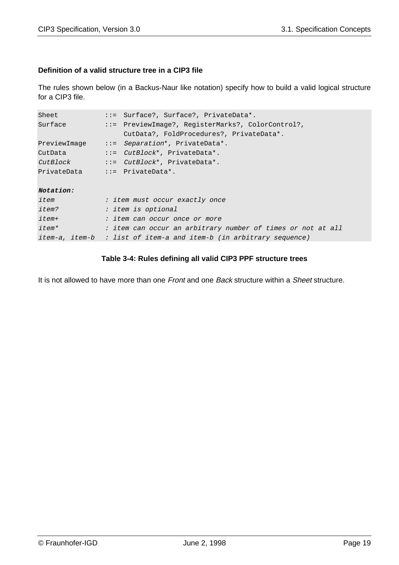# **Definition of a valid structure tree in a CIP3 file**

The rules shown below (in a Backus-Naur like notation) specify how to build a valid logical structure for a CIP3 file.

| Sheet        | $::=$ Surface?, Surface?, PrivateData*.                            |  |  |  |  |
|--------------|--------------------------------------------------------------------|--|--|--|--|
| Surface      | ::= PreviewImage?, RegisterMarks?, ColorControl?,                  |  |  |  |  |
|              | CutData?, FoldProcedures?, PrivateData*.                           |  |  |  |  |
| PreviewImage | $ ::=$ Separation*, PrivateData*.                                  |  |  |  |  |
| CutData      | $::=$ <i>CutBlock</i> *, PrivateData*.                             |  |  |  |  |
| CutBlock     | $::=$ $CutBlock^*$ , $PrivateData^*$ .                             |  |  |  |  |
|              | $PrivateData$ ::= $PrivateData^*$ .                                |  |  |  |  |
|              |                                                                    |  |  |  |  |
| Notation:    |                                                                    |  |  |  |  |
| item         | : item must occur exactly once                                     |  |  |  |  |
| <i>item?</i> | : item is optional                                                 |  |  |  |  |
| $item+$      | : item can occur once or more                                      |  |  |  |  |
| <i>item*</i> | : item can occur an arbitrary number of times or not at all        |  |  |  |  |
|              | item-a, item-b : list of item-a and item-b (in arbitrary sequence) |  |  |  |  |

# **Table 3-4: Rules defining all valid CIP3 PPF structure trees**

It is not allowed to have more than one Front and one Back structure within a Sheet structure.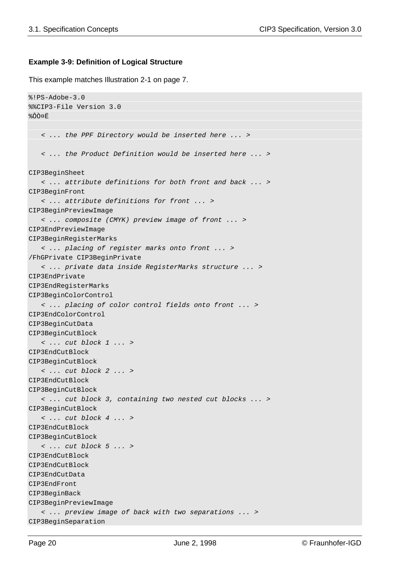#### **Example 3-9: Definition of Logical Structure**

This example matches Illustration 2-1 on page 7.

```
%!PS-Adobe-3.0
%%CIP3-File Version 3.0
%ÔÒ¤Ë
    < ... the PPF Directory would be inserted here ... >
    < ... the Product Definition would be inserted here ... >
CIP3BeginSheet
    < ... attribute definitions for both front and back ... >
CIP3BeginFront
    < ... attribute definitions for front ... >
CIP3BeginPreviewImage
    < ... composite (CMYK) preview image of front ... >
CIP3EndPreviewImage
CIP3BeginRegisterMarks
    < ... placing of register marks onto front ... >
/FhGPrivate CIP3BeginPrivate
    < ... private data inside RegisterMarks structure ... >
CIP3EndPrivate
CIP3EndRegisterMarks
CIP3BeginColorControl
    < ... placing of color control fields onto front ... >
CIP3EndColorControl
CIP3BeginCutData
CIP3BeginCutBlock
    < ... cut block 1 ... >
CIP3EndCutBlock
CIP3BeginCutBlock
    < ... cut block 2 ... >
CIP3EndCutBlock
CIP3BeginCutBlock
    < ... cut block 3, containing two nested cut blocks ... >
CIP3BeginCutBlock
    < ... cut block 4 ... >
CIP3EndCutBlock
CIP3BeginCutBlock
    < ... cut block 5 ... >
CIP3EndCutBlock
CIP3EndCutBlock
CIP3EndCutData
CIP3EndFront
CIP3BeginBack
CIP3BeginPreviewImage
    < ... preview image of back with two separations ... >
CIP3BeginSeparation
```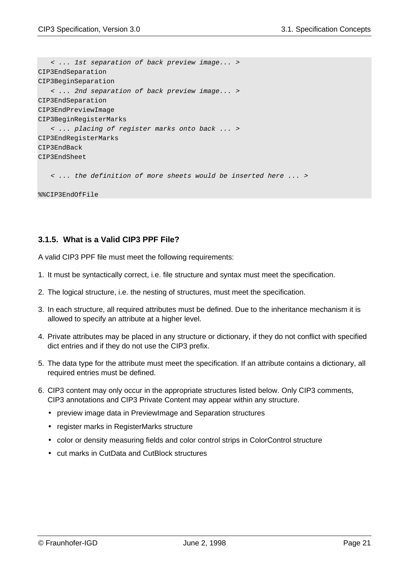```
 < ... 1st separation of back preview image... >
CIP3EndSeparation
CIP3BeginSeparation
    < ... 2nd separation of back preview image... >
CIP3EndSeparation
CIP3EndPreviewImage
CIP3BeginRegisterMarks
    < ... placing of register marks onto back ... >
CIP3EndRegisterMarks
CIP3EndBack
CIP3EndSheet
```
< ... the definition of more sheets would be inserted here ... >

%%CIP3EndOfFile

# **3.1.5. What is a Valid CIP3 PPF File?**

A valid CIP3 PPF file must meet the following requirements:

- 1. It must be syntactically correct, i.e. file structure and syntax must meet the specification.
- 2. The logical structure, i.e. the nesting of structures, must meet the specification.
- 3. In each structure, all required attributes must be defined. Due to the inheritance mechanism it is allowed to specify an attribute at a higher level.
- 4. Private attributes may be placed in any structure or dictionary, if they do not conflict with specified dict entries and if they do not use the CIP3 prefix.
- 5. The data type for the attribute must meet the specification. If an attribute contains a dictionary, all required entries must be defined.
- 6. CIP3 content may only occur in the appropriate structures listed below. Only CIP3 comments, CIP3 annotations and CIP3 Private Content may appear within any structure.
	- preview image data in PreviewImage and Separation structures
	- register marks in RegisterMarks structure
	- color or density measuring fields and color control strips in ColorControl structure
	- cut marks in CutData and CutBlock structures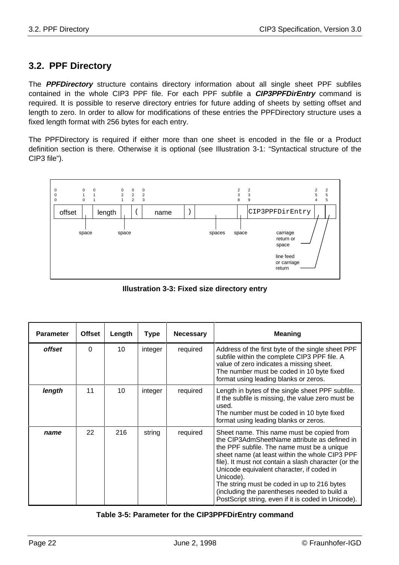# **3.2. PPF Directory**

The **PPFDirectory** structure contains directory information about all single sheet PPF subfiles contained in the whole CIP3 PPF file. For each PPF subfile a **CIP3PPFDirEntry** command is required. It is possible to reserve directory entries for future adding of sheets by setting offset and length to zero. In order to allow for modifications of these entries the PPFDirectory structure uses a fixed length format with 256 bytes for each entry.

The PPFDirectory is required if either more than one sheet is encoded in the file or a Product definition section is there. Otherwise it is optional (see Illustration 3-1: "Syntactical structure of the CIP3 file").



**Illustration 3-3: Fixed size directory entry**

| <b>Parameter</b> | <b>Offset</b> | Length          | <b>Type</b> | <b>Necessary</b> | <b>Meaning</b>                                                                                                                                                                                                                                                                                                                                                                                                                                                    |
|------------------|---------------|-----------------|-------------|------------------|-------------------------------------------------------------------------------------------------------------------------------------------------------------------------------------------------------------------------------------------------------------------------------------------------------------------------------------------------------------------------------------------------------------------------------------------------------------------|
| <i>offset</i>    | $\Omega$      | 10 <sup>1</sup> | integer     | required         | Address of the first byte of the single sheet PPF<br>subfile within the complete CIP3 PPF file. A<br>value of zero indicates a missing sheet.<br>The number must be coded in 10 byte fixed<br>format using leading blanks or zeros.                                                                                                                                                                                                                               |
| length           | 11            | 10              | integer     | required         | Length in bytes of the single sheet PPF subfile.<br>If the subfile is missing, the value zero must be<br>used.<br>The number must be coded in 10 byte fixed<br>format using leading blanks or zeros.                                                                                                                                                                                                                                                              |
| name             | 22            | 216             | string      | required         | Sheet name. This name must be copied from<br>the CIP3AdmSheetName attribute as defined in<br>the PPF subfile. The name must be a unique<br>sheet name (at least within the whole CIP3 PPF<br>file). It must not contain a slash character (or the<br>Unicode equivalent character, if coded in<br>Unicode).<br>The string must be coded in up to 216 bytes<br>(including the parentheses needed to build a<br>PostScript string, even if it is coded in Unicode). |

## **Table 3-5: Parameter for the CIP3PPFDirEntry command**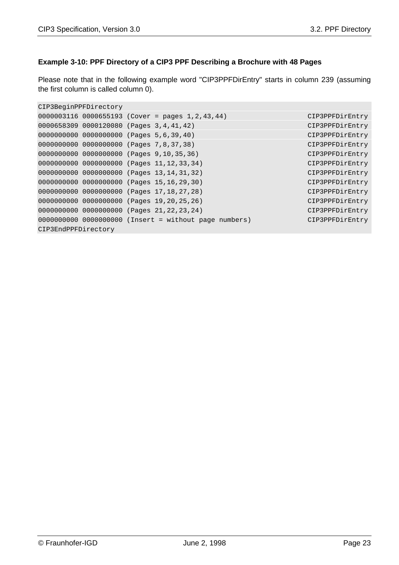# **Example 3-10: PPF Directory of a CIP3 PPF Describing a Brochure with 48 Pages**

Please note that in the following example word "CIP3PPFDirEntry" starts in column 239 (assuming the first column is called column 0).

```
CIP3BeginPPFDirectory
0000003116 0000655193 (Cover = pages 1,2,43,44) CIP3PPFDirEntry
0000658309 0000120080 (Pages 3,4,41,42) CIP3PPFDirEntry
0000000000 0000000000 (Pages 5,6,39,40) CIP3PPFDirEntry
0000000000 0000000000 (Pages 7,8,37,38) CIP3PPFDirEntry
0000000000 0000000000 (Pages 9,10,35,36) CIP3PPFDirEntry
0000000000 0000000000 (Pages 11,12,33,34) CIP3PPFDirEntry
0000000000 0000000000 (Pages 13,14,31,32) CIP3PPFDirEntry
0000000000 0000000000 (Pages 15,16,29,30) CIP3PPFDirEntry
0000000000 0000000000 (Pages 17,18,27,28) CIP3PPFDirEntry
0000000000 0000000000 (Pages 19,20,25,26) CIP3PPFDirEntry
0000000000 0000000000 (Pages 21,22,23,24) CIP3PPFDirEntry
0000000000 0000000000 (Insert = without page numbers) CIP3PPFDirEntry
CIP3EndPPFDirectory
```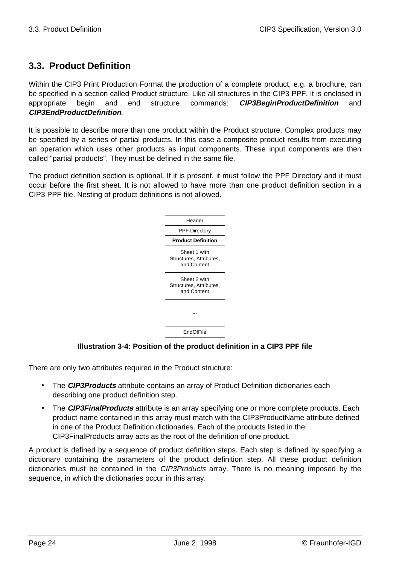# **3.3. Product Definition**

Within the CIP3 Print Production Format the production of a complete product, e.g. a brochure, can be specified in a section called Product structure. Like all structures in the CIP3 PPF, it is enclosed in appropriate begin and end structure commands: **CIP3BeginProductDefinition** and **CIP3EndProductDefinition**.

It is possible to describe more than one product within the Product structure. Complex products may be specified by a series of partial products. In this case a composite product results from executing an operation which uses other products as input components. These input components are then called "partial products". They must be defined in the same file.

The product definition section is optional. If it is present, it must follow the PPF Directory and it must occur before the first sheet. It is not allowed to have more than one product definition section in a CIP3 PPF file. Nesting of product definitions is not allowed.



# **Illustration 3-4: Position of the product definition in a CIP3 PPF file**

There are only two attributes required in the Product structure:

- The **CIP3Products** attribute contains an array of Product Definition dictionaries each describing one product definition step.
- The **CIP3FinalProducts** attribute is an array specifying one or more complete products. Each product name contained in this array must match with the CIP3ProductName attribute defined in one of the Product Definition dictionaries. Each of the products listed in the CIP3FinalProducts array acts as the root of the definition of one product.

A product is defined by a sequence of product definition steps. Each step is defined by specifying a dictionary containing the parameters of the product definition step. All these product definition dictionaries must be contained in the *CIP3Products* array. There is no meaning imposed by the sequence, in which the dictionaries occur in this array.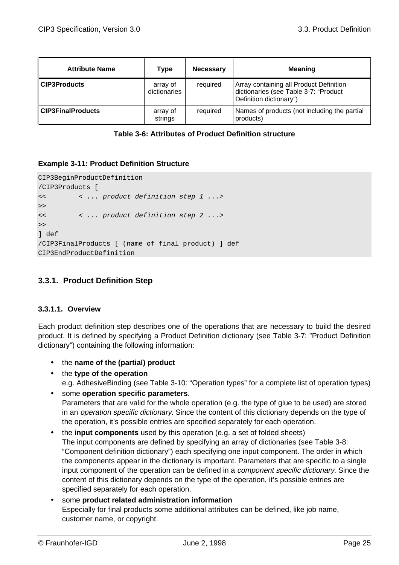| <b>Attribute Name</b>    | Type                     | <b>Necessary</b> | <b>Meaning</b>                                                                                              |
|--------------------------|--------------------------|------------------|-------------------------------------------------------------------------------------------------------------|
| <b>CIP3Products</b>      | array of<br>dictionaries | required         | Array containing all Product Definition<br>dictionaries (see Table 3-7: "Product<br>Definition dictionary") |
| <b>CIP3FinalProducts</b> | array of<br>strings      | required         | Names of products (not including the partial<br>products)                                                   |

| Table 3-6: Attributes of Product Definition structure |  |  |  |
|-------------------------------------------------------|--|--|--|
|-------------------------------------------------------|--|--|--|

#### **Example 3-11: Product Definition Structure**

```
CIP3BeginProductDefinition
/CIP3Products [
<< < ... product definition step 1 ...>
>>
<< < ... product definition step 2 ...>
\rightarrow] def
/CIP3FinalProducts [ (name of final product) ] def
CIP3EndProductDefinition
```
# **3.3.1. Product Definition Step**

#### **3.3.1.1. Overview**

Each product definition step describes one of the operations that are necessary to build the desired product. It is defined by specifying a Product Definition dictionary (see Table 3-7: "Product Definition dictionary") containing the following information:

- the **name of the (partial) product**
- the **type of the operation** e.g. AdhesiveBinding (see Table 3-10: "Operation types" for a complete list of operation types)
- some **operation specific parameters**. Parameters that are valid for the whole operation (e.g. the type of glue to be used) are stored in an operation specific dictionary. Since the content of this dictionary depends on the type of the operation, it's possible entries are specified separately for each operation.
- the **input components** used by this operation (e.g. a set of folded sheets) The input components are defined by specifying an array of dictionaries (see Table 3-8: "Component definition dictionary") each specifying one input component. The order in which the components appear in the dictionary is important. Parameters that are specific to a single input component of the operation can be defined in a *component specific dictionary*. Since the content of this dictionary depends on the type of the operation, it's possible entries are specified separately for each operation.
- some **product related administration information** Especially for final products some additional attributes can be defined, like job name, customer name, or copyright.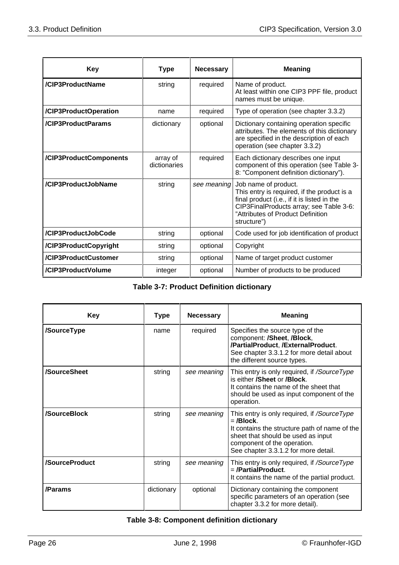| <b>Key</b>             | Type                     | <b>Necessary</b> | <b>Meaning</b>                                                                                                                                                                                                    |
|------------------------|--------------------------|------------------|-------------------------------------------------------------------------------------------------------------------------------------------------------------------------------------------------------------------|
| /CIP3ProductName       | string                   | required         | Name of product.<br>At least within one CIP3 PPF file, product<br>names must be unique.                                                                                                                           |
| /CIP3ProductOperation  | name                     | required         | Type of operation (see chapter 3.3.2)                                                                                                                                                                             |
| /CIP3ProductParams     | dictionary               | optional         | Dictionary containing operation specific<br>attributes. The elements of this dictionary<br>are specified in the description of each<br>operation (see chapter 3.3.2)                                              |
| /CIP3ProductComponents | array of<br>dictionaries | required         | Each dictionary describes one input<br>component of this operation (see Table 3-<br>8: "Component definition dictionary").                                                                                        |
| /CIP3ProductJobName    | string                   | see meaning      | Job name of product.<br>This entry is required, if the product is a<br>final product (i.e., if it is listed in the<br>CIP3FinalProducts array; see Table 3-6:<br>"Attributes of Product Definition<br>structure") |
| /CIP3ProductJobCode    | string                   | optional         | Code used for job identification of product                                                                                                                                                                       |
| /CIP3ProductCopyright  | string                   | optional         | Copyright                                                                                                                                                                                                         |
| /CIP3ProductCustomer   | string                   | optional         | Name of target product customer                                                                                                                                                                                   |
| /CIP3ProductVolume     | integer                  | optional         | Number of products to be produced                                                                                                                                                                                 |

| <b>Table 3-7: Product Definition dictionary</b> |  |  |
|-------------------------------------------------|--|--|
|-------------------------------------------------|--|--|

| <b>Key</b>     | Type       | <b>Necessary</b> | <b>Meaning</b>                                                                                                                                                                                                           |
|----------------|------------|------------------|--------------------------------------------------------------------------------------------------------------------------------------------------------------------------------------------------------------------------|
| /SourceType    | name       | required         | Specifies the source type of the<br>component: /Sheet, /Block,<br>/PartialProduct, /ExternalProduct.<br>See chapter 3.3.1.2 for more detail about<br>the different source types.                                         |
| /SourceSheet   | string     | see meaning      | This entry is only required, if <i>/SourceType</i><br>is either <b>/Sheet</b> or <b>/Block</b> .<br>It contains the name of the sheet that<br>should be used as input component of the<br>operation.                     |
| /SourceBlock   | string     | see meaning      | This entry is only required, if /SourceType<br>$=$ /Block.<br>It contains the structure path of name of the<br>sheet that should be used as input<br>component of the operation.<br>See chapter 3.3.1.2 for more detail. |
| /SourceProduct | string     | see meaning      | This entry is only required, if <i>/SourceType</i><br>=/PartialProduct.<br>It contains the name of the partial product.                                                                                                  |
| /Params        | dictionary | optional         | Dictionary containing the component<br>specific parameters of an operation (see<br>chapter 3.3.2 for more detail).                                                                                                       |

# **Table 3-8: Component definition dictionary**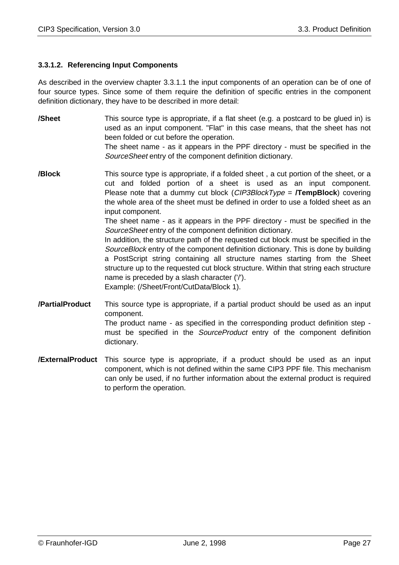# **3.3.1.2. Referencing Input Components**

As described in the overview chapter 3.3.1.1 the input components of an operation can be of one of four source types. Since some of them require the definition of specific entries in the component definition dictionary, they have to be described in more detail:

**/Sheet** This source type is appropriate, if a flat sheet (e.g. a postcard to be glued in) is used as an input component. "Flat" in this case means, that the sheet has not been folded or cut before the operation.

The sheet name - as it appears in the PPF directory - must be specified in the SourceSheet entry of the component definition dictionary.

**/Block** This source type is appropriate, if a folded sheet , a cut portion of the sheet, or a cut and folded portion of a sheet is used as an input component. Please note that a dummy cut block (CIP3BlockType = **/TempBlock**) covering the whole area of the sheet must be defined in order to use a folded sheet as an input component.

> The sheet name - as it appears in the PPF directory - must be specified in the SourceSheet entry of the component definition dictionary.

> In addition, the structure path of the requested cut block must be specified in the SourceBlock entry of the component definition dictionary. This is done by building a PostScript string containing all structure names starting from the Sheet structure up to the requested cut block structure. Within that string each structure name is preceded by a slash character ('/').

Example: (/Sheet/Front/CutData/Block 1).

**/PartialProduct** This source type is appropriate, if a partial product should be used as an input component.

The product name - as specified in the corresponding product definition step must be specified in the SourceProduct entry of the component definition dictionary.

**/ExternalProduct** This source type is appropriate, if a product should be used as an input component, which is not defined within the same CIP3 PPF file. This mechanism can only be used, if no further information about the external product is required to perform the operation.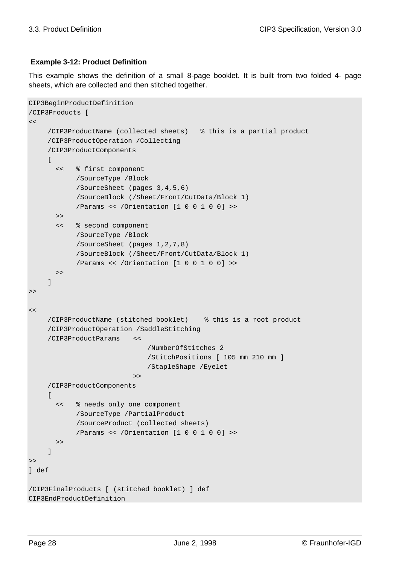## **Example 3-12: Product Definition**

This example shows the definition of a small 8-page booklet. It is built from two folded 4- page sheets, which are collected and then stitched together.

```
CIP3BeginProductDefinition
/CIP3Products [
\lt/CIP3ProductName (collected sheets) % this is a partial product
    /CIP3ProductOperation /Collecting
     /CIP3ProductComponents
     \Gamma << % first component
            /SourceType /Block
            /SourceSheet (pages 3,4,5,6)
            /SourceBlock (/Sheet/Front/CutData/Block 1)
            /Params << /Orientation [1 0 0 1 0 0] >>
        >>
        << % second component
            /SourceType /Block
            /SourceSheet (pages 1,2,7,8)
            /SourceBlock (/Sheet/Front/CutData/Block 1)
            /Params << /Orientation [1 0 0 1 0 0] >>
        >>
     ]
>\lt/CIP3ProductName (stitched booklet) % this is a root product
     /CIP3ProductOperation /SaddleStitching
     /CIP3ProductParams <<
                              /NumberOfStitches 2
                              /StitchPositions [ 105 mm 210 mm ]
                              /StapleShape /Eyelet
                           >>
     /CIP3ProductComponents
     \sqrt{ } << % needs only one component
            /SourceType /PartialProduct
            /SourceProduct (collected sheets)
            /Params << /Orientation [1 0 0 1 0 0] >>
        >>
     ]
>>
] def
/CIP3FinalProducts [ (stitched booklet) ] def
CIP3EndProductDefinition
```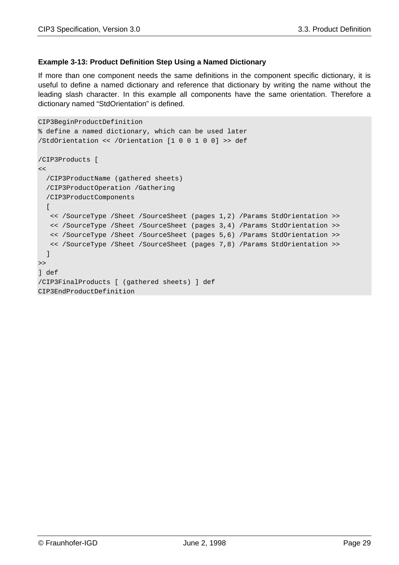## **Example 3-13: Product Definition Step Using a Named Dictionary**

If more than one component needs the same definitions in the component specific dictionary, it is useful to define a named dictionary and reference that dictionary by writing the name without the leading slash character. In this example all components have the same orientation. Therefore a dictionary named "StdOrientation" is defined.

```
CIP3BeginProductDefinition
% define a named dictionary, which can be used later
/StdOrientation << /Orientation [1 0 0 1 0 0] >> def
/CIP3Products [
\lt /CIP3ProductName (gathered sheets)
   /CIP3ProductOperation /Gathering
   /CIP3ProductComponents
  \sqrt{ } << /SourceType /Sheet /SourceSheet (pages 1,2) /Params StdOrientation >>
    << /SourceType /Sheet /SourceSheet (pages 3,4) /Params StdOrientation >>
   << /SourceType /Sheet /SourceSheet (pages 5,6) /Params StdOrientation >>
    << /SourceType /Sheet /SourceSheet (pages 7,8) /Params StdOrientation >>
   ]
\gt] def
/CIP3FinalProducts [ (gathered sheets) ] def
CIP3EndProductDefinition
```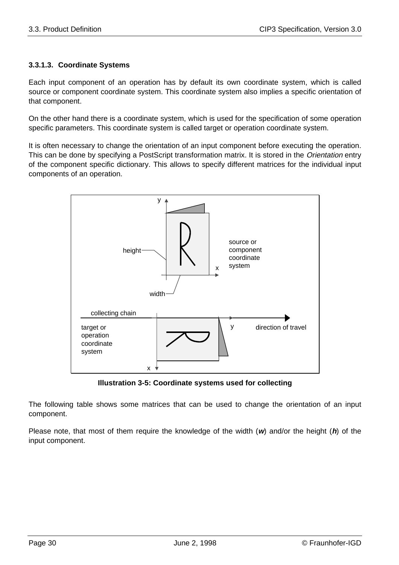# **3.3.1.3. Coordinate Systems**

Each input component of an operation has by default its own coordinate system, which is called source or component coordinate system. This coordinate system also implies a specific orientation of that component.

On the other hand there is a coordinate system, which is used for the specification of some operation specific parameters. This coordinate system is called target or operation coordinate system.

It is often necessary to change the orientation of an input component before executing the operation. This can be done by specifying a PostScript transformation matrix. It is stored in the Orientation entry of the component specific dictionary. This allows to specify different matrices for the individual input components of an operation.



**Illustration 3-5: Coordinate systems used for collecting**

The following table shows some matrices that can be used to change the orientation of an input component.

Please note, that most of them require the knowledge of the width (**w**) and/or the height (**h**) of the input component.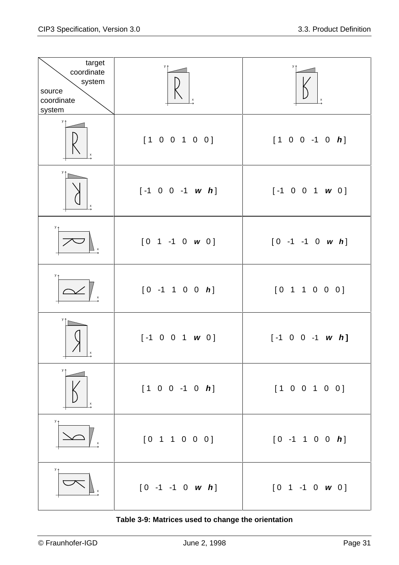| target<br>coordinate<br>system<br>source<br>coordinate<br>system | y 4<br>$\mathsf{x}$         | y 1                         |
|------------------------------------------------------------------|-----------------------------|-----------------------------|
| y +<br>X                                                         | [1 0 0 1 0 0]               | $[1 0 0 -1 0 h]$            |
| у†                                                               | $[-1 \ 0 \ 0 \ -1 \ w \ h]$ | $[-1 \ 0 \ 0 \ 1 \ w \ 0]$  |
| y <sub>4</sub>                                                   | $[0 1 -1 0 w 0]$            | $[0 -1 -1 0 w h]$           |
| $y +$                                                            | $[0 -1 1 0 0 h]$            | [0 1 1 0 0 0]               |
|                                                                  | $[-1 \ 0 \ 0 \ 1 \ w \ 0]$  | $[-1 \ 0 \ 0 \ -1 \ w \ h]$ |
| x                                                                | $[1 \ 0 \ 0 \ -1 \ 0 \ h]$  | [1 0 0 1 0 0]               |
|                                                                  | [0 1 1 0 0 0]               | $[0 -1 1 0 0 h]$            |
|                                                                  | $[0 -1 -1 0 w h]$           | $[0 1 -1 0 w 0]$            |

**Table 3-9: Matrices used to change the orientation**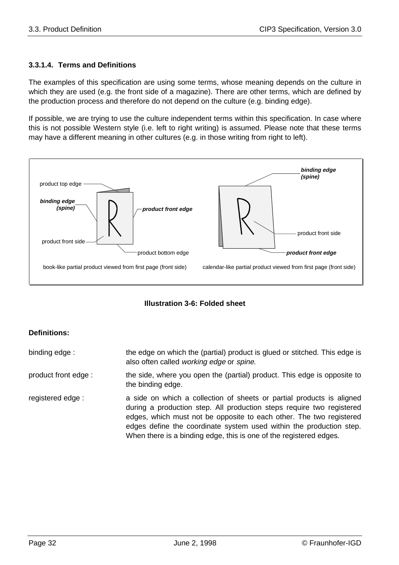# **3.3.1.4. Terms and Definitions**

The examples of this specification are using some terms, whose meaning depends on the culture in which they are used (e.g. the front side of a magazine). There are other terms, which are defined by the production process and therefore do not depend on the culture (e.g. binding edge).

If possible, we are trying to use the culture independent terms within this specification. In case where this is not possible Western style (i.e. left to right writing) is assumed. Please note that these terms may have a different meaning in other cultures (e.g. in those writing from right to left).



**Illustration 3-6: Folded sheet**

# **Definitions:**

| binding edge:        | the edge on which the (partial) product is glued or stitched. This edge is<br>also often called working edge or spine.                                                                                                                                                                                                                                             |
|----------------------|--------------------------------------------------------------------------------------------------------------------------------------------------------------------------------------------------------------------------------------------------------------------------------------------------------------------------------------------------------------------|
| product front edge : | the side, where you open the (partial) product. This edge is opposite to<br>the binding edge.                                                                                                                                                                                                                                                                      |
| registered edge:     | a side on which a collection of sheets or partial products is aligned<br>during a production step. All production steps require two registered<br>edges, which must not be opposite to each other. The two registered<br>edges define the coordinate system used within the production step.<br>When there is a binding edge, this is one of the registered edges. |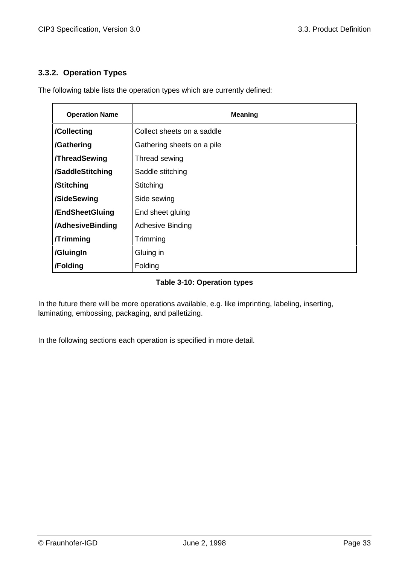# **3.3.2. Operation Types**

The following table lists the operation types which are currently defined:

| <b>Operation Name</b> | <b>Meaning</b>             |
|-----------------------|----------------------------|
| /Collecting           | Collect sheets on a saddle |
| /Gathering            | Gathering sheets on a pile |
| <b>/ThreadSewing</b>  | Thread sewing              |
| /SaddleStitching      | Saddle stitching           |
| /Stitching            | Stitching                  |
| /SideSewing           | Side sewing                |
| /EndSheetGluing       | End sheet gluing           |
| /AdhesiveBinding      | <b>Adhesive Binding</b>    |
| <b>/Trimming</b>      | Trimming                   |
| /GluingIn             | Gluing in                  |
| /Folding              | Folding                    |

## **Table 3-10: Operation types**

In the future there will be more operations available, e.g. like imprinting, labeling, inserting, laminating, embossing, packaging, and palletizing.

In the following sections each operation is specified in more detail.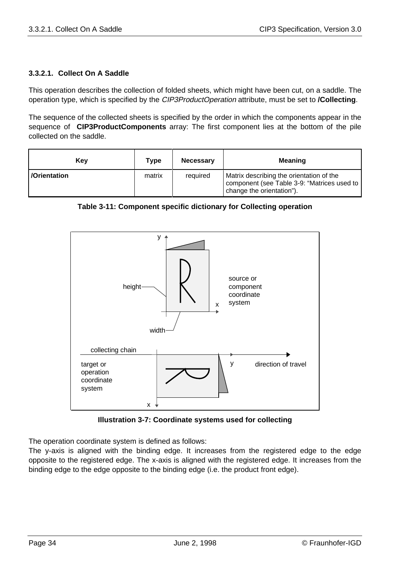# **3.3.2.1. Collect On A Saddle**

This operation describes the collection of folded sheets, which might have been cut, on a saddle. The operation type, which is specified by the CIP3ProductOperation attribute, must be set to **/Collecting**.

The sequence of the collected sheets is specified by the order in which the components appear in the sequence of **CIP3ProductComponents** array: The first component lies at the bottom of the pile collected on the saddle.

| Kev                  | Type   | <b>Necessary</b> | <b>Meaning</b>                                                                                                       |
|----------------------|--------|------------------|----------------------------------------------------------------------------------------------------------------------|
| <b>D</b> Orientation | matrix | required         | Matrix describing the orientation of the<br>component (see Table 3-9: "Matrices used to<br>change the orientation"). |

**Table 3-11: Component specific dictionary for Collecting operation**



**Illustration 3-7: Coordinate systems used for collecting**

The operation coordinate system is defined as follows:

The y-axis is aligned with the binding edge. It increases from the registered edge to the edge opposite to the registered edge. The x-axis is aligned with the registered edge. It increases from the binding edge to the edge opposite to the binding edge (i.e. the product front edge).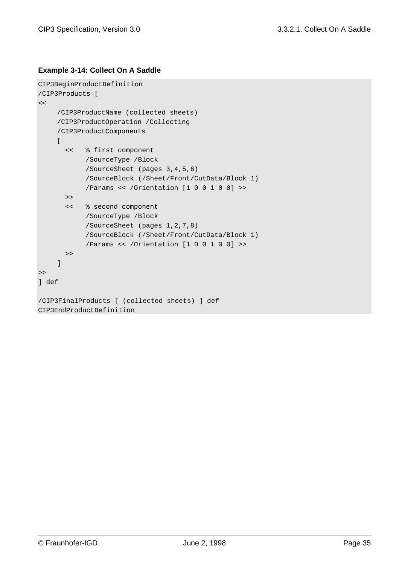#### **Example 3-14: Collect On A Saddle**

```
CIP3BeginProductDefinition
/CIP3Products [
<</CIP3ProductName (collected sheets)
    /CIP3ProductOperation /Collecting
    /CIP3ProductComponents
    \lceil << % first component
            /SourceType /Block
            /SourceSheet (pages 3,4,5,6)
            /SourceBlock (/Sheet/Front/CutData/Block 1)
            /Params << /Orientation [1 0 0 1 0 0] >>
       \gt << % second component
            /SourceType /Block
            /SourceSheet (pages 1,2,7,8)
            /SourceBlock (/Sheet/Front/CutData/Block 1)
            /Params << /Orientation [1 0 0 1 0 0] >>
       >]
>>
] def
/CIP3FinalProducts [ (collected sheets) ] def
CIP3EndProductDefinition
```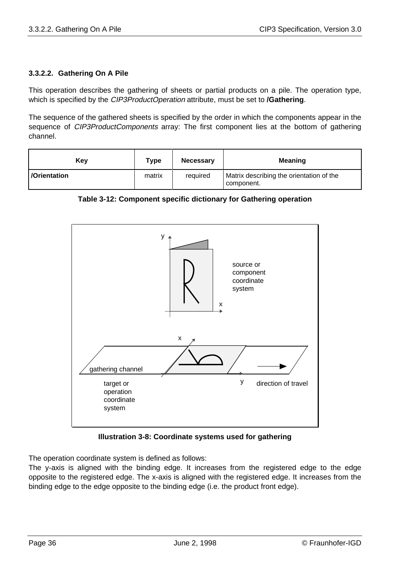# **3.3.2.2. Gathering On A Pile**

This operation describes the gathering of sheets or partial products on a pile. The operation type, which is specified by the CIP3ProductOperation attribute, must be set to **/Gathering**.

The sequence of the gathered sheets is specified by the order in which the components appear in the sequence of *CIP3ProductComponents* array: The first component lies at the bottom of gathering channel.

| Kev          | Type   | <b>Necessary</b> | <b>Meaning</b>                                         |
|--------------|--------|------------------|--------------------------------------------------------|
| /Orientation | matrix | required         | Matrix describing the orientation of the<br>component. |

**Table 3-12: Component specific dictionary for Gathering operation**



**Illustration 3-8: Coordinate systems used for gathering**

The operation coordinate system is defined as follows:

The y-axis is aligned with the binding edge. It increases from the registered edge to the edge opposite to the registered edge. The x-axis is aligned with the registered edge. It increases from the binding edge to the edge opposite to the binding edge (i.e. the product front edge).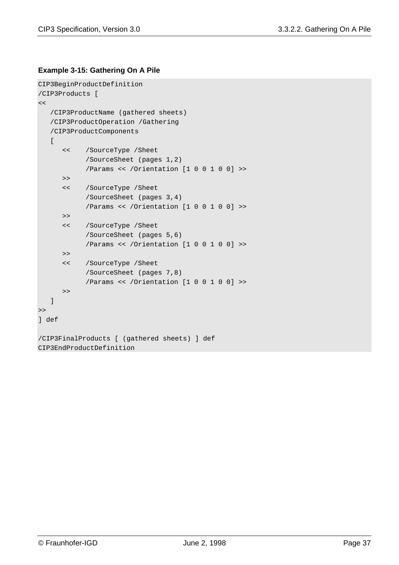#### **Example 3-15: Gathering On A Pile**

```
CIP3BeginProductDefinition
/CIP3Products [
<< /CIP3ProductName (gathered sheets)
    /CIP3ProductOperation /Gathering
    /CIP3ProductComponents
   \lceil << /SourceType /Sheet
            /SourceSheet (pages 1,2)
            /Params << /Orientation [1 0 0 1 0 0] >>
      \gt << /SourceType /Sheet
            /SourceSheet (pages 3,4)
            /Params << /Orientation [1 0 0 1 0 0] >>
      \gt << /SourceType /Sheet
            /SourceSheet (pages 5,6)
            /Params << /Orientation [1 0 0 1 0 0] >>
      \gt << /SourceType /Sheet
            /SourceSheet (pages 7,8)
            /Params << /Orientation [1 0 0 1 0 0] >>
       >>
    ]
\gt] def
/CIP3FinalProducts [ (gathered sheets) ] def
CIP3EndProductDefinition
```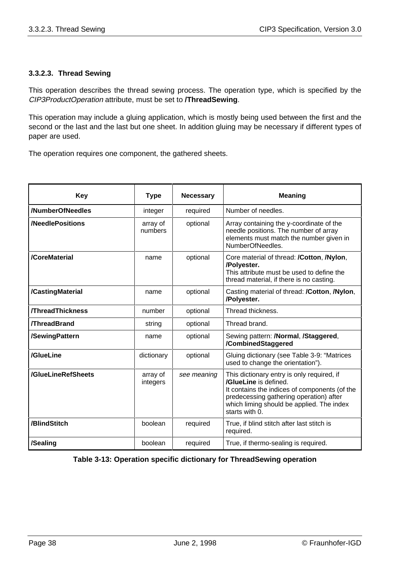#### **3.3.2.3. Thread Sewing**

This operation describes the thread sewing process. The operation type, which is specified by the CIP3ProductOperation attribute, must be set to **/ThreadSewing**.

This operation may include a gluing application, which is mostly being used between the first and the second or the last and the last but one sheet. In addition gluing may be necessary if different types of paper are used.

The operation requires one component, the gathered sheets.

| <b>Key</b>              | <b>Type</b>          | <b>Necessary</b> | <b>Meaning</b>                                                                                                                                                                                                                 |
|-------------------------|----------------------|------------------|--------------------------------------------------------------------------------------------------------------------------------------------------------------------------------------------------------------------------------|
| /NumberOfNeedles        | integer              | required         | Number of needles.                                                                                                                                                                                                             |
| /NeedlePositions        | array of<br>numbers  | optional         | Array containing the y-coordinate of the<br>needle positions. The number of array<br>elements must match the number given in<br>NumberOfNeedles.                                                                               |
| /CoreMaterial           | name                 | optional         | Core material of thread: /Cotton, /Nylon,<br>/Polyester.<br>This attribute must be used to define the<br>thread material, if there is no casting.                                                                              |
| /CastingMaterial        | name                 | optional         | Casting material of thread: /Cotton, /Nylon,<br>/Polyester.                                                                                                                                                                    |
| <b>/ThreadThickness</b> | number               | optional         | Thread thickness.                                                                                                                                                                                                              |
| <b>/ThreadBrand</b>     | string               | optional         | Thread brand.                                                                                                                                                                                                                  |
| /SewingPattern          | name                 | optional         | Sewing pattern: /Normal, /Staggered,<br>/CombinedStaggered                                                                                                                                                                     |
| /GlueLine               | dictionary           | optional         | Gluing dictionary (see Table 3-9: "Matrices<br>used to change the orientation").                                                                                                                                               |
| /GlueLineRefSheets      | array of<br>integers | see meaning      | This dictionary entry is only required, if<br>/GlueLine is defined.<br>It contains the indices of components (of the<br>predecessing gathering operation) after<br>which liming should be applied. The index<br>starts with 0. |
| /BlindStitch            | boolean              | required         | True, if blind stitch after last stitch is<br>required.                                                                                                                                                                        |
| /Sealing                | boolean              | required         | True, if thermo-sealing is required.                                                                                                                                                                                           |

#### **Table 3-13: Operation specific dictionary for ThreadSewing operation**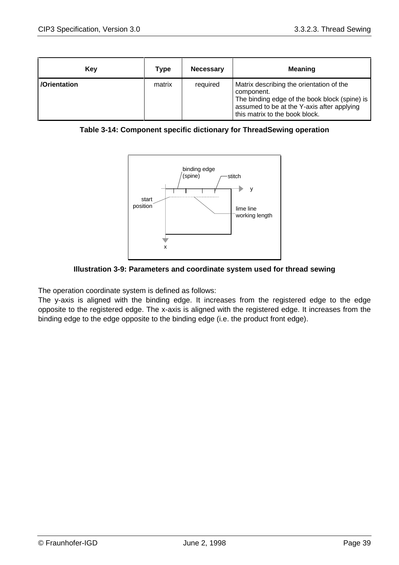| Key          | Type   | <b>Necessary</b> | <b>Meaning</b>                                                                                                                                                                          |
|--------------|--------|------------------|-----------------------------------------------------------------------------------------------------------------------------------------------------------------------------------------|
| /Orientation | matrix | required         | Matrix describing the orientation of the<br>component.<br>The binding edge of the book block (spine) is<br>assumed to be at the Y-axis after applying<br>this matrix to the book block. |

| Table 3-14: Component specific dictionary for ThreadSewing operation |
|----------------------------------------------------------------------|
|----------------------------------------------------------------------|



**Illustration 3-9: Parameters and coordinate system used for thread sewing**

The operation coordinate system is defined as follows:

The y-axis is aligned with the binding edge. It increases from the registered edge to the edge opposite to the registered edge. The x-axis is aligned with the registered edge. It increases from the binding edge to the edge opposite to the binding edge (i.e. the product front edge).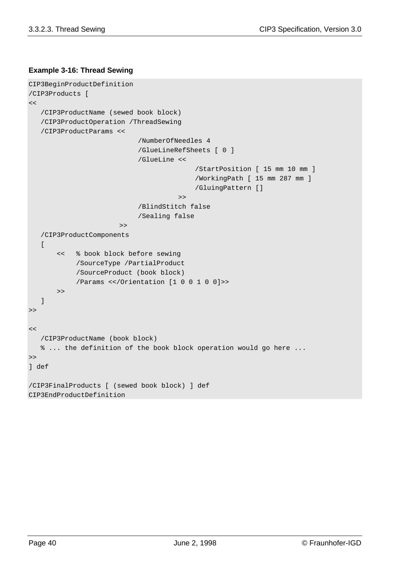#### **Example 3-16: Thread Sewing**

```
CIP3BeginProductDefinition
/CIP3Products [
<< /CIP3ProductName (sewed book block)
    /CIP3ProductOperation /ThreadSewing
    /CIP3ProductParams <<
                             /NumberOfNeedles 4
                             /GlueLineRefSheets [ 0 ]
                             /GlueLine <<
                                            /StartPosition [ 15 mm 10 mm ]
                                            /WorkingPath [ 15 mm 287 mm ]
                                            /GluingPattern []
                                       \rightarrow/BlindStitch false
                             /Sealing false
                        \geq /CIP3ProductComponents
   \Gamma << % book block before sewing
            /SourceType /PartialProduct
            /SourceProduct (book block)
            /Params <</Orientation [1 0 0 1 0 0]>>
       \rightarrow ]
\gt\lt /CIP3ProductName (book block)
    % ... the definition of the book block operation would go here ...
>>
] def
/CIP3FinalProducts [ (sewed book block) ] def
CIP3EndProductDefinition
```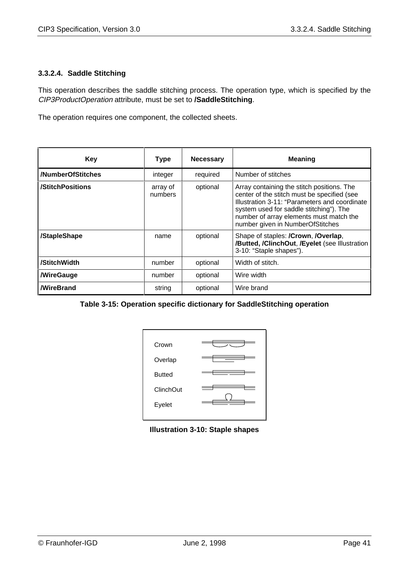#### **3.3.2.4. Saddle Stitching**

This operation describes the saddle stitching process. The operation type, which is specified by the CIP3ProductOperation attribute, must be set to **/SaddleStitching**.

The operation requires one component, the collected sheets.

| Key                     | <b>Type</b>         | <b>Necessary</b> | <b>Meaning</b>                                                                                                                                                                                                                                                       |
|-------------------------|---------------------|------------------|----------------------------------------------------------------------------------------------------------------------------------------------------------------------------------------------------------------------------------------------------------------------|
| /NumberOfStitches       | integer             | required         | Number of stitches                                                                                                                                                                                                                                                   |
| /StitchPositions        | array of<br>numbers | optional         | Array containing the stitch positions. The<br>center of the stitch must be specified (see<br>Illustration 3-11: "Parameters and coordinate<br>system used for saddle stitching"). The<br>number of array elements must match the<br>number given in NumberOfStitches |
| /StapleShape            | name                | optional         | Shape of staples: /Crown, /Overlap,<br>/Butted, /ClinchOut, /Eyelet (see Illustration<br>3-10: "Staple shapes").                                                                                                                                                     |
| /StitchWidth            | number              | optional         | Width of stitch.                                                                                                                                                                                                                                                     |
| <b><i>NireGauge</i></b> | number              | optional         | Wire width                                                                                                                                                                                                                                                           |
| <b>MireBrand</b>        | string              | optional         | Wire brand                                                                                                                                                                                                                                                           |

|  |  |  | Table 3-15: Operation specific dictionary for SaddleStitching operation |  |
|--|--|--|-------------------------------------------------------------------------|--|
|--|--|--|-------------------------------------------------------------------------|--|



**Illustration 3-10: Staple shapes**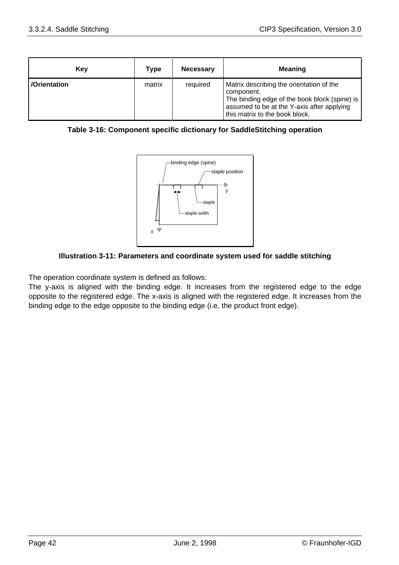| Key          | Type   | <b>Necessary</b> | <b>Meaning</b>                                                                                                                                                                          |
|--------------|--------|------------------|-----------------------------------------------------------------------------------------------------------------------------------------------------------------------------------------|
| /Orientation | matrix | required         | Matrix describing the orientation of the<br>component.<br>The binding edge of the book block (spine) is<br>assumed to be at the Y-axis after applying<br>this matrix to the book block. |

|  | Table 3-16: Component specific dictionary for SaddleStitching operation |  |
|--|-------------------------------------------------------------------------|--|
|  |                                                                         |  |



#### **Illustration 3-11: Parameters and coordinate system used for saddle stitching**

The operation coordinate system is defined as follows:

The y-axis is aligned with the binding edge. It increases from the registered edge to the edge opposite to the registered edge. The x-axis is aligned with the registered edge. It increases from the binding edge to the edge opposite to the binding edge (i.e. the product front edge).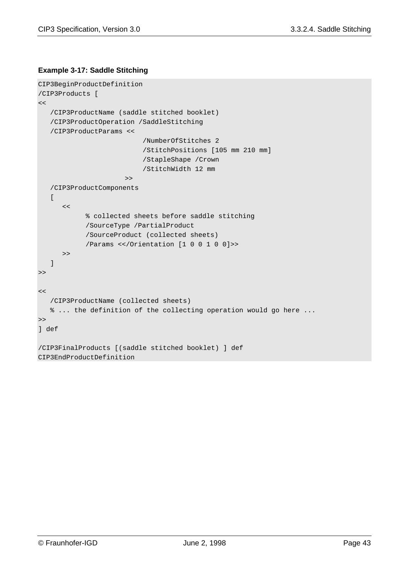#### **Example 3-17: Saddle Stitching**

```
CIP3BeginProductDefinition
/CIP3Products [
<< /CIP3ProductName (saddle stitched booklet)
    /CIP3ProductOperation /SaddleStitching
    /CIP3ProductParams <<
                          /NumberOfStitches 2
                           /StitchPositions [105 mm 210 mm]
                           /StapleShape /Crown
                           /StitchWidth 12 mm
                       >>
    /CIP3ProductComponents
   \lceil<<% collected sheets before saddle stitching
            /SourceType /PartialProduct
            /SourceProduct (collected sheets)
            /Params <</Orientation [1 0 0 1 0 0]>>
       >>
    ]
\gt\lt /CIP3ProductName (collected sheets)
    % ... the definition of the collecting operation would go here ...
\gt] def
/CIP3FinalProducts [(saddle stitched booklet) ] def
CIP3EndProductDefinition
```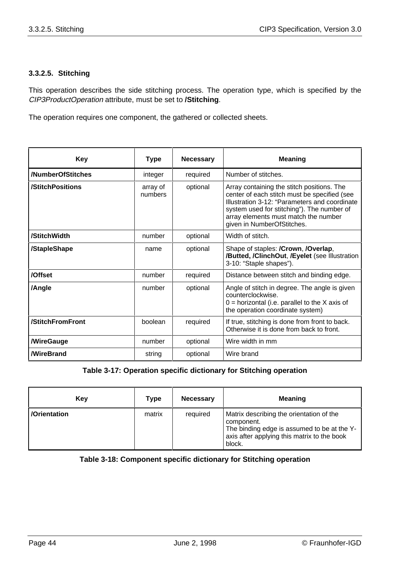#### **3.3.2.5. Stitching**

This operation describes the side stitching process. The operation type, which is specified by the CIP3ProductOperation attribute, must be set to **/Stitching**.

The operation requires one component, the gathered or collected sheets.

| <b>Key</b>        | <b>Type</b>         | <b>Necessary</b> | <b>Meaning</b>                                                                                                                                                                                                                                                  |
|-------------------|---------------------|------------------|-----------------------------------------------------------------------------------------------------------------------------------------------------------------------------------------------------------------------------------------------------------------|
| /NumberOfStitches | integer             | required         | Number of stitches.                                                                                                                                                                                                                                             |
| /StitchPositions  | array of<br>numbers | optional         | Array containing the stitch positions. The<br>center of each stitch must be specified (see<br>Illustration 3-12: "Parameters and coordinate<br>system used for stitching"). The number of<br>array elements must match the number<br>given in NumberOfStitches. |
| /StitchWidth      | number              | optional         | Width of stitch.                                                                                                                                                                                                                                                |
| /StapleShape      | name                | optional         | Shape of staples: /Crown, /Overlap,<br>/Butted, /ClinchOut, /Eyelet (see Illustration<br>3-10: "Staple shapes").                                                                                                                                                |
| /Offset           | number              | required         | Distance between stitch and binding edge.                                                                                                                                                                                                                       |
| /Angle            | number              | optional         | Angle of stitch in degree. The angle is given<br>counterclockwise.<br>$0 =$ horizontal (i.e. parallel to the X axis of<br>the operation coordinate system)                                                                                                      |
| /StitchFromFront  | boolean             | required         | If true, stitching is done from front to back.<br>Otherwise it is done from back to front.                                                                                                                                                                      |
| /WireGauge        | number              | optional         | Wire width in mm                                                                                                                                                                                                                                                |
| <b>WireBrand</b>  | string              | optional         | Wire brand                                                                                                                                                                                                                                                      |

#### **Table 3-17: Operation specific dictionary for Stitching operation**

| Key          | Type   | <b>Necessary</b> | <b>Meaning</b>                                                                                                                                                 |
|--------------|--------|------------------|----------------------------------------------------------------------------------------------------------------------------------------------------------------|
| /Orientation | matrix | required         | Matrix describing the orientation of the<br>component.<br>The binding edge is assumed to be at the Y-<br>axis after applying this matrix to the book<br>block. |

#### **Table 3-18: Component specific dictionary for Stitching operation**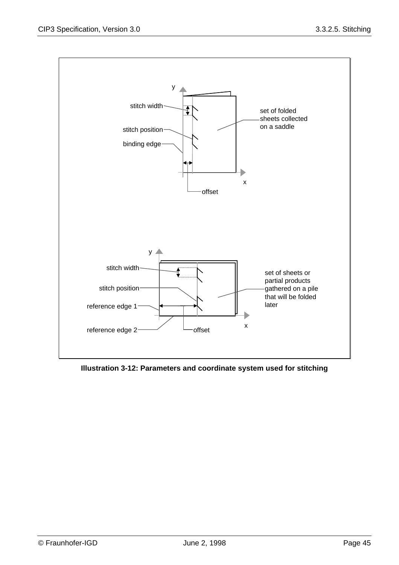

**Illustration 3-12: Parameters and coordinate system used for stitching**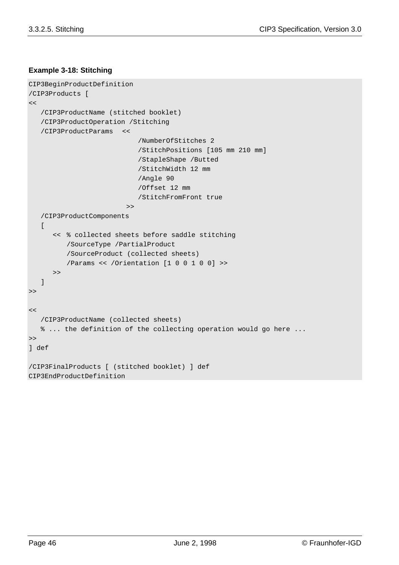#### **Example 3-18: Stitching**

```
CIP3BeginProductDefinition
/CIP3Products [
<< /CIP3ProductName (stitched booklet)
    /CIP3ProductOperation /Stitching
    /CIP3ProductParams <<
                            /NumberOfStitches 2
                            /StitchPositions [105 mm 210 mm]
                            /StapleShape /Butted
                            /StitchWidth 12 mm
                            /Angle 90
                            /Offset 12 mm
                            /StitchFromFront true
                         \rightarrow /CIP3ProductComponents
   \sqrt{ } << % collected sheets before saddle stitching
          /SourceType /PartialProduct
         /SourceProduct (collected sheets)
          /Params << /Orientation [1 0 0 1 0 0] >>
       >>
    ]
>>
<< /CIP3ProductName (collected sheets)
    % ... the definition of the collecting operation would go here ...
>>
] def
/CIP3FinalProducts [ (stitched booklet) ] def
CIP3EndProductDefinition
```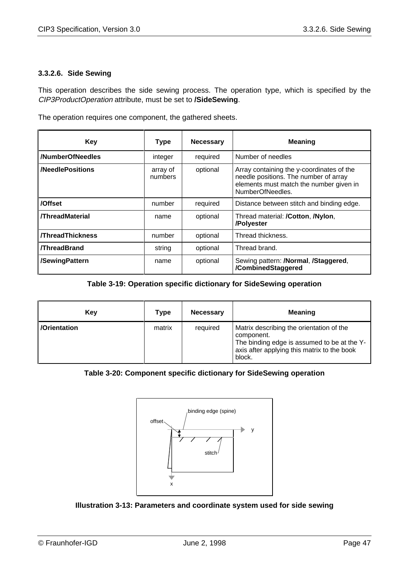#### **3.3.2.6. Side Sewing**

This operation describes the side sewing process. The operation type, which is specified by the CIP3ProductOperation attribute, must be set to **/SideSewing**.

The operation requires one component, the gathered sheets.

| <b>Key</b>              | <b>Type</b>         | <b>Necessary</b> | <b>Meaning</b>                                                                                                                                    |
|-------------------------|---------------------|------------------|---------------------------------------------------------------------------------------------------------------------------------------------------|
| /NumberOfNeedles        | integer             | required         | Number of needles                                                                                                                                 |
| <b>/NeedlePositions</b> | array of<br>numbers | optional         | Array containing the y-coordinates of the<br>needle positions. The number of array<br>elements must match the number given in<br>NumberOfNeedles. |
| /Offset                 | number              | required         | Distance between stitch and binding edge.                                                                                                         |
| <b>/ThreadMaterial</b>  | name                | optional         | Thread material: <b>/Cotton, /Nylon,</b><br>/Polyester                                                                                            |
| <b>/ThreadThickness</b> | number              | optional         | Thread thickness.                                                                                                                                 |
| <b>/ThreadBrand</b>     | string              | optional         | Thread brand.                                                                                                                                     |
| /SewingPattern          | name                | optional         | Sewing pattern: /Normal, /Staggered,<br>/CombinedStaggered                                                                                        |

#### **Table 3-19: Operation specific dictionary for SideSewing operation**

| Key          | Type   | <b>Necessary</b> | <b>Meaning</b>                                                                                                                                                 |
|--------------|--------|------------------|----------------------------------------------------------------------------------------------------------------------------------------------------------------|
| /Orientation | matrix | required         | Matrix describing the orientation of the<br>component.<br>The binding edge is assumed to be at the Y-<br>axis after applying this matrix to the book<br>block. |

#### **Table 3-20: Component specific dictionary for SideSewing operation**



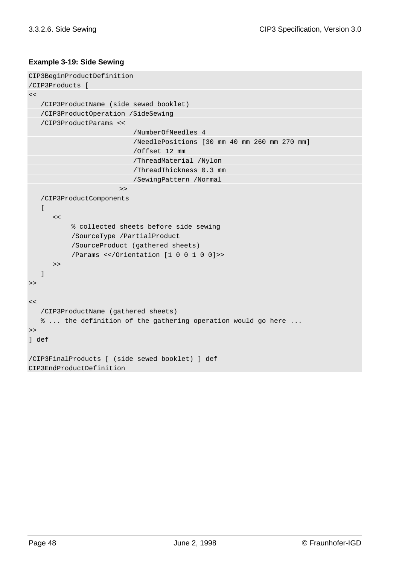#### **Example 3-19: Side Sewing**

```
CIP3BeginProductDefinition
/CIP3Products [
\epsilon /CIP3ProductName (side sewed booklet)
    /CIP3ProductOperation /SideSewing
    /CIP3ProductParams <<
                           /NumberOfNeedles 4
                           /NeedlePositions [30 mm 40 mm 260 mm 270 mm]
                            /Offset 12 mm
                            /ThreadMaterial /Nylon
                            /ThreadThickness 0.3 mm
                           /SewingPattern /Normal
                        \rightarrow /CIP3ProductComponents
   \Gamma<<% collected sheets before side sewing
           /SourceType /PartialProduct
           /SourceProduct (gathered sheets)
           /Params <</Orientation [1 0 0 1 0 0]>>
       >>
    ]
\geq<< /CIP3ProductName (gathered sheets)
    % ... the definition of the gathering operation would go here ...
\geq] def
/CIP3FinalProducts [ (side sewed booklet) ] def
CIP3EndProductDefinition
```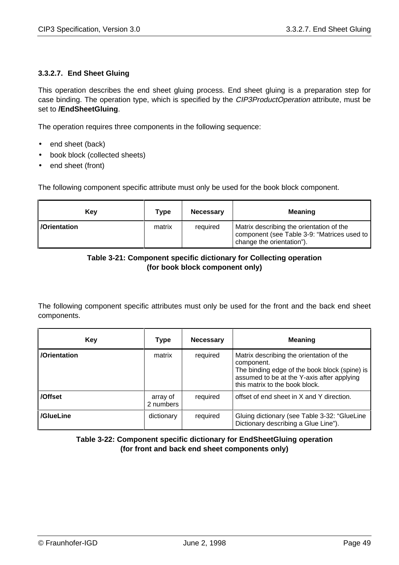#### **3.3.2.7. End Sheet Gluing**

This operation describes the end sheet gluing process. End sheet gluing is a preparation step for case binding. The operation type, which is specified by the CIP3ProductOperation attribute, must be set to **/EndSheetGluing**.

The operation requires three components in the following sequence:

- end sheet (back)
- book block (collected sheets)
- end sheet (front)

The following component specific attribute must only be used for the book block component.

| <b>Kev</b>         | Type   | <b>Necessary</b> | <b>Meaning</b>                                                                                                       |
|--------------------|--------|------------------|----------------------------------------------------------------------------------------------------------------------|
| <b>Orientation</b> | matrix | required         | Matrix describing the orientation of the<br>component (see Table 3-9: "Matrices used to<br>change the orientation"). |

#### **Table 3-21: Component specific dictionary for Collecting operation (for book block component only)**

The following component specific attributes must only be used for the front and the back end sheet components.

| Key          | <b>Type</b>           | <b>Necessary</b> | <b>Meaning</b>                                                                                                                                                                          |
|--------------|-----------------------|------------------|-----------------------------------------------------------------------------------------------------------------------------------------------------------------------------------------|
| /Orientation | matrix                | required         | Matrix describing the orientation of the<br>component.<br>The binding edge of the book block (spine) is<br>assumed to be at the Y-axis after applying<br>this matrix to the book block. |
| /Offset      | array of<br>2 numbers | required         | offset of end sheet in X and Y direction.                                                                                                                                               |
| /GlueLine    | dictionary            | required         | Gluing dictionary (see Table 3-32: "GlueLine<br>Dictionary describing a Glue Line").                                                                                                    |

**Table 3-22: Component specific dictionary for EndSheetGluing operation (for front and back end sheet components only)**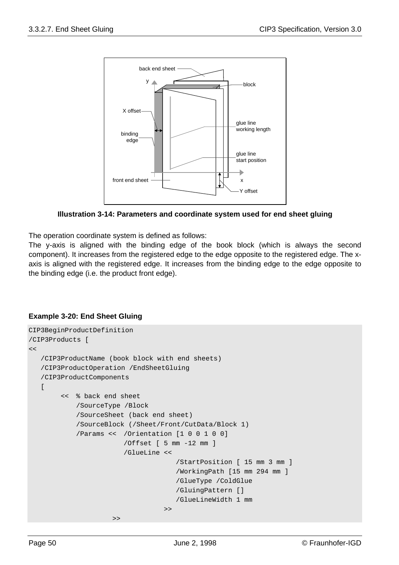

**Illustration 3-14: Parameters and coordinate system used for end sheet gluing**

The operation coordinate system is defined as follows:

The y-axis is aligned with the binding edge of the book block (which is always the second component). It increases from the registered edge to the edge opposite to the registered edge. The xaxis is aligned with the registered edge. It increases from the binding edge to the edge opposite to the binding edge (i.e. the product front edge).

#### **Example 3-20: End Sheet Gluing**

```
CIP3BeginProductDefinition
/CIP3Products [
\lt /CIP3ProductName (book block with end sheets)
    /CIP3ProductOperation /EndSheetGluing
    /CIP3ProductComponents
   \Gamma << % back end sheet
            /SourceType /Block
            /SourceSheet (back end sheet)
            /SourceBlock (/Sheet/Front/CutData/Block 1)
            /Params << /Orientation [1 0 0 1 0 0]
                         /Offset [ 5 mm -12 mm ]
                         /GlueLine <<
                                       /StartPosition [ 15 mm 3 mm ]
                                       /WorkingPath [15 mm 294 mm ]
                                       /GlueType /ColdGlue
                                       /GluingPattern []
                                       /GlueLineWidth 1 mm
                                    \rightarrow\rightarrow
```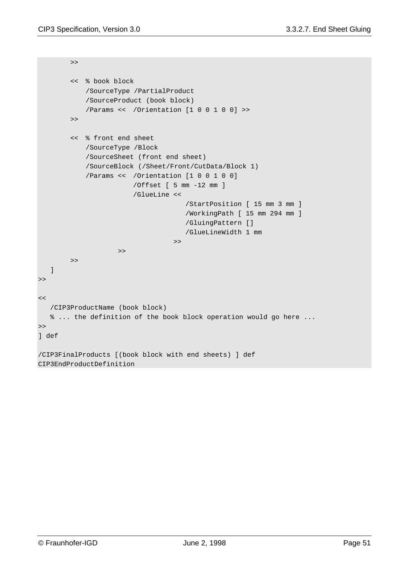```
\rightarrow << % book block
            /SourceType /PartialProduct
            /SourceProduct (book block)
            /Params << /Orientation [1 0 0 1 0 0] >>
         >>
         << % front end sheet
            /SourceType /Block
            /SourceSheet (front end sheet)
            /SourceBlock (/Sheet/Front/CutData/Block 1)
            /Params << /Orientation [1 0 0 1 0 0]
                         /Offset [ 5 mm -12 mm ]
                         /GlueLine <<
                                       /StartPosition [ 15 mm 3 mm ]
                                       /WorkingPath [ 15 mm 294 mm ]
                                       /GluingPattern []
                                       /GlueLineWidth 1 mm
                                    \geq\rightarrow >>
   ]
\gt\lt /CIP3ProductName (book block)
   % ... the definition of the book block operation would go here ...
\rightarrow] def
/CIP3FinalProducts [(book block with end sheets) ] def
CIP3EndProductDefinition
```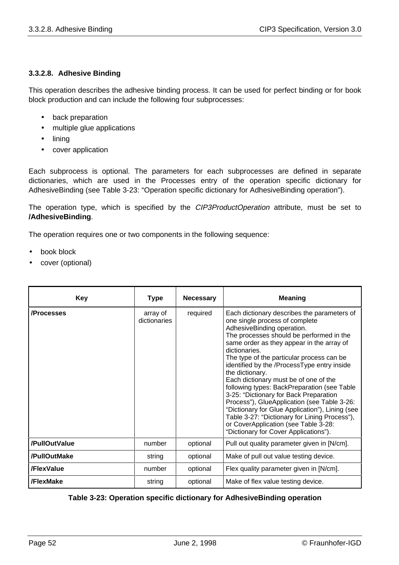#### **3.3.2.8. Adhesive Binding**

This operation describes the adhesive binding process. It can be used for perfect binding or for book block production and can include the following four subprocesses:

- back preparation
- multiple glue applications
- lining
- cover application

Each subprocess is optional. The parameters for each subprocesses are defined in separate dictionaries, which are used in the Processes entry of the operation specific dictionary for AdhesiveBinding (see Table 3-23: "Operation specific dictionary for AdhesiveBinding operation").

The operation type, which is specified by the CIP3ProductOperation attribute, must be set to **/AdhesiveBinding**.

The operation requires one or two components in the following sequence:

- book block
- cover (optional)

| <b>Key</b>    | Type                     | <b>Necessary</b> | <b>Meaning</b>                                                                                                                                                                                                                                                                                                                                                                                                                                                                                                                                                                                                                                                                                             |
|---------------|--------------------------|------------------|------------------------------------------------------------------------------------------------------------------------------------------------------------------------------------------------------------------------------------------------------------------------------------------------------------------------------------------------------------------------------------------------------------------------------------------------------------------------------------------------------------------------------------------------------------------------------------------------------------------------------------------------------------------------------------------------------------|
| /Processes    | array of<br>dictionaries | required         | Each dictionary describes the parameters of<br>one single process of complete<br>AdhesiveBinding operation.<br>The processes should be performed in the<br>same order as they appear in the array of<br>dictionaries.<br>The type of the particular process can be<br>identified by the /ProcessType entry inside<br>the dictionary.<br>Each dictionary must be of one of the<br>following types: BackPreparation (see Table<br>3-25: "Dictionary for Back Preparation<br>Process"), GlueApplication (see Table 3-26:<br>"Dictionary for Glue Application"), Lining (see<br>Table 3-27: "Dictionary for Lining Process"),<br>or CoverApplication (see Table 3-28:<br>"Dictionary for Cover Applications"). |
| /PullOutValue | number                   | optional         | Pull out quality parameter given in [N/cm].                                                                                                                                                                                                                                                                                                                                                                                                                                                                                                                                                                                                                                                                |
| /PullOutMake  | string                   | optional         | Make of pull out value testing device.                                                                                                                                                                                                                                                                                                                                                                                                                                                                                                                                                                                                                                                                     |
| /FlexValue    | number                   | optional         | Flex quality parameter given in [N/cm].                                                                                                                                                                                                                                                                                                                                                                                                                                                                                                                                                                                                                                                                    |
| /FlexMake     | string                   | optional         | Make of flex value testing device.                                                                                                                                                                                                                                                                                                                                                                                                                                                                                                                                                                                                                                                                         |

**Table 3-23: Operation specific dictionary for AdhesiveBinding operation**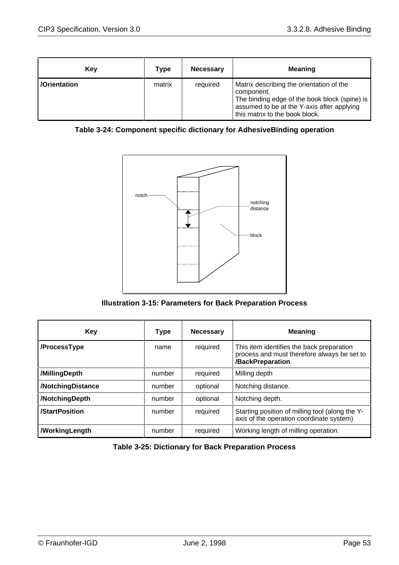| Kev          | Type   | <b>Necessary</b> | <b>Meaning</b>                                                                                                                                                                          |
|--------------|--------|------------------|-----------------------------------------------------------------------------------------------------------------------------------------------------------------------------------------|
| /Orientation | matrix | required         | Matrix describing the orientation of the<br>component.<br>The binding edge of the book block (spine) is<br>assumed to be at the Y-axis after applying<br>this matrix to the book block. |

## **Table 3-24: Component specific dictionary for AdhesiveBinding operation**



**Illustration 3-15: Parameters for Back Preparation Process**

| <b>Key</b>        | <b>Type</b> | <b>Necessary</b> | <b>Meaning</b>                                                                                                |
|-------------------|-------------|------------------|---------------------------------------------------------------------------------------------------------------|
| /ProcessType      | name        | required         | This item identifies the back preparation<br>process and must therefore always be set to<br>/BackPreparation. |
| /MillingDepth     | number      | required         | Milling depth                                                                                                 |
| /NotchingDistance | number      | optional         | Notching distance.                                                                                            |
| /NotchingDepth    | number      | optional         | Notching depth.                                                                                               |
| /StartPosition    | number      | required         | Starting position of milling tool (along the Y-<br>axis of the operation coordinate system)                   |
| /WorkingLength    | number      | required         | Working length of milling operation.                                                                          |

**Table 3-25: Dictionary for Back Preparation Process**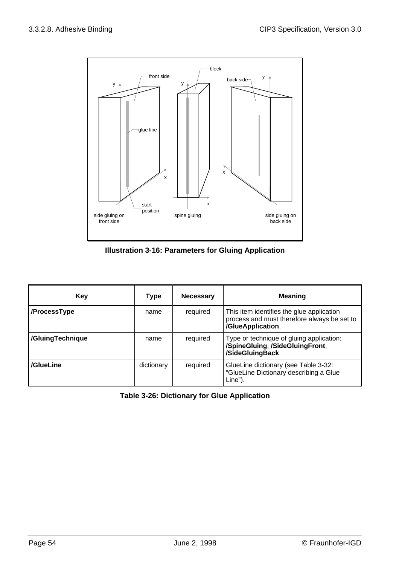

**Illustration 3-16: Parameters for Gluing Application**

| Key              | Type       | <b>Necessary</b> | <b>Meaning</b>                                                                                                |
|------------------|------------|------------------|---------------------------------------------------------------------------------------------------------------|
| /ProcessType     | name       | required         | This item identifies the glue application<br>process and must therefore always be set to<br>/GlueApplication. |
| /GluingTechnique | name       | required         | Type or technique of gluing application:<br>/SpineGluing, /SideGluingFront,<br>/SideGluingBack                |
| /GlueLine        | dictionary | required         | GlueLine dictionary (see Table 3-32:<br>"GlueLine Dictionary describing a Glue<br>Line").                     |

**Table 3-26: Dictionary for Glue Application**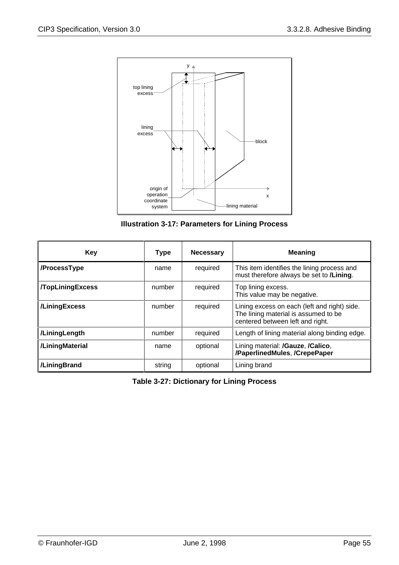

**Illustration 3-17: Parameters for Lining Process**

| Key                     | <b>Type</b> | <b>Necessary</b> | <b>Meaning</b>                                                                                                           |
|-------------------------|-------------|------------------|--------------------------------------------------------------------------------------------------------------------------|
| /ProcessType            | name        | required         | This item identifies the lining process and<br>must therefore always be set to /Lining.                                  |
| <b>/TopLiningExcess</b> | number      | required         | Top lining excess.<br>This value may be negative.                                                                        |
| /LiningExcess           | number      | required         | Lining excess on each (left and right) side.<br>The lining material is assumed to be<br>centered between left and right. |
| /LiningLength           | number      | required         | Length of lining material along binding edge.                                                                            |
| /LiningMaterial         | name        | optional         | Lining material: /Gauze, /Calico,<br>/PaperlinedMules, /CrepePaper                                                       |
| /LiningBrand            | string      | optional         | Lining brand                                                                                                             |

**Table 3-27: Dictionary for Lining Process**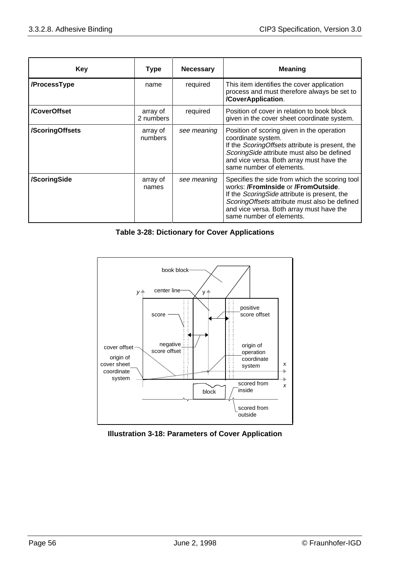| Key             | <b>Type</b>           | <b>Necessary</b> | <b>Meaning</b>                                                                                                                                                                                                                                                  |
|-----------------|-----------------------|------------------|-----------------------------------------------------------------------------------------------------------------------------------------------------------------------------------------------------------------------------------------------------------------|
| /ProcessType    | name                  | required         | This item identifies the cover application<br>process and must therefore always be set to<br>/CoverApplication.                                                                                                                                                 |
| /CoverOffset    | array of<br>2 numbers | required         | Position of cover in relation to book block<br>given in the cover sheet coordinate system.                                                                                                                                                                      |
| /ScoringOffsets | array of<br>numbers   | see meaning      | Position of scoring given in the operation<br>coordinate system.<br>If the ScoringOffsets attribute is present, the<br>ScoringSide attribute must also be defined<br>and vice versa. Both array must have the<br>same number of elements.                       |
| /ScoringSide    | array of<br>names     | see meaning      | Specifies the side from which the scoring tool<br>works: /Frominside or /FromOutside.<br>If the Scoring Side attribute is present, the<br>ScoringOffsets attribute must also be defined<br>and vice versa. Both array must have the<br>same number of elements. |

**Table 3-28: Dictionary for Cover Applications**



**Illustration 3-18: Parameters of Cover Application**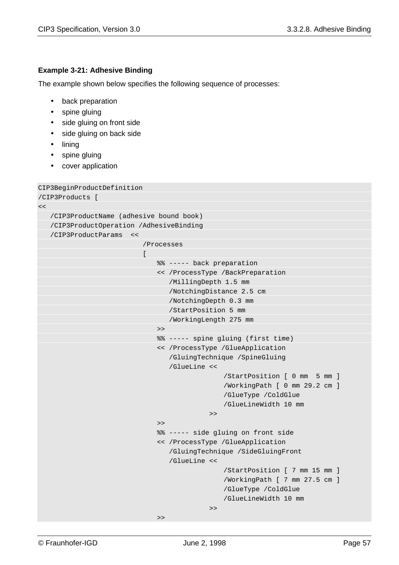#### **Example 3-21: Adhesive Binding**

The example shown below specifies the following sequence of processes:

- back preparation
- spine gluing
- side gluing on front side
- side gluing on back side
- lining
- spine gluing
- cover application

```
CIP3BeginProductDefinition
/CIP3Products [
<< /CIP3ProductName (adhesive bound book)
    /CIP3ProductOperation /AdhesiveBinding
    /CIP3ProductParams <<
                           /Processes
                           \Gamma%% ----- back preparation
                               << /ProcessType /BackPreparation
                                   /MillingDepth 1.5 mm
                                   /NotchingDistance 2.5 cm
                                   /NotchingDepth 0.3 mm
                                   /StartPosition 5 mm
                                   /WorkingLength 275 mm
                               >>
                               %% ----- spine gluing (first time)
                               << /ProcessType /GlueApplication
                                   /GluingTechnique /SpineGluing
                                   /GlueLine <<
                                                /StartPosition [ 0 mm 5 mm ]
                                                /WorkingPath [ 0 mm 29.2 cm ]
                                                /GlueType /ColdGlue
                                                /GlueLineWidth 10 mm
                                             >>
                               >>
                               %% ----- side gluing on front side
                               << /ProcessType /GlueApplication
                                   /GluingTechnique /SideGluingFront
                                   /GlueLine <<
                                                /StartPosition [ 7 mm 15 mm ]
                                                /WorkingPath [ 7 mm 27.5 cm ]
                                                /GlueType /ColdGlue
                                                /GlueLineWidth 10 mm
                                             >>
                               >
```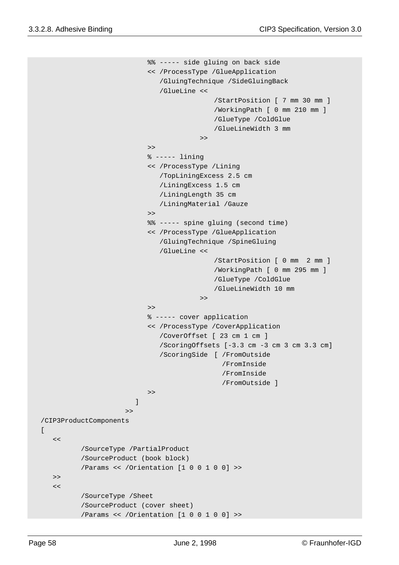```
%% ----- side gluing on back side
                            << /ProcessType /GlueApplication
                                /GluingTechnique /SideGluingBack
                                /GlueLine <<
                                              /StartPosition [ 7 mm 30 mm ]
                                              /WorkingPath [ 0 mm 210 mm ]
                                              /GlueType /ColdGlue
                                              /GlueLineWidth 3 mm
                             >>
                            \rightarrow% ----- lining
                            << /ProcessType /Lining
                                /TopLiningExcess 2.5 cm
                                /LiningExcess 1.5 cm
                                /LiningLength 35 cm
                                /LiningMaterial /Gauze
                            \rightarrow%% ----- spine gluing (second time)
                            << /ProcessType /GlueApplication
                                /GluingTechnique /SpineGluing
                                /GlueLine <<
                                              /StartPosition [ 0 mm 2 mm ]
                                              /WorkingPath [ 0 mm 295 mm ]
                                              /GlueType /ColdGlue
                                              /GlueLineWidth 10 mm
                                          \rightarrow\rightarrow% ----- cover application
                            << /ProcessType /CoverApplication
                                /CoverOffset [ 23 cm 1 cm ]
                                /ScoringOffsets [-3.3 cm -3 cm 3 cm 3.3 cm]
                                /ScoringSide [ /FromOutside
                                                 /FromInside
                                                 /FromInside
                                                 /FromOutside ]
                            >>
                          ]
                       >>
 /CIP3ProductComponents
   \epsilon/SourceType /PartialProduct
          /SourceProduct (book block)
          /Params << /Orientation [1 0 0 1 0 0] >>
   >\epsilon/SourceType /Sheet
          /SourceProduct (cover sheet)
          /Params << /Orientation [1 0 0 1 0 0] >>
```
 $\Gamma$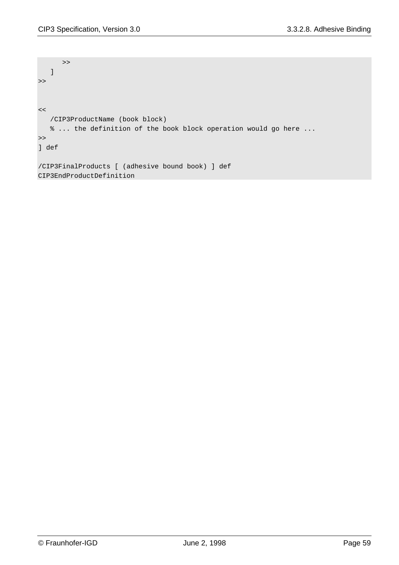```
 >>
 \overline{\phantom{a}}\rightarrow\lt /CIP3ProductName (book block)
    % ... the definition of the book block operation would go here ...
>>
] def
/CIP3FinalProducts [ (adhesive bound book) ] def
CIP3EndProductDefinition
```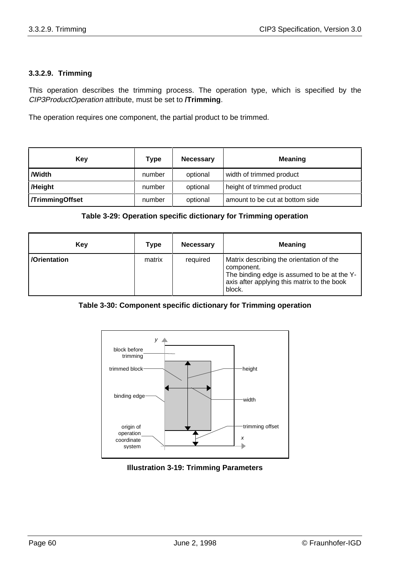#### **3.3.2.9. Trimming**

This operation describes the trimming process. The operation type, which is specified by the CIP3ProductOperation attribute, must be set to **/Trimming**.

The operation requires one component, the partial product to be trimmed.

| Kev                   | Type   | <b>Necessary</b> | <b>Meaning</b>                  |
|-----------------------|--------|------------------|---------------------------------|
| /Width                | number | optional         | width of trimmed product        |
| /Height               | number | optional         | height of trimmed product       |
| <b>TrimmingOffset</b> | number | optional         | amount to be cut at bottom side |

#### **Table 3-29: Operation specific dictionary for Trimming operation**

| Key          | Type   | <b>Necessary</b> | <b>Meaning</b>                                                                                                                                                 |
|--------------|--------|------------------|----------------------------------------------------------------------------------------------------------------------------------------------------------------|
| /Orientation | matrix | required         | Matrix describing the orientation of the<br>component.<br>The binding edge is assumed to be at the Y-<br>axis after applying this matrix to the book<br>block. |

#### **Table 3-30: Component specific dictionary for Trimming operation**



#### **Illustration 3-19: Trimming Parameters**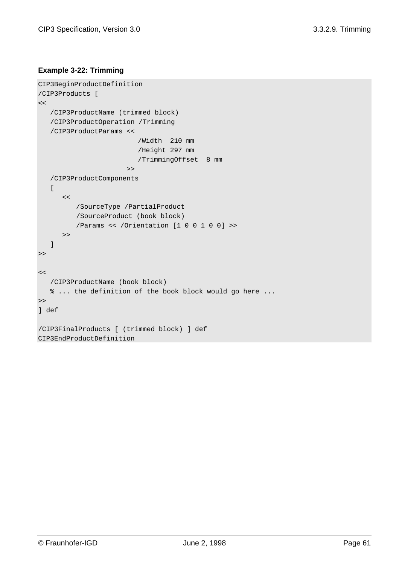#### **Example 3-22: Trimming**

```
CIP3BeginProductDefinition
/CIP3Products [
<< /CIP3ProductName (trimmed block)
    /CIP3ProductOperation /Trimming
    /CIP3ProductParams <<
                        /Width 210 mm
                        /Height 297 mm
                         /TrimmingOffset 8 mm
 >>
    /CIP3ProductComponents
   \sqrt{ }<</SourceType /PartialProduct
         /SourceProduct (book block)
         /Params << /Orientation [1 0 0 1 0 0] >>
       >>
    ]
\gt<< /CIP3ProductName (book block)
    % ... the definition of the book block would go here ...
>>
] def
/CIP3FinalProducts [ (trimmed block) ] def
CIP3EndProductDefinition
```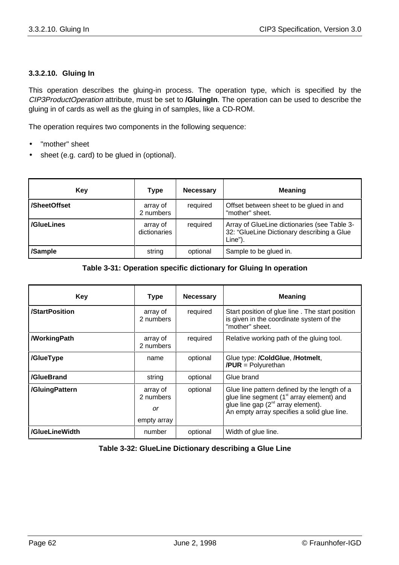#### **3.3.2.10. Gluing In**

This operation describes the gluing-in process. The operation type, which is specified by the CIP3ProductOperation attribute, must be set to **/GluingIn**. The operation can be used to describe the gluing in of cards as well as the gluing in of samples, like a CD-ROM.

The operation requires two components in the following sequence:

- "mother" sheet
- sheet (e.g. card) to be glued in (optional).

| Key          | <b>Type</b>              | <b>Necessary</b> | <b>Meaning</b>                                                                                        |
|--------------|--------------------------|------------------|-------------------------------------------------------------------------------------------------------|
| /SheetOffset | array of<br>2 numbers    | required         | Offset between sheet to be glued in and<br>"mother" sheet.                                            |
| /GlueLines   | array of<br>dictionaries | required         | Array of GlueLine dictionaries (see Table 3-<br>32: "GlueLine Dictionary describing a Glue<br>Line"). |
| /Sample      | string                   | optional         | Sample to be glued in.                                                                                |

#### **Table 3-31: Operation specific dictionary for Gluing In operation**

| <b>Key</b>     | <b>Type</b>                                | <b>Necessary</b> | <b>Meaning</b>                                                                                                                                                                        |
|----------------|--------------------------------------------|------------------|---------------------------------------------------------------------------------------------------------------------------------------------------------------------------------------|
| /StartPosition | array of<br>2 numbers                      | required         | Start position of glue line. The start position<br>is given in the coordinate system of the<br>"mother" sheet.                                                                        |
| /WorkingPath   | array of<br>2 numbers                      | required         | Relative working path of the gluing tool.                                                                                                                                             |
| /GlueType      | name                                       | optional         | Glue type: /ColdGlue, /Hotmelt,<br>$/$ PUR = Polyurethan                                                                                                                              |
| /GlueBrand     | string                                     | optional         | Glue brand                                                                                                                                                                            |
| /GluingPattern | array of<br>2 numbers<br>or<br>empty array | optional         | Glue line pattern defined by the length of a<br>glue line segment $(1st$ array element) and<br>glue line gap $(2^{nd}$ array element).<br>An empty array specifies a solid glue line. |
| /GlueLineWidth | number                                     | optional         | Width of glue line.                                                                                                                                                                   |

#### **Table 3-32: GlueLine Dictionary describing a Glue Line**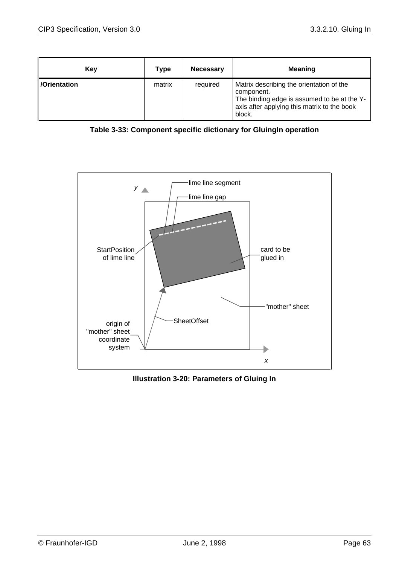| Kev          | Type   | <b>Necessary</b> | <b>Meaning</b>                                                                                                                                                 |
|--------------|--------|------------------|----------------------------------------------------------------------------------------------------------------------------------------------------------------|
| /Orientation | matrix | required         | Matrix describing the orientation of the<br>component.<br>The binding edge is assumed to be at the Y-<br>axis after applying this matrix to the book<br>block. |





**Illustration 3-20: Parameters of Gluing In**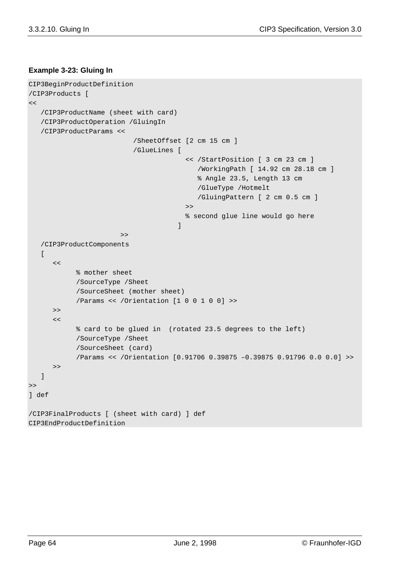#### **Example 3-23: Gluing In**

```
CIP3BeginProductDefinition
/CIP3Products [
<< /CIP3ProductName (sheet with card)
    /CIP3ProductOperation /GluingIn
    /CIP3ProductParams <<
                          /SheetOffset [2 cm 15 cm ]
                          /GlueLines [
                                        << /StartPosition [ 3 cm 23 cm ]
                                            /WorkingPath [ 14.92 cm 28.18 cm ]
                                            % Angle 23.5, Length 13 cm
                                            /GlueType /Hotmelt
                                            /GluingPattern [ 2 cm 0.5 cm ]
                                        >>
                                        % second glue line would go here
                            ]
                        >>
    /CIP3ProductComponents
   \Gamma\lt% mother sheet
            /SourceType /Sheet
            /SourceSheet (mother sheet)
            /Params << /Orientation [1 0 0 1 0 0] >>
       >>
      \lt% card to be glued in (rotated 23.5 degrees to the left)
            /SourceType /Sheet
            /SourceSheet (card)
            /Params << /Orientation [0.91706 0.39875 –0.39875 0.91796 0.0 0.0] >>
      \gt ]
>] def
/CIP3FinalProducts [ (sheet with card) ] def
CIP3EndProductDefinition
```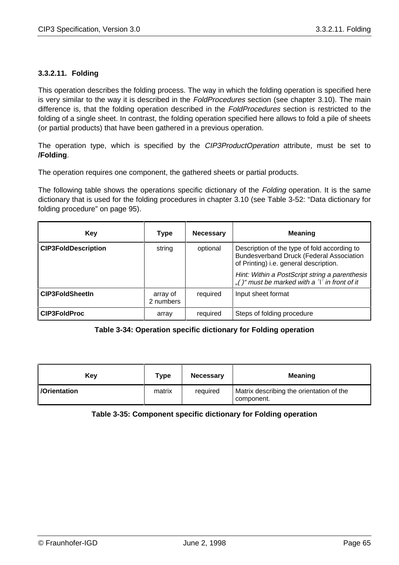#### **3.3.2.11. Folding**

This operation describes the folding process. The way in which the folding operation is specified here is very similar to the way it is described in the *FoldProcedures* section (see chapter 3.10). The main difference is, that the folding operation described in the FoldProcedures section is restricted to the folding of a single sheet. In contrast, the folding operation specified here allows to fold a pile of sheets (or partial products) that have been gathered in a previous operation.

The operation type, which is specified by the *CIP3ProductOperation* attribute, must be set to **/Folding**.

The operation requires one component, the gathered sheets or partial products.

The following table shows the operations specific dictionary of the Folding operation. It is the same dictionary that is used for the folding procedures in chapter 3.10 (see Table 3-52: "Data dictionary for folding procedure" on page 95).

| Key                        | Type                  | <b>Necessary</b> | <b>Meaning</b>                                                                                                                            |
|----------------------------|-----------------------|------------------|-------------------------------------------------------------------------------------------------------------------------------------------|
| <b>CIP3FoldDescription</b> | string                | optional         | Description of the type of fold according to<br><b>Bundesverband Druck (Federal Association</b><br>of Printing) i.e. general description. |
|                            |                       |                  | Hint: Within a PostScript string a parenthesis<br>"()" must be marked with a $\gamma'$ in front of it                                     |
| <b>CIP3FoldSheetIn</b>     | array of<br>2 numbers | required         | Input sheet format                                                                                                                        |
| <b>CIP3FoldProc</b>        | array                 | required         | Steps of folding procedure                                                                                                                |

#### **Table 3-34: Operation specific dictionary for Folding operation**

| Key                | Type   | <b>Necessary</b> | <b>Meaning</b>                                         |
|--------------------|--------|------------------|--------------------------------------------------------|
| <b>Orientation</b> | matrix | required         | Matrix describing the orientation of the<br>component. |

#### **Table 3-35: Component specific dictionary for Folding operation**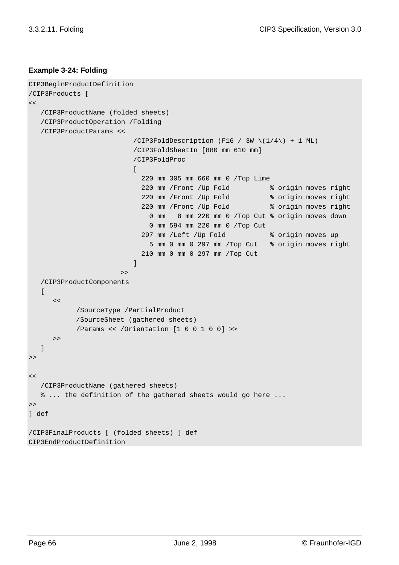#### **Example 3-24: Folding**

```
CIP3BeginProductDefinition
/CIP3Products [
\lt /CIP3ProductName (folded sheets)
    /CIP3ProductOperation /Folding
    /CIP3ProductParams <<
                         /CIP3FoldDescription (F16 / 3W \{(1/4)\ + 1 ML)
                          /CIP3FoldSheetIn [880 mm 610 mm]
                          /CIP3FoldProc
                          \Gamma 220 mm 305 mm 660 mm 0 /Top Lime
                             220 mm /Front /Up Fold % origin moves right
                             220 mm /Front /Up Fold % origin moves right
                             220 mm /Front /Up Fold % origin moves right
                               0 mm 8 mm 220 mm 0 /Top Cut % origin moves down
                               0 mm 594 mm 220 mm 0 /Top Cut
                             297 mm /Left /Up Fold % origin moves up
                               5 mm 0 mm 0 297 mm /Top Cut % origin moves right
                             210 mm 0 mm 0 297 mm /Top Cut
                          ]
                       > /CIP3ProductComponents
   \Gamma<</SourceType /PartialProduct
            /SourceSheet (gathered sheets)
           /Params << /Orientation [1 0 0 1 0 0] >>
       >>
    ]
>>
<< /CIP3ProductName (gathered sheets)
    % ... the definition of the gathered sheets would go here ...
\gt] def
/CIP3FinalProducts [ (folded sheets) ] def
CIP3EndProductDefinition
```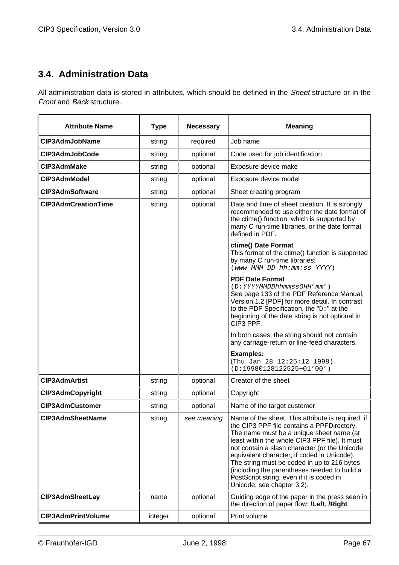# **3.4. Administration Data**

All administration data is stored in attributes, which should be defined in the Sheet structure or in the Front and Back structure.

| <b>Attribute Name</b>      | <b>Type</b> | <b>Necessary</b> | <b>Meaning</b>                                                                                                                                                                                                                                                                                                                                                                                                                                                          |
|----------------------------|-------------|------------------|-------------------------------------------------------------------------------------------------------------------------------------------------------------------------------------------------------------------------------------------------------------------------------------------------------------------------------------------------------------------------------------------------------------------------------------------------------------------------|
| CIP3AdmJobName             | string      | required         | Job name                                                                                                                                                                                                                                                                                                                                                                                                                                                                |
| CIP3AdmJobCode             | string      | optional         | Code used for job identification                                                                                                                                                                                                                                                                                                                                                                                                                                        |
| <b>CIP3AdmMake</b>         | string      | optional         | Exposure device make                                                                                                                                                                                                                                                                                                                                                                                                                                                    |
| CIP3AdmModel               | string      | optional         | Exposure device model                                                                                                                                                                                                                                                                                                                                                                                                                                                   |
| <b>CIP3AdmSoftware</b>     | string      | optional         | Sheet creating program                                                                                                                                                                                                                                                                                                                                                                                                                                                  |
| <b>CIP3AdmCreationTime</b> | string      | optional         | Date and time of sheet creation. It is strongly<br>recommended to use either the date format of<br>the ctime() function, which is supported by<br>many C run-time libraries, or the date format<br>defined in PDF.                                                                                                                                                                                                                                                      |
|                            |             |                  | ctime() Date Format<br>This format of the ctime() function is supported<br>by many C run-time libraries:<br>(www MMM DD hh:mm:ss YYYY)                                                                                                                                                                                                                                                                                                                                  |
|                            |             |                  | <b>PDF Date Format</b><br>(D: YYYYMMDDhhmmssOHH'mm')<br>See page 133 of the PDF Reference Manual,<br>Version 1.2 [PDF] for more detail. In contrast<br>to the PDF Specification, the "D:" at the<br>beginning of the date string is not optional in<br>CIP3 PPF.                                                                                                                                                                                                        |
|                            |             |                  | In both cases, the string should not contain<br>any carriage-return or line-feed characters.                                                                                                                                                                                                                                                                                                                                                                            |
|                            |             |                  | <b>Examples:</b><br>(Thu Jan 28 12:25:12 1998)<br>$(D:19980128122525+01'00')$                                                                                                                                                                                                                                                                                                                                                                                           |
| <b>CIP3AdmArtist</b>       | string      | optional         | Creator of the sheet                                                                                                                                                                                                                                                                                                                                                                                                                                                    |
| <b>CIP3AdmCopyright</b>    | string      | optional         | Copyright                                                                                                                                                                                                                                                                                                                                                                                                                                                               |
| <b>CIP3AdmCustomer</b>     | string      | optional         | Name of the target customer                                                                                                                                                                                                                                                                                                                                                                                                                                             |
| <b>CIP3AdmSheetName</b>    | string      | see meaning      | Name of the sheet. This attribute is required, if<br>the CIP3 PPF file contains a PPFDirectory.<br>The name must be a unique sheet name (at<br>least within the whole CIP3 PPF file). It must<br>not contain a slash character (or the Unicode<br>equivalent character, if coded in Unicode).<br>The string must be coded in up to 216 bytes<br>(including the parentheses needed to build a<br>PostScript string, even if it is coded in<br>Unicode; see chapter 3.2). |
| <b>CIP3AdmSheetLay</b>     | name        | optional         | Guiding edge of the paper in the press seen in<br>the direction of paper flow: /Left, /Right                                                                                                                                                                                                                                                                                                                                                                            |
| <b>CIP3AdmPrintVolume</b>  | integer     | optional         | Print volume                                                                                                                                                                                                                                                                                                                                                                                                                                                            |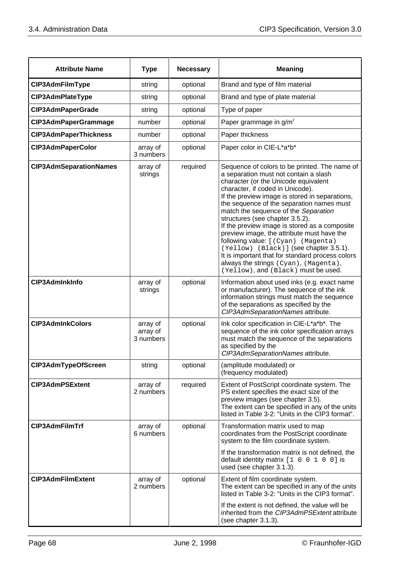| <b>Attribute Name</b>         | <b>Type</b>                       | <b>Necessary</b> | <b>Meaning</b>                                                                                                                                                                                                                                                                                                                                                                                                                                                                                                                                                                                                                                                   |
|-------------------------------|-----------------------------------|------------------|------------------------------------------------------------------------------------------------------------------------------------------------------------------------------------------------------------------------------------------------------------------------------------------------------------------------------------------------------------------------------------------------------------------------------------------------------------------------------------------------------------------------------------------------------------------------------------------------------------------------------------------------------------------|
| CIP3AdmFilmType               | string                            | optional         | Brand and type of film material                                                                                                                                                                                                                                                                                                                                                                                                                                                                                                                                                                                                                                  |
| CIP3AdmPlateType              | string                            | optional         | Brand and type of plate material                                                                                                                                                                                                                                                                                                                                                                                                                                                                                                                                                                                                                                 |
| <b>CIP3AdmPaperGrade</b>      | string                            | optional         | Type of paper                                                                                                                                                                                                                                                                                                                                                                                                                                                                                                                                                                                                                                                    |
| CIP3AdmPaperGrammage          | number                            | optional         | Paper grammage in g/m <sup>2</sup>                                                                                                                                                                                                                                                                                                                                                                                                                                                                                                                                                                                                                               |
| <b>CIP3AdmPaperThickness</b>  | number                            | optional         | Paper thickness                                                                                                                                                                                                                                                                                                                                                                                                                                                                                                                                                                                                                                                  |
| <b>CIP3AdmPaperColor</b>      | array of<br>3 numbers             | optional         | Paper color in CIE-L*a*b*                                                                                                                                                                                                                                                                                                                                                                                                                                                                                                                                                                                                                                        |
| <b>CIP3AdmSeparationNames</b> | array of<br>strings               | required         | Sequence of colors to be printed. The name of<br>a separation must not contain a slash<br>character (or the Unicode equivalent<br>character, if coded in Unicode).<br>If the preview image is stored in separations,<br>the sequence of the separation names must<br>match the sequence of the Separation<br>structures (see chapter 3.5.2).<br>If the preview image is stored as a composite<br>preview image, the attribute must have the<br>following value: [ (Cyan) (Magenta)<br>(Yellow) (Black)] (see chapter 3.5.1).<br>It is important that for standard process colors<br>always the strings (Cyan), (Magenta),<br>(Yellow), and (Black) must be used. |
| CIP3AdmInkInfo                | array of<br>strings               | optional         | Information about used inks (e.g. exact name<br>or manufacturer). The sequence of the ink<br>information strings must match the sequence<br>of the separations as specified by the<br>CIP3AdmSeparationNames attribute.                                                                                                                                                                                                                                                                                                                                                                                                                                          |
| <b>CIP3AdmInkColors</b>       | array of<br>array of<br>3 numbers | optional         | Ink color specification in CIE-L*a*b*. The<br>sequence of the ink color specification arrays<br>must match the sequence of the separations<br>as specified by the<br>CIP3AdmSeparationNames attribute.                                                                                                                                                                                                                                                                                                                                                                                                                                                           |
| CIP3AdmTypeOfScreen           | string                            | optional         | (amplitude modulated) or<br>(frequency modulated)                                                                                                                                                                                                                                                                                                                                                                                                                                                                                                                                                                                                                |
| <b>CIP3AdmPSExtent</b>        | array of<br>2 numbers             | required         | Extent of PostScript coordinate system. The<br>PS extent specifies the exact size of the<br>preview images (see chapter 3.5).<br>The extent can be specified in any of the units<br>listed in Table 3-2: "Units in the CIP3 format".                                                                                                                                                                                                                                                                                                                                                                                                                             |
| CIP3AdmFilmTrf                | array of<br>6 numbers             | optional         | Transformation matrix used to map<br>coordinates from the PostScript coordinate<br>system to the film coordinate system.<br>If the transformation matrix is not defined, the<br>default identity matrix [1 0 0 1 0 0] is<br>used (see chapter 3.1.3).                                                                                                                                                                                                                                                                                                                                                                                                            |
| <b>CIP3AdmFilmExtent</b>      | array of<br>2 numbers             | optional         | Extent of film coordinate system.<br>The extent can be specified in any of the units<br>listed in Table 3-2: "Units in the CIP3 format".<br>If the extent is not defined, the value will be<br>inherited from the CIP3AdmPSExtent attribute<br>(see chapter 3.1.3).                                                                                                                                                                                                                                                                                                                                                                                              |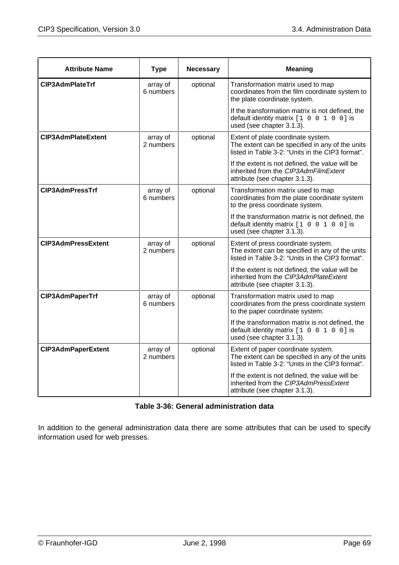| <b>Attribute Name</b>     | <b>Type</b>           | <b>Necessary</b> | <b>Meaning</b>                                                                                                                            |
|---------------------------|-----------------------|------------------|-------------------------------------------------------------------------------------------------------------------------------------------|
| <b>CIP3AdmPlateTrf</b>    | array of<br>6 numbers | optional         | Transformation matrix used to map<br>coordinates from the film coordinate system to<br>the plate coordinate system.                       |
|                           |                       |                  | If the transformation matrix is not defined, the<br>default identity matrix [1 0 0 1 0 0] is<br>used (see chapter 3.1.3).                 |
| <b>CIP3AdmPlateExtent</b> | array of<br>2 numbers | optional         | Extent of plate coordinate system.<br>The extent can be specified in any of the units<br>listed in Table 3-2: "Units in the CIP3 format". |
|                           |                       |                  | If the extent is not defined, the value will be<br>inherited from the CIP3AdmFilmExtent<br>attribute (see chapter 3.1.3).                 |
| <b>CIP3AdmPressTrf</b>    | array of<br>6 numbers | optional         | Transformation matrix used to map<br>coordinates from the plate coordinate system<br>to the press coordinate system.                      |
|                           |                       |                  | If the transformation matrix is not defined, the<br>default identity matrix $[1 \ 0 \ 0 \ 1 \ 0 \ 0]$ is<br>used (see chapter 3.1.3).     |
| <b>CIP3AdmPressExtent</b> | array of<br>2 numbers | optional         | Extent of press coordinate system.<br>The extent can be specified in any of the units<br>listed in Table 3-2: "Units in the CIP3 format". |
|                           |                       |                  | If the extent is not defined, the value will be<br>inherited from the CIP3AdmPlateExtent<br>attribute (see chapter 3.1.3).                |
| CIP3AdmPaperTrf           | array of<br>6 numbers | optional         | Transformation matrix used to map<br>coordinates from the press coordinate system<br>to the paper coordinate system.                      |
|                           |                       |                  | If the transformation matrix is not defined, the<br>default identity matrix [1 0 0 1 0 0] is<br>used (see chapter 3.1.3).                 |
| <b>CIP3AdmPaperExtent</b> | array of<br>2 numbers | optional         | Extent of paper coordinate system.<br>The extent can be specified in any of the units<br>listed in Table 3-2: "Units in the CIP3 format". |
|                           |                       |                  | If the extent is not defined, the value will be<br>inherited from the CIP3AdmPressExtent<br>attribute (see chapter 3.1.3).                |

#### **Table 3-36: General administration data**

In addition to the general administration data there are some attributes that can be used to specify information used for web presses.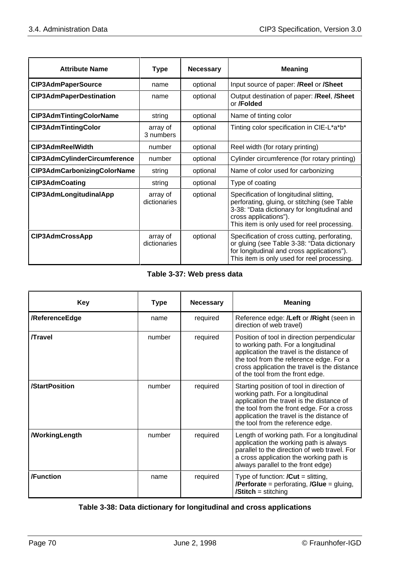| <b>Attribute Name</b>               | <b>Type</b>              | <b>Necessary</b> | <b>Meaning</b>                                                                                                                                                                                                 |
|-------------------------------------|--------------------------|------------------|----------------------------------------------------------------------------------------------------------------------------------------------------------------------------------------------------------------|
| <b>CIP3AdmPaperSource</b>           | name                     | optional         | Input source of paper: <b>/Reel</b> or <b>/Sheet</b>                                                                                                                                                           |
| <b>CIP3AdmPaperDestination</b>      | name                     | optional         | Output destination of paper: /Reel, /Sheet<br>or / <b>Folded</b>                                                                                                                                               |
| CIP3AdmTintingColorName             | string                   | optional         | Name of tinting color                                                                                                                                                                                          |
| <b>CIP3AdmTintingColor</b>          | array of<br>3 numbers    | optional         | Tinting color specification in CIE-L*a*b*                                                                                                                                                                      |
| CIP3AdmReelWidth                    | number                   | optional         | Reel width (for rotary printing)                                                                                                                                                                               |
| <b>CIP3AdmCylinderCircumference</b> | number                   | optional         | Cylinder circumference (for rotary printing)                                                                                                                                                                   |
| <b>CIP3AdmCarbonizingColorName</b>  | string                   | optional         | Name of color used for carbonizing                                                                                                                                                                             |
| <b>CIP3AdmCoating</b>               | string                   | optional         | Type of coating                                                                                                                                                                                                |
| CIP3AdmLongitudinalApp              | array of<br>dictionaries | optional         | Specification of longitudinal slitting,<br>perforating, gluing, or stitching (see Table<br>3-38: "Data dictionary for longitudinal and<br>cross applications").<br>This item is only used for reel processing. |
| <b>CIP3AdmCrossApp</b>              | array of<br>dictionaries | optional         | Specification of cross cutting, perforating,<br>or gluing (see Table 3-38: "Data dictionary<br>for longitudinal and cross applications").<br>This item is only used for reel processing.                       |

### **Table 3-37: Web press data**

| <b>Key</b>           | <b>Type</b> | <b>Necessary</b> | <b>Meaning</b>                                                                                                                                                                                                                                                 |
|----------------------|-------------|------------------|----------------------------------------------------------------------------------------------------------------------------------------------------------------------------------------------------------------------------------------------------------------|
| /ReferenceEdge       | name        | required         | Reference edge: <b>/Left</b> or <b>/Right</b> (seen in<br>direction of web travel)                                                                                                                                                                             |
| <b>Travel</b>        | number      | required         | Position of tool in direction perpendicular<br>to working path. For a longitudinal<br>application the travel is the distance of<br>the tool from the reference edge. For a<br>cross application the travel is the distance<br>of the tool from the front edge. |
| /StartPosition       | number      | required         | Starting position of tool in direction of<br>working path. For a longitudinal<br>application the travel is the distance of<br>the tool from the front edge. For a cross<br>application the travel is the distance of<br>the tool from the reference edge.      |
| <b>MorkingLength</b> | number      | required         | Length of working path. For a longitudinal<br>application the working path is always<br>parallel to the direction of web travel. For<br>a cross application the working path is<br>always parallel to the front edge)                                          |
| /Function            | name        | required         | Type of function: $\prime$ Cut = slitting,<br><b>/Perforate</b> = perforating, <b>/Glue</b> = gluing,<br><b>/Stitch</b> = stitching                                                                                                                            |

## **Table 3-38: Data dictionary for longitudinal and cross applications**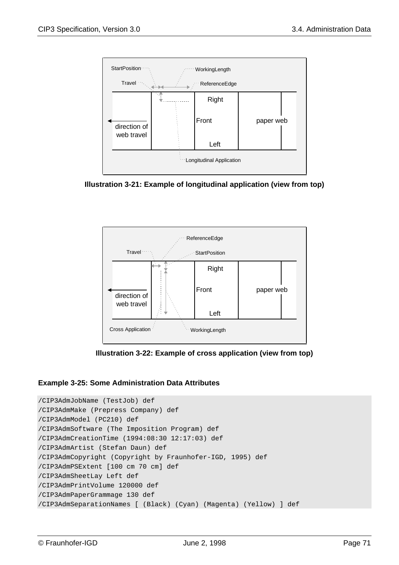

**Illustration 3-21: Example of longitudinal application (view from top)**



**Illustration 3-22: Example of cross application (view from top)**

#### **Example 3-25: Some Administration Data Attributes**

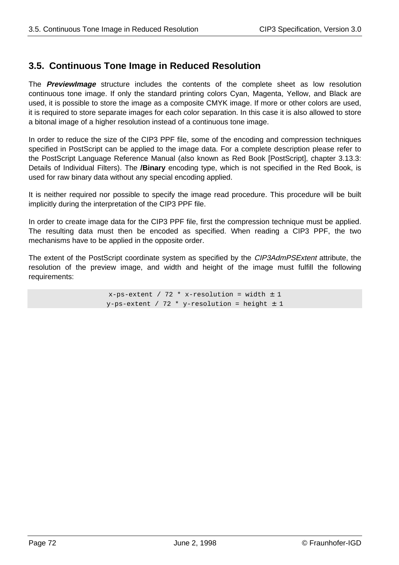## **3.5. Continuous Tone Image in Reduced Resolution**

The **PreviewImage** structure includes the contents of the complete sheet as low resolution continuous tone image. If only the standard printing colors Cyan, Magenta, Yellow, and Black are used, it is possible to store the image as a composite CMYK image. If more or other colors are used, it is required to store separate images for each color separation. In this case it is also allowed to store a bitonal image of a higher resolution instead of a continuous tone image.

In order to reduce the size of the CIP3 PPF file, some of the encoding and compression techniques specified in PostScript can be applied to the image data. For a complete description please refer to the PostScript Language Reference Manual (also known as Red Book [PostScript], chapter 3.13.3: Details of Individual Filters). The **/Binary** encoding type, which is not specified in the Red Book, is used for raw binary data without any special encoding applied.

It is neither required nor possible to specify the image read procedure. This procedure will be built implicitly during the interpretation of the CIP3 PPF file.

In order to create image data for the CIP3 PPF file, first the compression technique must be applied. The resulting data must then be encoded as specified. When reading a CIP3 PPF, the two mechanisms have to be applied in the opposite order.

The extent of the PostScript coordinate system as specified by the CIP3AdmPSExtent attribute, the resolution of the preview image, and width and height of the image must fulfill the following requirements:

> $x-ps$ -extent / 72 \*  $x$ -resolution = width  $\pm$  1  $y$ -ps-extent / 72 \*  $y$ -resolution = height  $\pm$  1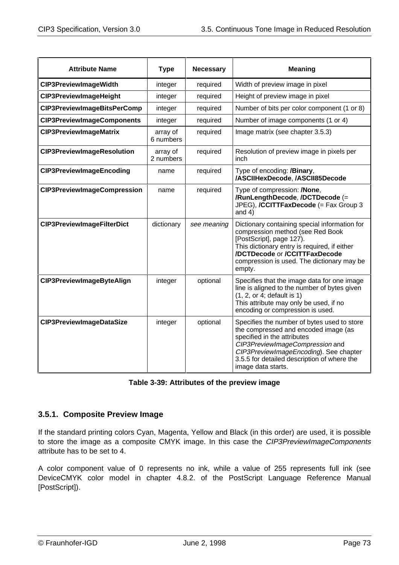| <b>Attribute Name</b>              | <b>Type</b>           | <b>Necessary</b> | <b>Meaning</b>                                                                                                                                                                                                                                                       |
|------------------------------------|-----------------------|------------------|----------------------------------------------------------------------------------------------------------------------------------------------------------------------------------------------------------------------------------------------------------------------|
| <b>CIP3PreviewImageWidth</b>       | integer               | required         | Width of preview image in pixel                                                                                                                                                                                                                                      |
| <b>CIP3PreviewImageHeight</b>      | integer               | required         | Height of preview image in pixel                                                                                                                                                                                                                                     |
| CIP3PreviewImageBitsPerComp        | integer               | required         | Number of bits per color component (1 or 8)                                                                                                                                                                                                                          |
| <b>CIP3PreviewImageComponents</b>  | integer               | required         | Number of image components (1 or 4)                                                                                                                                                                                                                                  |
| <b>CIP3PreviewImageMatrix</b>      | array of<br>6 numbers | required         | Image matrix (see chapter 3.5.3)                                                                                                                                                                                                                                     |
| <b>CIP3PreviewImageResolution</b>  | array of<br>2 numbers | required         | Resolution of preview image in pixels per<br>inch                                                                                                                                                                                                                    |
| <b>CIP3PreviewImageEncoding</b>    | name                  | required         | Type of encoding: /Binary,<br>/ASCIIHexDecode, /ASCII85Decode                                                                                                                                                                                                        |
| <b>CIP3PreviewImageCompression</b> | name                  | required         | Type of compression: <b>/None</b> ,<br>/RunLengthDecode, /DCTDecode (=<br>JPEG), /CCITTFaxDecode (= Fax Group 3<br>and $4)$                                                                                                                                          |
| <b>CIP3PreviewImageFilterDict</b>  | dictionary            | see meaning      | Dictionary containing special information for<br>compression method (see Red Book<br>[PostScript], page 127).<br>This dictionary entry is required, if either<br>/DCTDecode or /CCITTFaxDecode<br>compression is used. The dictionary may be<br>empty.               |
| CIP3PreviewImageByteAlign          | integer               | optional         | Specifies that the image data for one image<br>line is aligned to the number of bytes given<br>(1, 2, or 4; default is 1)<br>This attribute may only be used, if no<br>encoding or compression is used.                                                              |
| <b>CIP3PreviewImageDataSize</b>    | integer               | optional         | Specifies the number of bytes used to store<br>the compressed and encoded image (as<br>specified in the attributes<br>CIP3PreviewImageCompression and<br>CIP3PreviewImageEncoding). See chapter<br>3.5.5 for detailed description of where the<br>image data starts. |

| Table 3-39: Attributes of the preview image |  |  |  |
|---------------------------------------------|--|--|--|
|---------------------------------------------|--|--|--|

## **3.5.1. Composite Preview Image**

If the standard printing colors Cyan, Magenta, Yellow and Black (in this order) are used, it is possible to store the image as a composite CMYK image. In this case the CIP3PreviewImageComponents attribute has to be set to 4.

A color component value of 0 represents no ink, while a value of 255 represents full ink (see DeviceCMYK color model in chapter 4.8.2. of the PostScript Language Reference Manual [PostScript]).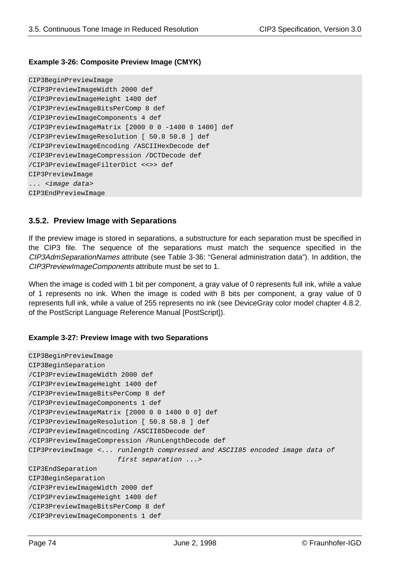#### **Example 3-26: Composite Preview Image (CMYK)**

```
CIP3BeginPreviewImage
/CIP3PreviewImageWidth 2000 def
/CIP3PreviewImageHeight 1400 def
/CIP3PreviewImageBitsPerComp 8 def
/CIP3PreviewImageComponents 4 def
/CIP3PreviewImageMatrix [2000 0 0 -1400 0 1400] def
/CIP3PreviewImageResolution [ 50.8 50.8 ] def
/CIP3PreviewImageEncoding /ASCIIHexDecode def
/CIP3PreviewImageCompression /DCTDecode def
/CIP3PreviewImageFilterDict <<>> def
CIP3PreviewImage
... <image data>
CIP3EndPreviewImage
```
## **3.5.2. Preview Image with Separations**

If the preview image is stored in separations, a substructure for each separation must be specified in the CIP3 file. The sequence of the separations must match the sequence specified in the CIP3AdmSeparationNames attribute (see Table 3-36: "General administration data"). In addition, the CIP3PreviewImageComponents attribute must be set to 1.

When the image is coded with 1 bit per component, a gray value of 0 represents full ink, while a value of 1 represents no ink. When the image is coded with 8 bits per component, a gray value of 0 represents full ink, while a value of 255 represents no ink (see DeviceGray color model chapter 4.8.2. of the PostScript Language Reference Manual [PostScript]).

#### **Example 3-27: Preview Image with two Separations**

```
CIP3BeginPreviewImage
CIP3BeginSeparation
/CIP3PreviewImageWidth 2000 def
/CIP3PreviewImageHeight 1400 def
/CIP3PreviewImageBitsPerComp 8 def
/CIP3PreviewImageComponents 1 def
/CIP3PreviewImageMatrix [2000 0 0 1400 0 0] def
/CIP3PreviewImageResolution [ 50.8 50.8 ] def
/CIP3PreviewImageEncoding /ASCII85Decode def
/CIP3PreviewImageCompression /RunLengthDecode def
CIP3PreviewImage <... runlength compressed and ASCII85 encoded image data of
                       first separation ...>
CIP3EndSeparation
CIP3BeginSeparation
/CIP3PreviewImageWidth 2000 def
/CIP3PreviewImageHeight 1400 def
/CIP3PreviewImageBitsPerComp 8 def
/CIP3PreviewImageComponents 1 def
```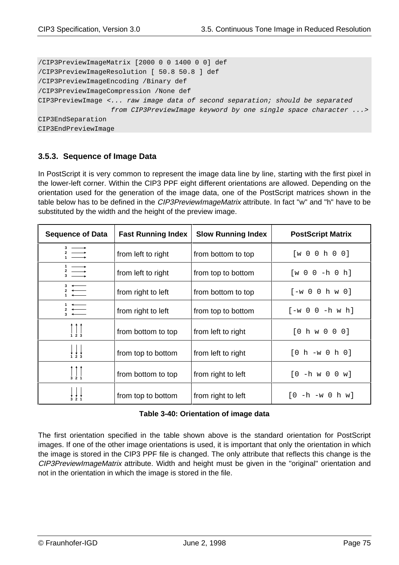/CIP3PreviewImageMatrix [2000 0 0 1400 0 0] def /CIP3PreviewImageResolution [ 50.8 50.8 ] def /CIP3PreviewImageEncoding /Binary def /CIP3PreviewImageCompression /None def CIP3PreviewImage <... raw image data of second separation; should be separated from CIP3PreviewImage keyword by one single space character ...> CIP3EndSeparation CIP3EndPreviewImage

## **3.5.3. Sequence of Image Data**

In PostScript it is very common to represent the image data line by line, starting with the first pixel in the lower-left corner. Within the CIP3 PPF eight different orientations are allowed. Depending on the orientation used for the generation of the image data, one of the PostScript matrices shown in the table below has to be defined in the *CIP3PreviewImageMatrix* attribute. In fact "w" and "h" have to be substituted by the width and the height of the preview image.

| <b>Sequence of Data</b>                                                                                                                                                                                                                                                                     | <b>Fast Running Index</b> | <b>Slow Running Index</b> | <b>PostScript Matrix</b>    |
|---------------------------------------------------------------------------------------------------------------------------------------------------------------------------------------------------------------------------------------------------------------------------------------------|---------------------------|---------------------------|-----------------------------|
|                                                                                                                                                                                                                                                                                             | from left to right        | from bottom to top        | [w 0 0 h 0 0]               |
| $1 \longrightarrow$<br>2 $\longrightarrow$                                                                                                                                                                                                                                                  | from left to right        | from top to bottom        | $[w 0 0 -h 0 h]$            |
|                                                                                                                                                                                                                                                                                             | from right to left        | from bottom to top        | $[-w 0 0 h w 0]$            |
| $3 \leftarrow$                                                                                                                                                                                                                                                                              | from right to left        | from top to bottom        | $[-w\; 0\; 0\; -h\; w\; h]$ |
| $\begin{array}{c c c c} & & & & \\ \hline & 1 & 2 & 3 \\ \end{array}$                                                                                                                                                                                                                       | from bottom to top        | from left to right        | [0 h w 0 0 0]               |
| $\begin{array}{c} \begin{array}{c} \end{array} \\ \begin{array}{c} \end{array} \\ \begin{array}{c} \end{array} \\ \begin{array}{c} \end{array} \\ \begin{array}{c} \end{array} \\ \begin{array}{c} \end{array} \\ \begin{array}{c} \end{array} \\ \begin{array}{c} \end{array} \end{array}$ | from top to bottom        | from left to right        | $[0 h -w 0 h 0]$            |
| $\begin{array}{c} \uparrow \\ \downarrow \\ 3 & 2 & 1 \end{array}$                                                                                                                                                                                                                          | from bottom to top        | from right to left        | $[0 - h \le 0 \le w]$       |
| 3, 2, 1                                                                                                                                                                                                                                                                                     | from top to bottom        | from right to left        | $[0 -h -w 0 h w]$           |

#### **Table 3-40: Orientation of image data**

The first orientation specified in the table shown above is the standard orientation for PostScript images. If one of the other image orientations is used, it is important that only the orientation in which the image is stored in the CIP3 PPF file is changed. The only attribute that reflects this change is the CIP3PreviewImageMatrix attribute. Width and height must be given in the "original" orientation and not in the orientation in which the image is stored in the file.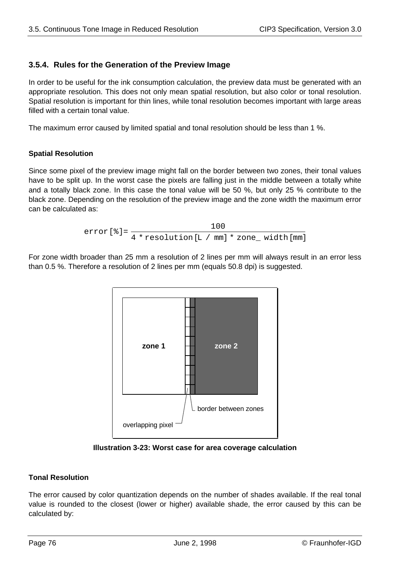## **3.5.4. Rules for the Generation of the Preview Image**

In order to be useful for the ink consumption calculation, the preview data must be generated with an appropriate resolution. This does not only mean spatial resolution, but also color or tonal resolution. Spatial resolution is important for thin lines, while tonal resolution becomes important with large areas filled with a certain tonal value.

The maximum error caused by limited spatial and tonal resolution should be less than 1 %.

### **Spatial Resolution**

Since some pixel of the preview image might fall on the border between two zones, their tonal values have to be split up. In the worst case the pixels are falling just in the middle between a totally white and a totally black zone. In this case the tonal value will be 50 %, but only 25 % contribute to the black zone. Depending on the resolution of the preview image and the zone width the maximum error can be calculated as:

$$
error[*] = \frac{100}{4 * resolution[L / mm] * zone\_width[mm]}
$$

For zone width broader than 25 mm a resolution of 2 lines per mm will always result in an error less than 0.5 %. Therefore a resolution of 2 lines per mm (equals 50.8 dpi) is suggested.



**Illustration 3-23: Worst case for area coverage calculation**

## **Tonal Resolution**

The error caused by color quantization depends on the number of shades available. If the real tonal value is rounded to the closest (lower or higher) available shade, the error caused by this can be calculated by: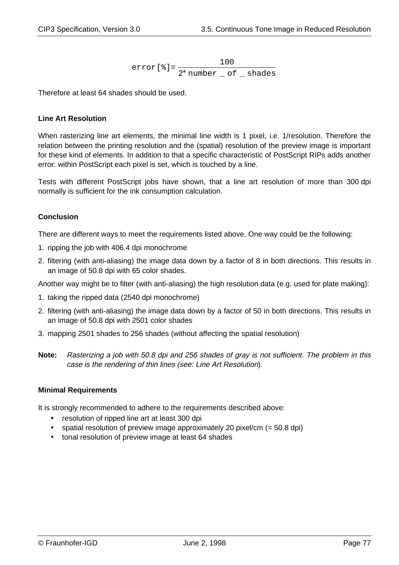error[%]= number \_ of \_ shades 100  $2^*$  number  $\_$  of  $\_$ 

Therefore at least 64 shades should be used.

### **Line Art Resolution**

When rasterizing line art elements, the minimal line width is 1 pixel, i.e. 1/resolution. Therefore the relation between the printing resolution and the (spatial) resolution of the preview image is important for these kind of elements. In addition to that a specific characteristic of PostScript RIPs adds another error: within PostScript each pixel is set, which is touched by a line.

Tests with different PostScript jobs have shown, that a line art resolution of more than 300 dpi normally is sufficient for the ink consumption calculation.

### **Conclusion**

There are different ways to meet the requirements listed above. One way could be the following:

- 1. ripping the job with 406.4 dpi monochrome
- 2. filtering (with anti-aliasing) the image data down by a factor of 8 in both directions. This results in an image of 50.8 dpi with 65 color shades.

Another way might be to filter (with anti-aliasing) the high resolution data (e.g. used for plate making):

- 1. taking the ripped data (2540 dpi monochrome)
- 2. filtering (with anti-aliasing) the image data down by a factor of 50 in both directions. This results in an image of 50.8 dpi with 2501 color shades
- 3. mapping 2501 shades to 256 shades (without affecting the spatial resolution)
- **Note:** Rasterizing a job with 50.8 dpi and 256 shades of gray is not sufficient. The problem in this case is the rendering of thin lines (see: Line Art Resolution).

#### **Minimal Requirements**

It is strongly recommended to adhere to the requirements described above:

- resolution of ripped line art at least 300 dpi
- spatial resolution of preview image approximately 20 pixel/cm  $(= 50.8 \text{ dpi})$
- tonal resolution of preview image at least 64 shades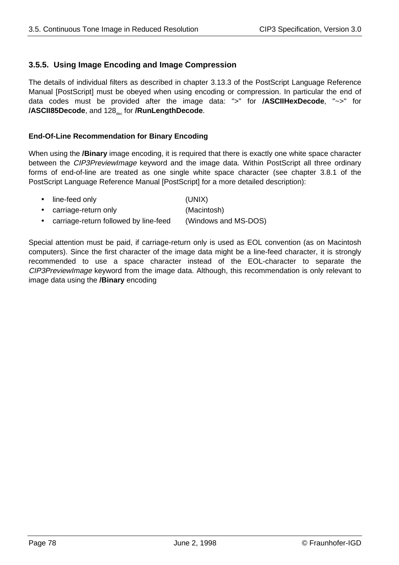## **3.5.5. Using Image Encoding and Image Compression**

The details of individual filters as described in chapter 3.13.3 of the PostScript Language Reference Manual [PostScript] must be obeyed when using encoding or compression. In particular the end of data codes must be provided after the image data: ">" for **/ASCIIHexDecode**, "~>" for **/ASCII85Decode**, and 128<sub>dec</sub> for **/RunLengthDecode**.

#### **End-Of-Line Recommendation for Binary Encoding**

When using the **/Binary** image encoding, it is required that there is exactly one white space character between the CIP3PreviewImage keyword and the image data. Within PostScript all three ordinary forms of end-of-line are treated as one single white space character (see chapter 3.8.1 of the PostScript Language Reference Manual [PostScript] for a more detailed description):

- line-feed only (UNIX)
- carriage-return only (Macintosh)
- carriage-return followed by line-feed (Windows and MS-DOS)

Special attention must be paid, if carriage-return only is used as EOL convention (as on Macintosh computers). Since the first character of the image data might be a line-feed character, it is strongly recommended to use a space character instead of the EOL-character to separate the CIP3PreviewImage keyword from the image data. Although, this recommendation is only relevant to image data using the **/Binary** encoding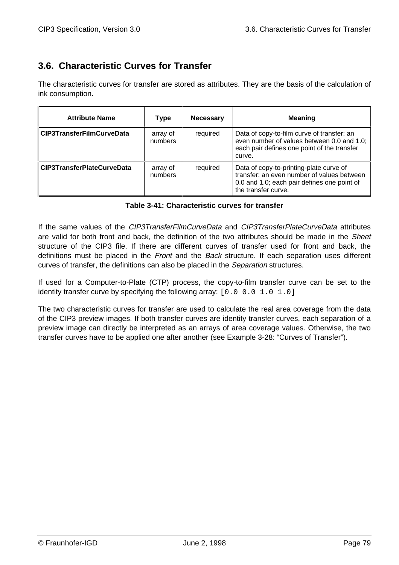# **3.6. Characteristic Curves for Transfer**

The characteristic curves for transfer are stored as attributes. They are the basis of the calculation of ink consumption.

| <b>Attribute Name</b>             | Type                | <b>Necessary</b> | <b>Meaning</b>                                                                                                                                              |
|-----------------------------------|---------------------|------------------|-------------------------------------------------------------------------------------------------------------------------------------------------------------|
| <b>CIP3TransferFilmCurveData</b>  | array of<br>numbers | required         | Data of copy-to-film curve of transfer: an<br>even number of values between 0.0 and 1.0;<br>each pair defines one point of the transfer<br>curve.           |
| <b>CIP3TransferPlateCurveData</b> | array of<br>numbers | required         | Data of copy-to-printing-plate curve of<br>transfer: an even number of values between<br>0.0 and 1.0; each pair defines one point of<br>the transfer curve. |

If the same values of the CIP3TransferFilmCurveData and CIP3TransferPlateCurveData attributes are valid for both front and back, the definition of the two attributes should be made in the *Sheet* structure of the CIP3 file. If there are different curves of transfer used for front and back, the definitions must be placed in the Front and the Back structure. If each separation uses different curves of transfer, the definitions can also be placed in the Separation structures.

If used for a Computer-to-Plate (CTP) process, the copy-to-film transfer curve can be set to the identity transfer curve by specifying the following array:  $[0.0 0.0 1.0 1.0]$ 

The two characteristic curves for transfer are used to calculate the real area coverage from the data of the CIP3 preview images. If both transfer curves are identity transfer curves, each separation of a preview image can directly be interpreted as an arrays of area coverage values. Otherwise, the two transfer curves have to be applied one after another (see Example 3-28: "Curves of Transfer").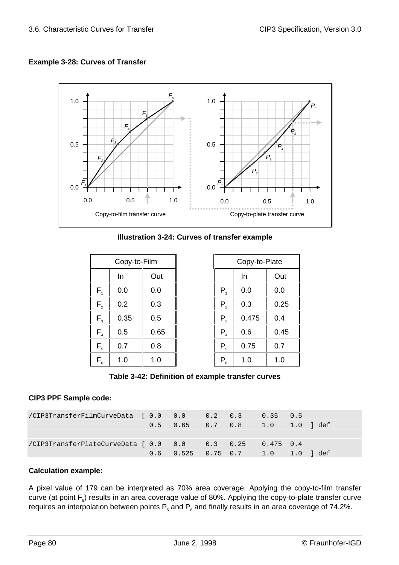## **Example 3-28: Curves of Transfer**



| <b>Illustration 3-24: Curves of transfer example</b> |  |  |  |
|------------------------------------------------------|--|--|--|
|------------------------------------------------------|--|--|--|

|                             | Copy-to-Film |      |                | Copy-to-Plate |      |
|-----------------------------|--------------|------|----------------|---------------|------|
|                             | In           | Out  |                | In            | Out  |
| $F_{1}$                     | 0.0          | 0.0  | $P_{1}$        | 0.0           | 0.0  |
| $F_{2}$                     | 0.2          | 0.3  | P <sub>2</sub> | 0.3           | 0.25 |
| $F_{3}$                     | 0.35         | 0.5  | $P_{3}$        | 0.475         | 0.4  |
| $F_{4}$                     | 0.5          | 0.65 | $P_{4}$        | 0.6           | 0.45 |
| $F_{\scriptscriptstyle{5}}$ | 0.7          | 0.8  | $P_5$          | 0.75          | 0.7  |
| $\mathsf{F}_{_{6}}$         | 1.0          | 1.0  | $P_6$          | 1.0           | 1.0  |

| Copy-to-Film |      | Copy-to-Plate       |       |      |
|--------------|------|---------------------|-------|------|
| In           | Out  |                     | In    | Out  |
| 0.0          | 0.0  | $P_{1}$             | 0.0   | 0.0  |
| 0.2          | 0.3  | $P_{2}$             | 0.3   | 0.25 |
| 0.35         | 0.5  | $P_{3}$             | 0.475 | 0.4  |
| 0.5          | 0.65 | $P_4$               | 0.6   | 0.45 |
| 0.7          | 0.8  | $P_{5}$             | 0.75  | 0.7  |
| 1.0          | 1.0  | $\mathsf{P}_{_{6}}$ | 1.0   | 1.0  |

**Table 3-42: Definition of example transfer curves**

## **CIP3 PPF Sample code:**

| /CIP3TransferFilmCurveData [ 0.0 0.0 0.2 0.3             |                                                |  | $0.35$ $0.5$ |  |
|----------------------------------------------------------|------------------------------------------------|--|--------------|--|
|                                                          |                                                |  |              |  |
|                                                          |                                                |  |              |  |
| /CIP3TransferPlateCurveData [ 0.0 0.0 0.3 0.25 0.475 0.4 |                                                |  |              |  |
|                                                          | $0.6$ $0.525$ $0.75$ $0.7$ $1.0$ $1.0$ $1$ def |  |              |  |

## **Calculation example:**

A pixel value of 179 can be interpreted as 70% area coverage. Applying the copy-to-film transfer curve (at point  $F_s$ ) results in an area coverage value of 80%. Applying the copy-to-plate transfer curve requires an interpolation between points  $P_s$  and  $P_e$  and finally results in an area coverage of 74.2%.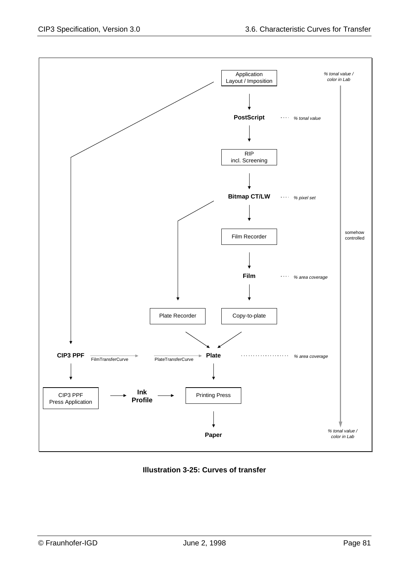

**Illustration 3-25: Curves of transfer**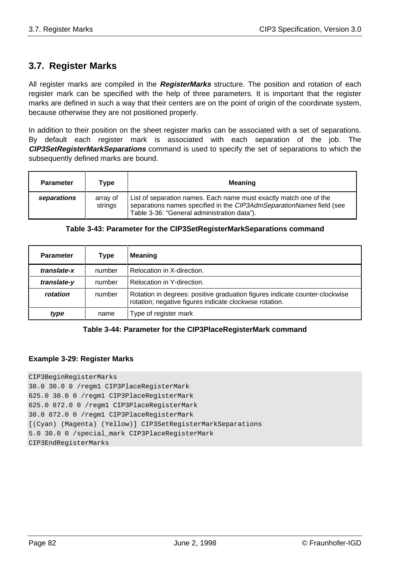## **3.7. Register Marks**

All register marks are compiled in the **RegisterMarks** structure. The position and rotation of each register mark can be specified with the help of three parameters. It is important that the register marks are defined in such a way that their centers are on the point of origin of the coordinate system, because otherwise they are not positioned properly.

In addition to their position on the sheet register marks can be associated with a set of separations. By default each register mark is associated with each separation of the job. The **CIP3SetRegisterMarkSeparations** command is used to specify the set of separations to which the subsequently defined marks are bound.

| <b>Parameter</b> | Type                | <b>Meaning</b>                                                                                                                                                                           |
|------------------|---------------------|------------------------------------------------------------------------------------------------------------------------------------------------------------------------------------------|
| separations      | array of<br>strings | List of separation names. Each name must exactly match one of the<br>separations names specified in the CIP3AdmSeparationNames field (see<br>Table 3-36: "General administration data"). |

| <b>Parameter</b> | Type   | <b>Meaning</b>                                                                                                                         |
|------------------|--------|----------------------------------------------------------------------------------------------------------------------------------------|
| translate-x      | number | Relocation in X-direction.                                                                                                             |
| translate-y      | number | Relocation in Y-direction.                                                                                                             |
| rotation         | number | Rotation in degrees: positive graduation figures indicate counter-clockwise<br>rotation; negative figures indicate clockwise rotation. |
| type             | name   | Type of register mark                                                                                                                  |

#### **Table 3-43: Parameter for the CIP3SetRegisterMarkSeparations command**

#### **Table 3-44: Parameter for the CIP3PlaceRegisterMark command**

#### **Example 3-29: Register Marks**

#### CIP3BeginRegisterMarks

30.0 30.0 0 /regm1 CIP3PlaceRegisterMark 625.0 30.0 0 /regm1 CIP3PlaceRegisterMark 625.0 872.0 0 /regm1 CIP3PlaceRegisterMark 30.0 872.0 0 /regm1 CIP3PlaceRegisterMark [(Cyan) (Magenta) (Yellow)] CIP3SetRegisterMarkSeparations 5.0 30.0 0 /special\_mark CIP3PlaceRegisterMark CIP3EndRegisterMarks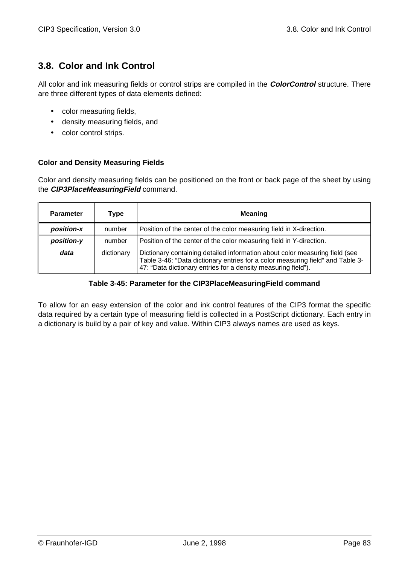## **3.8. Color and Ink Control**

All color and ink measuring fields or control strips are compiled in the **ColorControl** structure. There are three different types of data elements defined:

- color measuring fields,
- density measuring fields, and
- color control strips.

### **Color and Density Measuring Fields**

Color and density measuring fields can be positioned on the front or back page of the sheet by using the **CIP3PlaceMeasuringField** command.

| <b>Parameter</b> | Type       | <b>Meaning</b>                                                                                                                                                                                                                 |
|------------------|------------|--------------------------------------------------------------------------------------------------------------------------------------------------------------------------------------------------------------------------------|
| position-x       | number     | Position of the center of the color measuring field in X-direction.                                                                                                                                                            |
| position-y       | number     | Position of the center of the color measuring field in Y-direction.                                                                                                                                                            |
| data             | dictionary | Dictionary containing detailed information about color measuring field (see<br>Table 3-46: "Data dictionary entries for a color measuring field" and Table 3-<br>47: "Data dictionary entries for a density measuring field"). |

#### **Table 3-45: Parameter for the CIP3PlaceMeasuringField command**

To allow for an easy extension of the color and ink control features of the CIP3 format the specific data required by a certain type of measuring field is collected in a PostScript dictionary. Each entry in a dictionary is build by a pair of key and value. Within CIP3 always names are used as keys.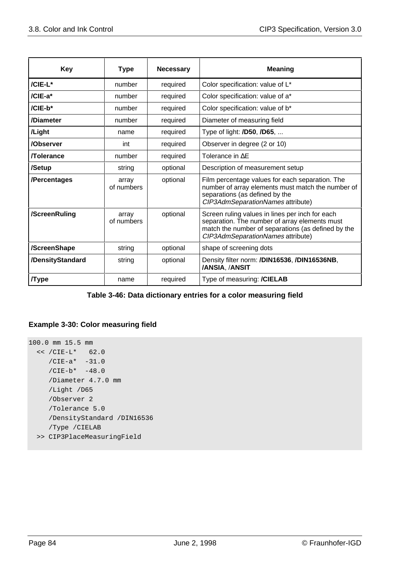| <b>Key</b>       | <b>Type</b>         | <b>Necessary</b> | <b>Meaning</b>                                                                                                                                                                              |
|------------------|---------------------|------------------|---------------------------------------------------------------------------------------------------------------------------------------------------------------------------------------------|
| /CIE-L*          | number              | required         | Color specification: value of L*                                                                                                                                                            |
| /CIE-a*          | number              | required         | Color specification: value of a*                                                                                                                                                            |
| /CIE-b*          | number              | required         | Color specification: value of b*                                                                                                                                                            |
| /Diameter        | number              | required         | Diameter of measuring field                                                                                                                                                                 |
| /Light           | name                | required         | Type of light: <b>/D50</b> , <b>/D65</b> ,                                                                                                                                                  |
| /Observer        | int                 | required         | Observer in degree (2 or 10)                                                                                                                                                                |
| <b>Tolerance</b> | number              | required         | Tolerance in AE                                                                                                                                                                             |
| /Setup           | string              | optional         | Description of measurement setup                                                                                                                                                            |
| /Percentages     | array<br>of numbers | optional         | Film percentage values for each separation. The<br>number of array elements must match the number of<br>separations (as defined by the<br>CIP3AdmSeparationNames attribute)                 |
| /ScreenRuling    | array<br>of numbers | optional         | Screen ruling values in lines per inch for each<br>separation. The number of array elements must<br>match the number of separations (as defined by the<br>CIP3AdmSeparationNames attribute) |
| /ScreenShape     | string              | optional         | shape of screening dots                                                                                                                                                                     |
| /DensityStandard | string              | optional         | Density filter norm: /DIN16536, /DIN16536NB,<br>/ANSIA, /ANSIT                                                                                                                              |
| <b>Type</b>      | name                | required         | Type of measuring: /CIELAB                                                                                                                                                                  |

#### **Table 3-46: Data dictionary entries for a color measuring field**

## **Example 3-30: Color measuring field**

```
100.0 mm 15.5 mm
  << /CIE-L* 62.0
    /CIE-a* -31.0/CIE-b* -48.0 /Diameter 4.7.0 mm
     /Light /D65
     /Observer 2
     /Tolerance 5.0
     /DensityStandard /DIN16536
     /Type /CIELAB
   >> CIP3PlaceMeasuringField
```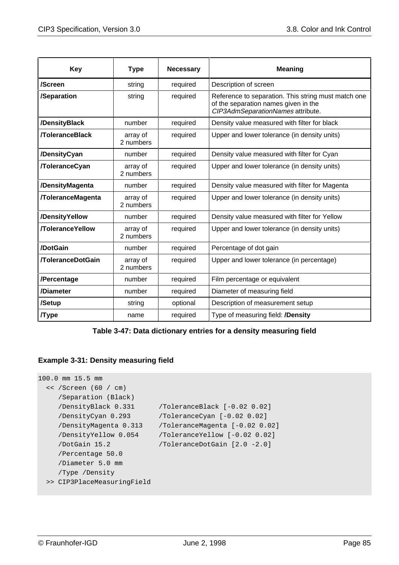| <b>Key</b>               | <b>Type</b>           | <b>Necessary</b> | <b>Meaning</b>                                                                                                                   |  |
|--------------------------|-----------------------|------------------|----------------------------------------------------------------------------------------------------------------------------------|--|
| /Screen                  | string                | required         | Description of screen                                                                                                            |  |
| /Separation              | string                | required         | Reference to separation. This string must match one<br>of the separation names given in the<br>CIP3AdmSeparationNames attribute. |  |
| /DensityBlack            | number                | required         | Density value measured with filter for black                                                                                     |  |
| <b>ToleranceBlack</b>    | array of<br>2 numbers | required         | Upper and lower tolerance (in density units)                                                                                     |  |
| /DensityCyan             | number                | required         | Density value measured with filter for Cyan                                                                                      |  |
| <b>/ToleranceCyan</b>    | array of<br>2 numbers | required         | Upper and lower tolerance (in density units)                                                                                     |  |
| /DensityMagenta          | number                | required         | Density value measured with filter for Magenta                                                                                   |  |
| <b>/ToleranceMagenta</b> | array of<br>2 numbers | required         | Upper and lower tolerance (in density units)                                                                                     |  |
| /DensityYellow<br>number |                       | required         | Density value measured with filter for Yellow                                                                                    |  |
| <b>/ToleranceYellow</b>  | array of<br>2 numbers | required         | Upper and lower tolerance (in density units)                                                                                     |  |
| /DotGain                 | number                | required         | Percentage of dot gain                                                                                                           |  |
| <b>/ToleranceDotGain</b> | array of<br>2 numbers | required         | Upper and lower tolerance (in percentage)                                                                                        |  |
| /Percentage              | number                | required         | Film percentage or equivalent                                                                                                    |  |
| /Diameter                | number                | required         | Diameter of measuring field                                                                                                      |  |
| /Setup                   | string                | optional         | Description of measurement setup                                                                                                 |  |
| <b>Type</b>              | name                  | required         | Type of measuring field: <b>/Density</b>                                                                                         |  |

**Table 3-47: Data dictionary entries for a density measuring field**

## **Example 3-31: Density measuring field**

```
100.0 mm 15.5 mm
   << /Screen (60 / cm)
     /Separation (Black)
     /DensityBlack 0.331 /ToleranceBlack [-0.02 0.02]
     /DensityCyan 0.293 /ToleranceCyan [-0.02 0.02]
     /DensityMagenta 0.313 /ToleranceMagenta [-0.02 0.02]
     /DensityYellow 0.054 /ToleranceYellow [-0.02 0.02]
     /DotGain 15.2 /ToleranceDotGain [2.0 -2.0]
     /Percentage 50.0
     /Diameter 5.0 mm
     /Type /Density
  >> CIP3PlaceMeasuringField
```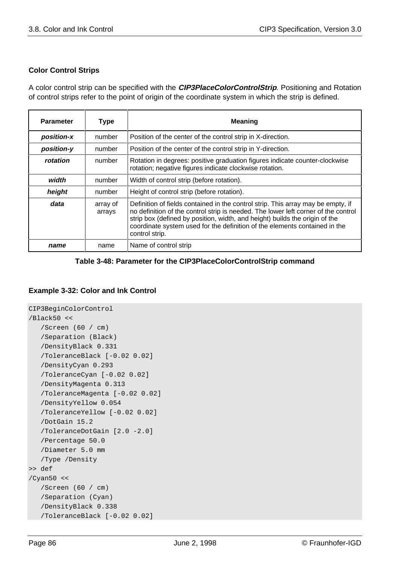### **Color Control Strips**

A color control strip can be specified with the **CIP3PlaceColorControlStrip**. Positioning and Rotation of control strips refer to the point of origin of the coordinate system in which the strip is defined.

| <b>Parameter</b> | <b>Type</b>        | <b>Meaning</b>                                                                                                                                                                                                                                                                                                                                        |
|------------------|--------------------|-------------------------------------------------------------------------------------------------------------------------------------------------------------------------------------------------------------------------------------------------------------------------------------------------------------------------------------------------------|
| position-x       | number             | Position of the center of the control strip in X-direction.                                                                                                                                                                                                                                                                                           |
| position-y       | number             | Position of the center of the control strip in Y-direction.                                                                                                                                                                                                                                                                                           |
| rotation         | number             | Rotation in degrees: positive graduation figures indicate counter-clockwise<br>rotation; negative figures indicate clockwise rotation.                                                                                                                                                                                                                |
| width            | number             | Width of control strip (before rotation).                                                                                                                                                                                                                                                                                                             |
| height           | number             | Height of control strip (before rotation).                                                                                                                                                                                                                                                                                                            |
| data             | array of<br>arrays | Definition of fields contained in the control strip. This array may be empty, if<br>no definition of the control strip is needed. The lower left corner of the control<br>strip box (defined by position, width, and height) builds the origin of the<br>coordinate system used for the definition of the elements contained in the<br>control strip. |
| name             | name               | Name of control strip                                                                                                                                                                                                                                                                                                                                 |

### **Table 3-48: Parameter for the CIP3PlaceColorControlStrip command**

#### **Example 3-32: Color and Ink Control**

```
CIP3BeginColorControl
/Black50 <<
    /Screen (60 / cm)
    /Separation (Black)
    /DensityBlack 0.331
    /ToleranceBlack [-0.02 0.02]
    /DensityCyan 0.293
    /ToleranceCyan [-0.02 0.02]
    /DensityMagenta 0.313
    /ToleranceMagenta [-0.02 0.02]
    /DensityYellow 0.054
    /ToleranceYellow [-0.02 0.02]
    /DotGain 15.2
    /ToleranceDotGain [2.0 -2.0]
    /Percentage 50.0
    /Diameter 5.0 mm
    /Type /Density
>> def
/Cyan50 <<
   /Screen (60 / cm)
    /Separation (Cyan)
    /DensityBlack 0.338
    /ToleranceBlack [-0.02 0.02]
```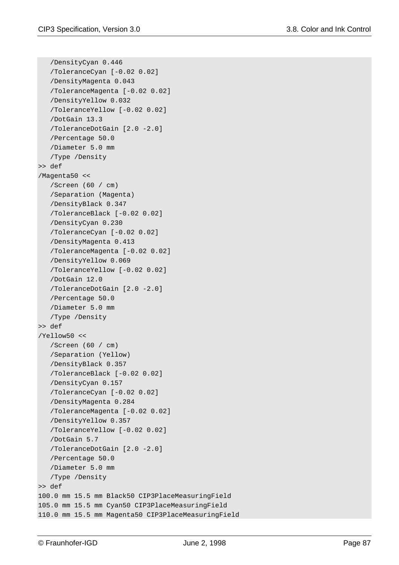```
 /DensityCyan 0.446
    /ToleranceCyan [-0.02 0.02]
    /DensityMagenta 0.043
    /ToleranceMagenta [-0.02 0.02]
    /DensityYellow 0.032
    /ToleranceYellow [-0.02 0.02]
    /DotGain 13.3
    /ToleranceDotGain [2.0 -2.0]
    /Percentage 50.0
    /Diameter 5.0 mm
    /Type /Density
>> def
/Magenta50 <<
    /Screen (60 / cm)
    /Separation (Magenta)
    /DensityBlack 0.347
    /ToleranceBlack [-0.02 0.02]
    /DensityCyan 0.230
    /ToleranceCyan [-0.02 0.02]
    /DensityMagenta 0.413
    /ToleranceMagenta [-0.02 0.02]
    /DensityYellow 0.069
    /ToleranceYellow [-0.02 0.02]
    /DotGain 12.0
    /ToleranceDotGain [2.0 -2.0]
    /Percentage 50.0
    /Diameter 5.0 mm
    /Type /Density
>> def
/Yellow50 <<
    /Screen (60 / cm)
    /Separation (Yellow)
    /DensityBlack 0.357
    /ToleranceBlack [-0.02 0.02]
    /DensityCyan 0.157
    /ToleranceCyan [-0.02 0.02]
    /DensityMagenta 0.284
    /ToleranceMagenta [-0.02 0.02]
    /DensityYellow 0.357
    /ToleranceYellow [-0.02 0.02]
    /DotGain 5.7
    /ToleranceDotGain [2.0 -2.0]
    /Percentage 50.0
    /Diameter 5.0 mm
    /Type /Density
>> def
100.0 mm 15.5 mm Black50 CIP3PlaceMeasuringField
105.0 mm 15.5 mm Cyan50 CIP3PlaceMeasuringField
110.0 mm 15.5 mm Magenta50 CIP3PlaceMeasuringField
```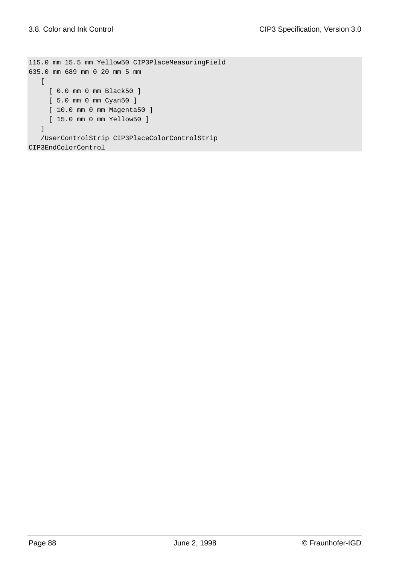```
115.0 mm 15.5 mm Yellow50 CIP3PlaceMeasuringField
635.0 mm 689 mm 0 20 mm 5 mm
  \lceil [ 0.0 mm 0 mm Black50 ]
     [ 5.0 mm 0 mm Cyan50 ]
    [ 10.0 mm 0 mm Magenta50 ]
     [ 15.0 mm 0 mm Yellow50 ]
    ]
    /UserControlStrip CIP3PlaceColorControlStrip
CIP3EndColorControl
```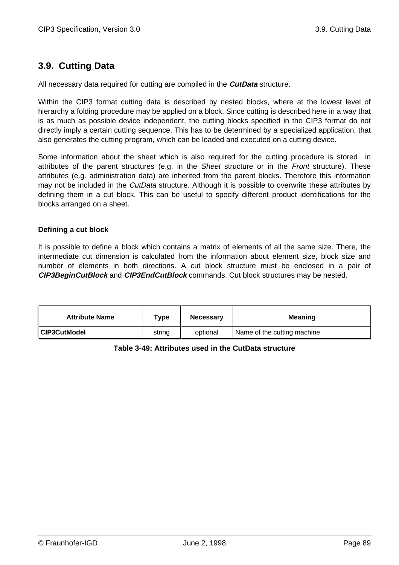## **3.9. Cutting Data**

All necessary data required for cutting are compiled in the **CutData** structure.

Within the CIP3 format cutting data is described by nested blocks, where at the lowest level of hierarchy a folding procedure may be applied on a block. Since cutting is described here in a way that is as much as possible device independent, the cutting blocks specified in the CIP3 format do not directly imply a certain cutting sequence. This has to be determined by a specialized application, that also generates the cutting program, which can be loaded and executed on a cutting device.

Some information about the sheet which is also required for the cutting procedure is stored in attributes of the parent structures (e.g. in the Sheet structure or in the Front structure). These attributes (e.g. administration data) are inherited from the parent blocks. Therefore this information may not be included in the *CutData* structure. Although it is possible to overwrite these attributes by defining them in a cut block. This can be useful to specify different product identifications for the blocks arranged on a sheet.

### **Defining a cut block**

It is possible to define a block which contains a matrix of elements of all the same size. There, the intermediate cut dimension is calculated from the information about element size, block size and number of elements in both directions. A cut block structure must be enclosed in a pair of **CIP3BeginCutBlock** and **CIP3EndCutBlock** commands. Cut block structures may be nested.

| <b>Attribute Name</b> | ™уре   | <b>Necessary</b> | <b>Meaning</b>              |
|-----------------------|--------|------------------|-----------------------------|
| CIP3CutModel          | string | optional         | Name of the cutting machine |

## **Table 3-49: Attributes used in the CutData structure**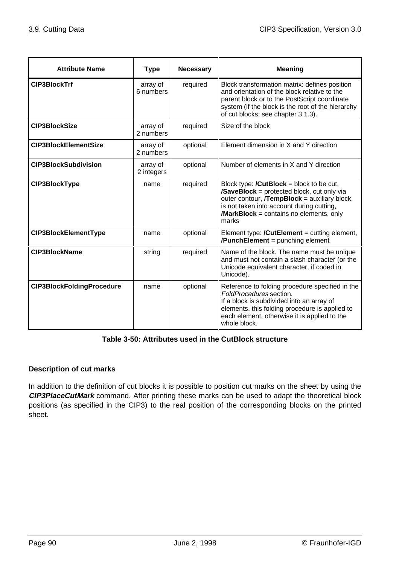| <b>Attribute Name</b>            | <b>Type</b>            | <b>Necessary</b> | <b>Meaning</b>                                                                                                                                                                                                                                                 |
|----------------------------------|------------------------|------------------|----------------------------------------------------------------------------------------------------------------------------------------------------------------------------------------------------------------------------------------------------------------|
| <b>CIP3BlockTrf</b>              | array of<br>6 numbers  | required         | Block transformation matrix: defines position<br>and orientation of the block relative to the<br>parent block or to the PostScript coordinate<br>system (if the block is the root of the hierarchy<br>of cut blocks; see chapter 3.1.3).                       |
| <b>CIP3BlockSize</b>             | array of<br>2 numbers  | required         | Size of the block                                                                                                                                                                                                                                              |
| <b>CIP3BlockElementSize</b>      | array of<br>2 numbers  | optional         | Element dimension in X and Y direction                                                                                                                                                                                                                         |
| <b>CIP3BlockSubdivision</b>      | array of<br>2 integers | optional         | Number of elements in X and Y direction                                                                                                                                                                                                                        |
| <b>CIP3BlockType</b>             | name                   | required         | Block type: $/CutBlock = block$ to be cut,<br><b>/SaveBlock</b> = protected block, cut only via<br>outer contour, <b>/TempBlock</b> = auxiliary block,<br>is not taken into account during cutting,<br><b>/MarkBlock</b> = contains no elements, only<br>marks |
| <b>CIP3BlockElementType</b>      | name                   | optional         | Element type: $\prime$ CutElement = cutting element,<br><b>/PunchElement</b> = punching element                                                                                                                                                                |
| <b>CIP3BlockName</b>             | string                 | required         | Name of the block. The name must be unique<br>and must not contain a slash character (or the<br>Unicode equivalent character, if coded in<br>Unicode).                                                                                                         |
| <b>CIP3BlockFoldingProcedure</b> | name                   | optional         | Reference to folding procedure specified in the<br>FoldProcedures section.<br>If a block is subdivided into an array of<br>elements, this folding procedure is applied to<br>each element, otherwise it is applied to the<br>whole block.                      |

## **Table 3-50: Attributes used in the CutBlock structure**

## **Description of cut marks**

In addition to the definition of cut blocks it is possible to position cut marks on the sheet by using the **CIP3PlaceCutMark** command. After printing these marks can be used to adapt the theoretical block positions (as specified in the CIP3) to the real position of the corresponding blocks on the printed sheet.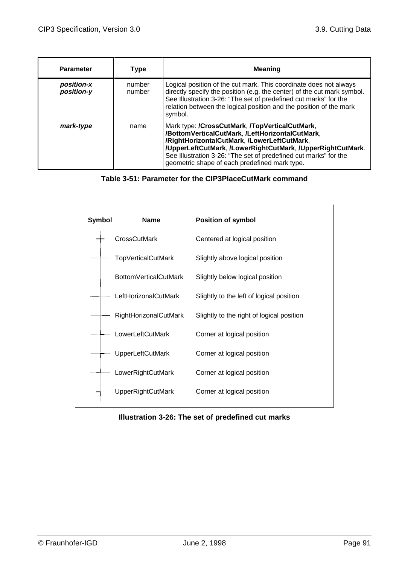| <b>Parameter</b>         | <b>Type</b>      | <b>Meaning</b>                                                                                                                                                                                                                                                                                                                      |
|--------------------------|------------------|-------------------------------------------------------------------------------------------------------------------------------------------------------------------------------------------------------------------------------------------------------------------------------------------------------------------------------------|
| position-x<br>position-y | number<br>number | Logical position of the cut mark. This coordinate does not always<br>directly specify the position (e.g. the center) of the cut mark symbol.<br>See Illustration 3-26: "The set of predefined cut marks" for the<br>relation between the logical position and the position of the mark<br>symbol.                                   |
| mark-type                | name             | Mark type: /CrossCutMark, /TopVerticalCutMark,<br>/BottomVerticalCutMark, /LeftHorizontalCutMark,<br>/RightHorizontalCutMark, /LowerLeftCutMark,<br>/UpperLeftCutMark, /LowerRightCutMark, /UpperRightCutMark.<br>See Illustration 3-26: "The set of predefined cut marks" for the<br>geometric shape of each predefined mark type. |

## **Table 3-51: Parameter for the CIP3PlaceCutMark command**



#### **Illustration 3-26: The set of predefined cut marks**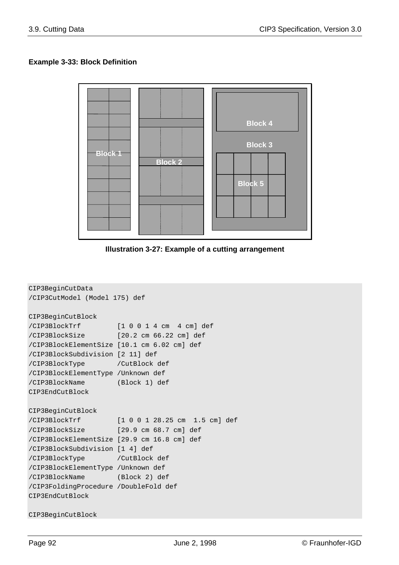### **Example 3-33: Block Definition**



**Illustration 3-27: Example of a cutting arrangement**

```
CIP3BeginCutData
/CIP3CutModel (Model 175) def
CIP3BeginCutBlock
/CIP3BlockTrf [1 0 0 1 4 cm 4 cm] def
/CIP3BlockSize [20.2 cm 66.22 cm] def
/CIP3BlockElementSize [10.1 cm 6.02 cm] def
/CIP3BlockSubdivision [2 11] def
/CIP3BlockType /CutBlock def
/CIP3BlockElementType /Unknown def
/CIP3BlockName (Block 1) def
CIP3EndCutBlock
CIP3BeginCutBlock
/CIP3BlockTrf [1 0 0 1 28.25 cm 1.5 cm] def
/CIP3BlockSize [29.9 cm 68.7 cm] def
/CIP3BlockElementSize [29.9 cm 16.8 cm] def
/CIP3BlockSubdivision [1 4] def
/CIP3BlockType /CutBlock def
/CIP3BlockElementType /Unknown def
/CIP3BlockName (Block 2) def
/CIP3FoldingProcedure /DoubleFold def
CIP3EndCutBlock
```
CIP3BeginCutBlock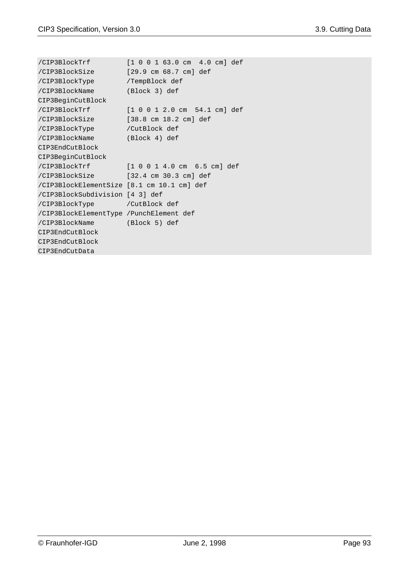```
/CIP3BlockTrf [1 0 0 1 63.0 cm 4.0 cm] def
/CIP3BlockSize [29.9 cm 68.7 cm] def
/CIP3BlockType /TempBlock def
/CIP3BlockName (Block 3) def
CIP3BeginCutBlock
/CIP3BlockTrf [1 0 0 1 2.0 cm 54.1 cm] def
/CIP3BlockSize [38.8 cm 18.2 cm] def
/CIP3BlockType /CutBlock def
/CIP3BlockName (Block 4) def
CIP3EndCutBlock
CIP3BeginCutBlock
/CIP3BlockTrf [1 0 0 1 4.0 cm 6.5 cm] def
/CIP3BlockSize [32.4 cm 30.3 cm] def
/CIP3BlockElementSize [8.1 cm 10.1 cm] def
/CIP3BlockSubdivision [4 3] def
/CIP3BlockType /CutBlock def
/CIP3BlockElementType /PunchElement def
/CIP3BlockName (Block 5) def
CIP3EndCutBlock
CIP3EndCutBlock
CIP3EndCutData
```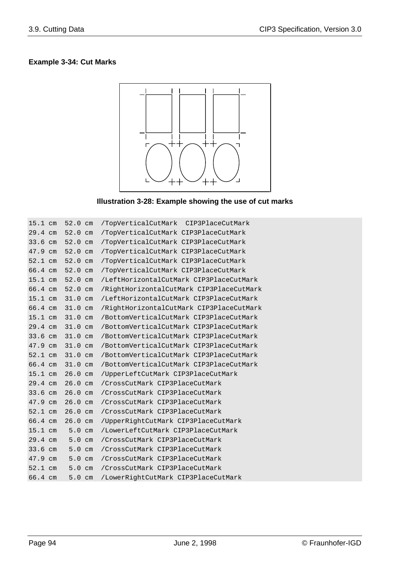## **Example 3-34: Cut Marks**



### **Illustration 3-28: Example showing the use of cut marks**

| $15.1$ cm | $52.0$ cm         | /TopVerticalCutMark CIP3PlaceCutMark     |
|-----------|-------------------|------------------------------------------|
| $29.4$ cm | $52.0 \text{ cm}$ | /TopVerticalCutMark CIP3PlaceCutMark     |
| 33.6 cm   | $52.0$ cm         | /TopVerticalCutMark CIP3PlaceCutMark     |
| 47.9 cm   | $52.0 \text{ cm}$ | /TopVerticalCutMark CIP3PlaceCutMark     |
| 52.1 cm   | $52.0$ cm         | /TopVerticalCutMark CIP3PlaceCutMark     |
| 66.4 cm   | $52.0 \text{ cm}$ | /TopVerticalCutMark CIP3PlaceCutMark     |
| $15.1$ cm | $52.0 \text{ cm}$ | /LeftHorizontalCutMark CIP3PlaceCutMark  |
| 66.4 cm   | 52.0 cm           | /RightHorizontalCutMark CIP3PlaceCutMark |
| $15.1$ cm | 31.0 cm           | /LeftHorizontalCutMark CIP3PlaceCutMark  |
| $66.4$ cm | 31.0 cm           | /RightHorizontalCutMark CIP3PlaceCutMark |
| $15.1$ cm | $31.0 \text{ cm}$ | /BottomVerticalCutMark CIP3PlaceCutMark  |
| $29.4$ cm | 31.0 cm           | /BottomVerticalCutMark CIP3PlaceCutMark  |
| 33.6 cm   | 31.0 cm           | /BottomVerticalCutMark CIP3PlaceCutMark  |
| 47.9 cm   | 31.0 cm           | /BottomVerticalCutMark CIP3PlaceCutMark  |
| 52.1 cm   | $31.0 \text{ cm}$ | /BottomVerticalCutMark CIP3PlaceCutMark  |
| 66.4 cm   | 31.0 cm           | /BottomVerticalCutMark CIP3PlaceCutMark  |
| $15.1$ cm | $26.0 \text{ cm}$ | /UpperLeftCutMark CIP3PlaceCutMark       |
| $29.4$ cm | $26.0 \text{ cm}$ | /CrossCutMark CIP3PlaceCutMark           |
| $33.6$ cm | $26.0$ cm         | /CrossCutMark CIP3PlaceCutMark           |
| 47.9 cm   | $26.0$ cm         | /CrossCutMark CIP3PlaceCutMark           |
| 52.1 cm   | $26.0 \text{ cm}$ | /CrossCutMark CIP3PlaceCutMark           |
| 66.4 cm   | $26.0 \text{ cm}$ | /UpperRightCutMark CIP3PlaceCutMark      |
| $15.1$ cm | 5.0cm             | /LowerLeftCutMark CIP3PlaceCutMark       |
| $29.4$ cm | 5.0cm             | /CrossCutMark CIP3PlaceCutMark           |
| $33.6$ cm | 5.0cm             | /CrossCutMark CIP3PlaceCutMark           |
| 47.9 cm   | 5.0cm             | /CrossCutMark CIP3PlaceCutMark           |
| 52.1 cm   | 5.0cm             | /CrossCutMark CIP3PlaceCutMark           |
| 66.4 cm   | 5.0cm             | /LowerRightCutMark CIP3PlaceCutMark      |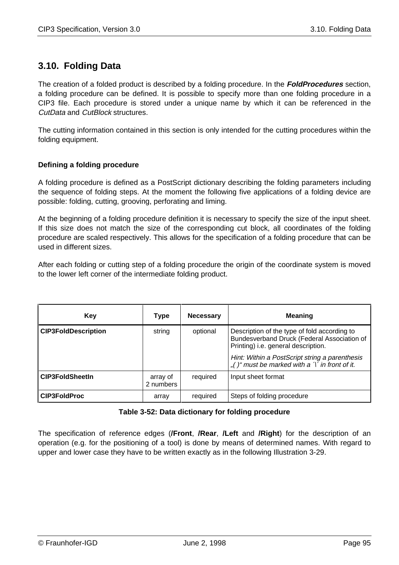## **3.10. Folding Data**

The creation of a folded product is described by a folding procedure. In the **FoldProcedures** section, a folding procedure can be defined. It is possible to specify more than one folding procedure in a CIP3 file. Each procedure is stored under a unique name by which it can be referenced in the CutData and CutBlock structures.

The cutting information contained in this section is only intended for the cutting procedures within the folding equipment.

### **Defining a folding procedure**

A folding procedure is defined as a PostScript dictionary describing the folding parameters including the sequence of folding steps. At the moment the following five applications of a folding device are possible: folding, cutting, grooving, perforating and liming.

At the beginning of a folding procedure definition it is necessary to specify the size of the input sheet. If this size does not match the size of the corresponding cut block, all coordinates of the folding procedure are scaled respectively. This allows for the specification of a folding procedure that can be used in different sizes.

After each folding or cutting step of a folding procedure the origin of the coordinate system is moved to the lower left corner of the intermediate folding product.

| Kev                        | Type                  | <b>Necessary</b> | <b>Meaning</b>                                                                                                                     |
|----------------------------|-----------------------|------------------|------------------------------------------------------------------------------------------------------------------------------------|
| <b>CIP3FoldDescription</b> | string                | optional         | Description of the type of fold according to<br>Bundesverband Druck (Federal Association of<br>Printing) i.e. general description. |
|                            |                       |                  | Hint: Within a PostScript string a parenthesis<br>"()" must be marked with a $\tilde{\gamma}$ in front of it.                      |
| <b>CIP3FoldSheetIn</b>     | array of<br>2 numbers | required         | Input sheet format                                                                                                                 |
| <b>CIP3FoldProc</b>        | array                 | required         | Steps of folding procedure                                                                                                         |

#### **Table 3-52: Data dictionary for folding procedure**

The specification of reference edges (**/Front**, **/Rear**, **/Left** and **/Right**) for the description of an operation (e.g. for the positioning of a tool) is done by means of determined names. With regard to upper and lower case they have to be written exactly as in the following Illustration 3-29.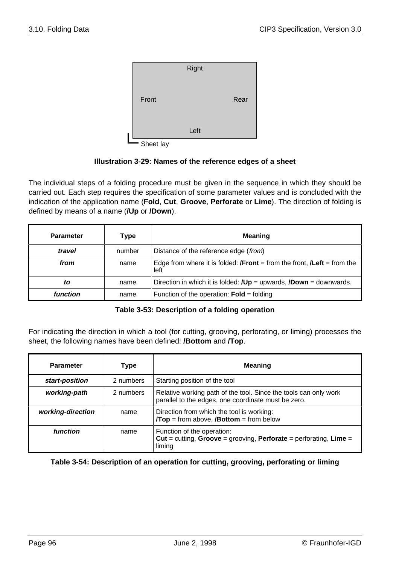

Sheet lay

#### **Illustration 3-29: Names of the reference edges of a sheet**

The individual steps of a folding procedure must be given in the sequence in which they should be carried out. Each step requires the specification of some parameter values and is concluded with the indication of the application name (**Fold**, **Cut**, **Groove**, **Perforate** or **Lime**). The direction of folding is defined by means of a name (**/Up** or **/Down**).

| <b>Parameter</b> | Type   | <b>Meaning</b>                                                                                |
|------------------|--------|-----------------------------------------------------------------------------------------------|
| travel           | number | Distance of the reference edge (from)                                                         |
| from             | name   | Edge from where it is folded: <b>/Front</b> = from the front, <b>/Left</b> = from the<br>left |
| to               | name   | Direction in which it is folded: $JUp =$ upwards, $JDown =$ downwards.                        |
| function         | name   | Function of the operation: $\text{Fold} = \text{folding}$                                     |

#### **Table 3-53: Description of a folding operation**

For indicating the direction in which a tool (for cutting, grooving, perforating, or liming) processes the sheet, the following names have been defined: **/Bottom** and **/Top**.

| <b>Parameter</b>  | Type      | <b>Meaning</b>                                                                                                          |
|-------------------|-----------|-------------------------------------------------------------------------------------------------------------------------|
| start-position    | 2 numbers | Starting position of the tool                                                                                           |
| working-path      | 2 numbers | Relative working path of the tool. Since the tools can only work<br>parallel to the edges, one coordinate must be zero. |
| working-direction | name      | Direction from which the tool is working:<br>$/Top = from above, /Bottom = from below$                                  |
| function          | name      | Function of the operation:<br>Cut = cutting, Groove = grooving, Perforate = perforating, Lime =<br>liming               |

**Table 3-54: Description of an operation for cutting, grooving, perforating or liming**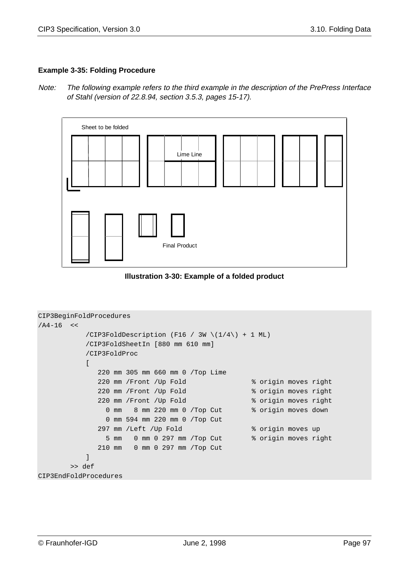#### **Example 3-35: Folding Procedure**

Note: The following example refers to the third example in the description of the PrePress Interface of Stahl (version of 22.8.94, section 3.5.3, pages 15-17).



**Illustration 3-30: Example of a folded product**

```
CIP3BeginFoldProcedures
/A4-16 </CIP3FoldDescription (F16 / 3W \setminus(1/4\setminus) + 1 ML)
          /CIP3FoldSheetIn [880 mm 610 mm]
          /CIP3FoldProc
           \Gamma 220 mm 305 mm 660 mm 0 /Top Lime
              220 mm /Front /Up Fold % origin moves right
              220 mm /Front /Up Fold % origin moves right
              220 mm /Front /Up Fold % origin moves right
               0 mm 8 mm 220 mm 0 /Top Cut % origin moves down
                0 mm 594 mm 220 mm 0 /Top Cut
             297 mm /Left /Up Fold % origin moves up
                5 mm 0 mm 0 297 mm /Top Cut % origin moves right
              210 mm 0 mm 0 297 mm /Top Cut
           ]
        >> def
CIP3EndFoldProcedures
```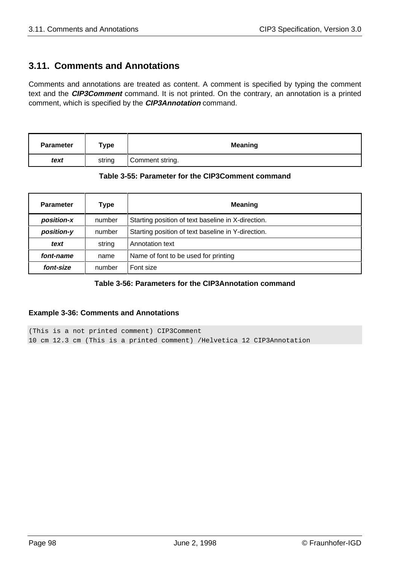## **3.11. Comments and Annotations**

Comments and annotations are treated as content. A comment is specified by typing the comment text and the **CIP3Comment** command. It is not printed. On the contrary, an annotation is a printed comment, which is specified by the **CIP3Annotation** command.

| <b>Parameter</b> | туре   | <b>Meaning</b>  |  |
|------------------|--------|-----------------|--|
| text             | string | Comment string. |  |

#### **Table 3-55: Parameter for the CIP3Comment command**

| <b>Parameter</b> | Type   | <b>Meaning</b>                                     |
|------------------|--------|----------------------------------------------------|
| position-x       | number | Starting position of text baseline in X-direction. |
| position-y       | number | Starting position of text baseline in Y-direction. |
| text             | string | Annotation text                                    |
| font-name        | name   | Name of font to be used for printing               |
| font-size        | number | Font size                                          |

## **Table 3-56: Parameters for the CIP3Annotation command**

#### **Example 3-36: Comments and Annotations**

(This is a not printed comment) CIP3Comment 10 cm 12.3 cm (This is a printed comment) /Helvetica 12 CIP3Annotation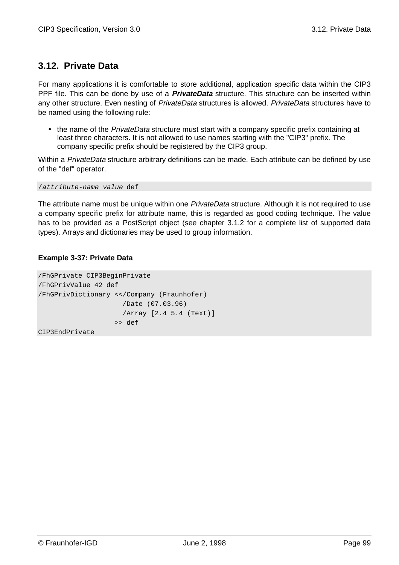## **3.12. Private Data**

For many applications it is comfortable to store additional, application specific data within the CIP3 PPF file. This can be done by use of a **PrivateData** structure. This structure can be inserted within any other structure. Even nesting of PrivateData structures is allowed. PrivateData structures have to be named using the following rule:

• the name of the *PrivateData* structure must start with a company specific prefix containing at least three characters. It is not allowed to use names starting with the "CIP3" prefix. The company specific prefix should be registered by the CIP3 group.

Within a PrivateData structure arbitrary definitions can be made. Each attribute can be defined by use of the "def" operator.

/attribute-name value def

The attribute name must be unique within one *PrivateData* structure. Although it is not required to use a company specific prefix for attribute name, this is regarded as good coding technique. The value has to be provided as a PostScript object (see chapter 3.1.2 for a complete list of supported data types). Arrays and dictionaries may be used to group information.

### **Example 3-37: Private Data**

```
/FhGPrivate CIP3BeginPrivate
/FhGPrivValue 42 def
/FhGPrivDictionary <</Company (Fraunhofer)
                      /Date (07.03.96)
                      /Array [2.4 5.4 (Text)]
                    >> def
CIP3EndPrivate
```
© Fraunhofer-IGD June 2, 1998 Page 99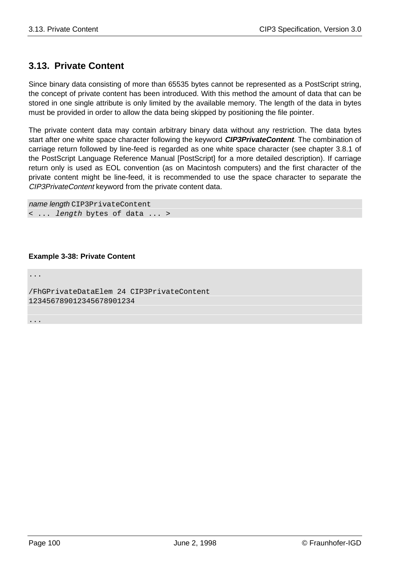## **3.13. Private Content**

Since binary data consisting of more than 65535 bytes cannot be represented as a PostScript string, the concept of private content has been introduced. With this method the amount of data that can be stored in one single attribute is only limited by the available memory. The length of the data in bytes must be provided in order to allow the data being skipped by positioning the file pointer.

The private content data may contain arbitrary binary data without any restriction. The data bytes start after one white space character following the keyword **CIP3PrivateContent**. The combination of carriage return followed by line-feed is regarded as one white space character (see chapter 3.8.1 of the PostScript Language Reference Manual [PostScript] for a more detailed description). If carriage return only is used as EOL convention (as on Macintosh computers) and the first character of the private content might be line-feed, it is recommended to use the space character to separate the CIP3PrivateContent keyword from the private content data.

```
name length CIP3PrivateContent
< ... length bytes of data ... >
```
#### **Example 3-38: Private Content**

... /FhGPrivateDataElem 24 CIP3PrivateContent 123456789012345678901234

...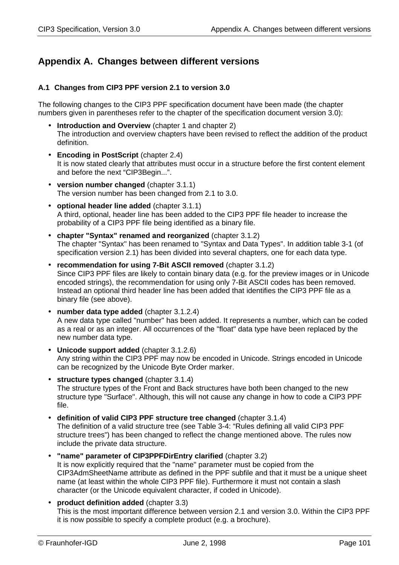# **Appendix A. Changes between different versions**

### **A.1 Changes from CIP3 PPF version 2.1 to version 3.0**

The following changes to the CIP3 PPF specification document have been made (the chapter numbers given in parentheses refer to the chapter of the specification document version 3.0):

- **Introduction and Overview** (chapter 1 and chapter 2) The introduction and overview chapters have been revised to reflect the addition of the product definition.
- **Encoding in PostScript** (chapter 2.4) It is now stated clearly that attributes must occur in a structure before the first content element and before the next "CIP3Begin...".
- **version number changed** (chapter 3.1.1) The version number has been changed from 2.1 to 3.0.
- **optional header line added** (chapter 3.1.1) A third, optional, header line has been added to the CIP3 PPF file header to increase the probability of a CIP3 PPF file being identified as a binary file.
- **chapter "Syntax" renamed and reorganized** (chapter 3.1.2) The chapter "Syntax" has been renamed to "Syntax and Data Types". In addition table 3-1 (of specification version 2.1) has been divided into several chapters, one for each data type.
- **recommendation for using 7-Bit ASCII removed** (chapter 3.1.2) Since CIP3 PPF files are likely to contain binary data (e.g. for the preview images or in Unicode encoded strings), the recommendation for using only 7-Bit ASCII codes has been removed. Instead an optional third header line has been added that identifies the CIP3 PPF file as a binary file (see above).
- **number data type added** (chapter 3.1.2.4) A new data type called "number" has been added. It represents a number, which can be coded as a real or as an integer. All occurrences of the "float" data type have been replaced by the new number data type.
- **Unicode support added** (chapter 3.1.2.6) Any string within the CIP3 PPF may now be encoded in Unicode. Strings encoded in Unicode can be recognized by the Unicode Byte Order marker.
- **structure types changed** (chapter 3.1.4) The structure types of the Front and Back structures have both been changed to the new structure type "Surface". Although, this will not cause any change in how to code a CIP3 PPF file.
- **definition of valid CIP3 PPF structure tree changed** (chapter 3.1.4) The definition of a valid structure tree (see Table 3-4: "Rules defining all valid CIP3 PPF structure trees") has been changed to reflect the change mentioned above. The rules now include the private data structure.
- **"name" parameter of CIP3PPFDirEntry clarified** (chapter 3.2) It is now explicitly required that the "name" parameter must be copied from the CIP3AdmSheetName attribute as defined in the PPF subfile and that it must be a unique sheet name (at least within the whole CIP3 PPF file). Furthermore it must not contain a slash character (or the Unicode equivalent character, if coded in Unicode).
- **product definition added** (chapter 3.3) This is the most important difference between version 2.1 and version 3.0. Within the CIP3 PPF it is now possible to specify a complete product (e.g. a brochure).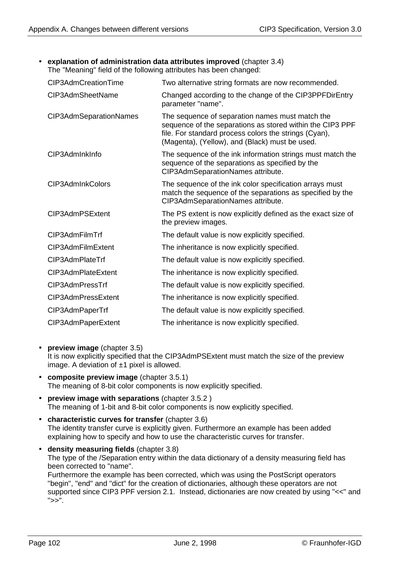• **explanation of administration data attributes improved** (chapter 3.4)

The "Meaning" field of the following attributes has been changed:

| CIP3AdmCreationTime    | Two alternative string formats are now recommended.                                                                                                                                                                     |
|------------------------|-------------------------------------------------------------------------------------------------------------------------------------------------------------------------------------------------------------------------|
| CIP3AdmSheetName       | Changed according to the change of the CIP3PPFDirEntry<br>parameter "name".                                                                                                                                             |
| CIP3AdmSeparationNames | The sequence of separation names must match the<br>sequence of the separations as stored within the CIP3 PPF<br>file. For standard process colors the strings (Cyan),<br>(Magenta), (Yellow), and (Black) must be used. |
| CIP3AdmInkInfo         | The sequence of the ink information strings must match the<br>sequence of the separations as specified by the<br>CIP3AdmSeparationNames attribute.                                                                      |
| CIP3AdmInkColors       | The sequence of the ink color specification arrays must<br>match the sequence of the separations as specified by the<br>CIP3AdmSeparationNames attribute.                                                               |
| CIP3AdmPSExtent        | The PS extent is now explicitly defined as the exact size of<br>the preview images.                                                                                                                                     |
| CIP3AdmFilmTrf         | The default value is now explicitly specified.                                                                                                                                                                          |
| CIP3AdmFilmExtent      | The inheritance is now explicitly specified.                                                                                                                                                                            |
| CIP3AdmPlateTrf        | The default value is now explicitly specified.                                                                                                                                                                          |
| CIP3AdmPlateExtent     | The inheritance is now explicitly specified.                                                                                                                                                                            |
| CIP3AdmPressTrf        | The default value is now explicitly specified.                                                                                                                                                                          |
| CIP3AdmPressExtent     | The inheritance is now explicitly specified.                                                                                                                                                                            |
| CIP3AdmPaperTrf        | The default value is now explicitly specified.                                                                                                                                                                          |
| CIP3AdmPaperExtent     | The inheritance is now explicitly specified.                                                                                                                                                                            |

• **preview image** (chapter 3.5)

It is now explicitly specified that the CIP3AdmPSExtent must match the size of the preview image. A deviation of  $±1$  pixel is allowed.

- **composite preview image** (chapter 3.5.1) The meaning of 8-bit color components is now explicitly specified.
- **preview image with separations** (chapter 3.5.2 ) The meaning of 1-bit and 8-bit color components is now explicitly specified.
- **characteristic curves for transfer** (chapter 3.6) The identity transfer curve is explicitly given. Furthermore an example has been added explaining how to specify and how to use the characteristic curves for transfer.
- **density measuring fields** (chapter 3.8) The type of the /Separation entry within the data dictionary of a density measuring field has been corrected to "name". Furthermore the example has been corrected, which was using the PostScript operators "begin", "end" and "dict" for the creation of dictionaries, although these operators are not supported since CIP3 PPF version 2.1. Instead, dictionaries are now created by using "<<" and  $">>"$ .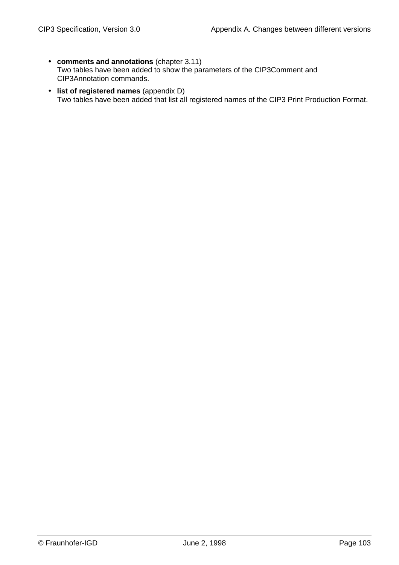- **comments and annotations** (chapter 3.11) Two tables have been added to show the parameters of the CIP3Comment and CIP3Annotation commands.
- **list of registered names** (appendix D) Two tables have been added that list all registered names of the CIP3 Print Production Format.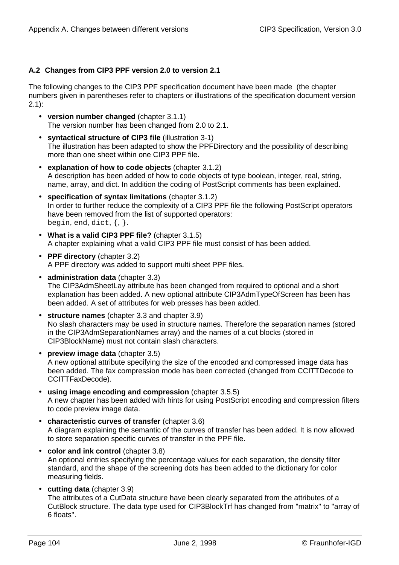## **A.2 Changes from CIP3 PPF version 2.0 to version 2.1**

The following changes to the CIP3 PPF specification document have been made (the chapter numbers given in parentheses refer to chapters or illustrations of the specification document version 2.1):

- **version number changed** (chapter 3.1.1) The version number has been changed from 2.0 to 2.1.
- **syntactical structure of CIP3 file** (illustration 3-1) The illustration has been adapted to show the PPFDirectory and the possibility of describing more than one sheet within one CIP3 PPF file.
- **explanation of how to code objects** (chapter 3.1.2) A description has been added of how to code objects of type boolean, integer, real, string, name, array, and dict. In addition the coding of PostScript comments has been explained.
- **specification of syntax limitations** (chapter 3.1.2) In order to further reduce the complexity of a CIP3 PPF file the following PostScript operators have been removed from the list of supported operators: begin, end, dict,  $\{ , \}$ .
- **What is a valid CIP3 PPF file?** (chapter 3.1.5) A chapter explaining what a valid CIP3 PPF file must consist of has been added.
- **PPF directory** (chapter 3.2) A PPF directory was added to support multi sheet PPF files.
- **administration data** (chapter 3.3) The CIP3AdmSheetLay attribute has been changed from required to optional and a short explanation has been added. A new optional attribute CIP3AdmTypeOfScreen has been has been added. A set of attributes for web presses has been added.
- **structure names** (chapter 3.3 and chapter 3.9) No slash characters may be used in structure names. Therefore the separation names (stored in the CIP3AdmSeparationNames array) and the names of a cut blocks (stored in CIP3BlockName) must not contain slash characters.
- **preview image data** (chapter 3.5) A new optional attribute specifying the size of the encoded and compressed image data has been added. The fax compression mode has been corrected (changed from CCITTDecode to CCITTFaxDecode).
- **using image encoding and compression** (chapter 3.5.5) A new chapter has been added with hints for using PostScript encoding and compression filters to code preview image data.
- **characteristic curves of transfer** (chapter 3.6) A diagram explaining the semantic of the curves of transfer has been added. It is now allowed to store separation specific curves of transfer in the PPF file.
- **color and ink control** (chapter 3.8) An optional entries specifying the percentage values for each separation, the density filter standard, and the shape of the screening dots has been added to the dictionary for color measuring fields.
- **cutting data** (chapter 3.9) The attributes of a CutData structure have been clearly separated from the attributes of a CutBlock structure. The data type used for CIP3BlockTrf has changed from "matrix" to "array of 6 floats".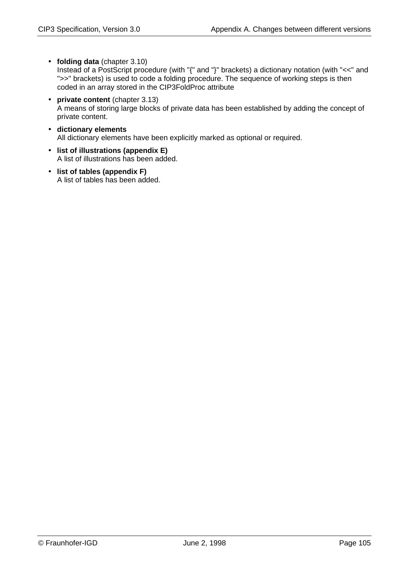- **folding data** (chapter 3.10) Instead of a PostScript procedure (with "{" and "}" brackets) a dictionary notation (with "<<" and ">>" brackets) is used to code a folding procedure. The sequence of working steps is then coded in an array stored in the CIP3FoldProc attribute
- **private content** (chapter 3.13) A means of storing large blocks of private data has been established by adding the concept of private content.
- **dictionary elements** All dictionary elements have been explicitly marked as optional or required.
- **list of illustrations (appendix E)** A list of illustrations has been added.
- **list of tables (appendix F)** A list of tables has been added.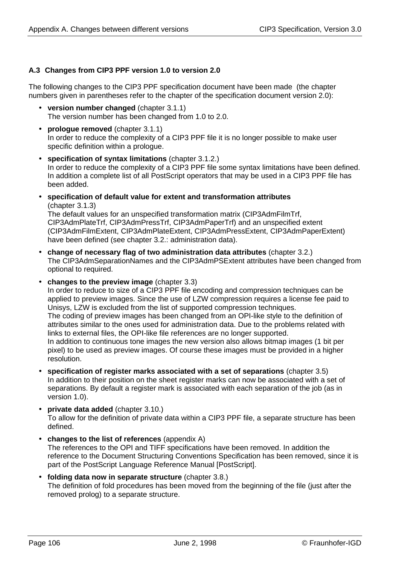## **A.3 Changes from CIP3 PPF version 1.0 to version 2.0**

The following changes to the CIP3 PPF specification document have been made (the chapter numbers given in parentheses refer to the chapter of the specification document version 2.0):

- **version number changed** (chapter 3.1.1) The version number has been changed from 1.0 to 2.0.
- **prologue removed** (chapter 3.1.1) In order to reduce the complexity of a CIP3 PPF file it is no longer possible to make user specific definition within a prologue.
- **specification of syntax limitations** (chapter 3.1.2.) In order to reduce the complexity of a CIP3 PPF file some syntax limitations have been defined. In addition a complete list of all PostScript operators that may be used in a CIP3 PPF file has been added.
- **specification of default value for extent and transformation attributes** (chapter 3.1.3)

The default values for an unspecified transformation matrix (CIP3AdmFilmTrf, CIP3AdmPlateTrf, CIP3AdmPressTrf, CIP3AdmPaperTrf) and an unspecified extent (CIP3AdmFilmExtent, CIP3AdmPlateExtent, CIP3AdmPressExtent, CIP3AdmPaperExtent) have been defined (see chapter 3.2.: administration data).

- **change of necessary flag of two administration data attributes** (chapter 3.2.) The CIP3AdmSeparationNames and the CIP3AdmPSExtent attributes have been changed from optional to required.
- **changes to the preview image** (chapter 3.3)

In order to reduce to size of a CIP3 PPF file encoding and compression techniques can be applied to preview images. Since the use of LZW compression requires a license fee paid to Unisys, LZW is excluded from the list of supported compression techniques. The coding of preview images has been changed from an OPI-like style to the definition of attributes similar to the ones used for administration data. Due to the problems related with links to external files, the OPI-like file references are no longer supported. In addition to continuous tone images the new version also allows bitmap images (1 bit per pixel) to be used as preview images. Of course these images must be provided in a higher

resolution.

- **specification of register marks associated with a set of separations** (chapter 3.5) In addition to their position on the sheet register marks can now be associated with a set of separations. By default a register mark is associated with each separation of the job (as in version 1.0).
- **private data added** (chapter 3.10.) To allow for the definition of private data within a CIP3 PPF file, a separate structure has been defined.
- **changes to the list of references** (appendix A) The references to the OPI and TIFF specifications have been removed. In addition the reference to the Document Structuring Conventions Specification has been removed, since it is part of the PostScript Language Reference Manual [PostScript].
- **folding data now in separate structure** (chapter 3.8.) The definition of fold procedures has been moved from the beginning of the file (just after the removed prolog) to a separate structure.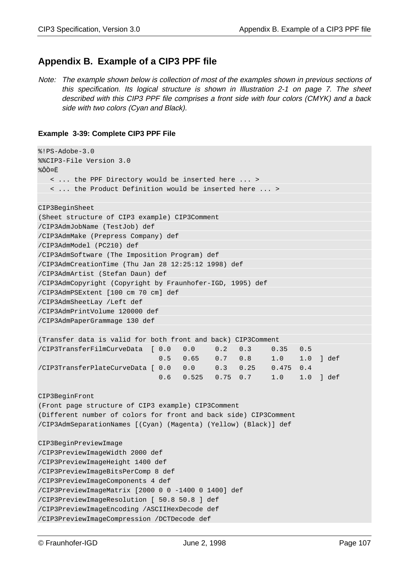## **Appendix B. Example of a CIP3 PPF file**

Note: The example shown below is collection of most of the examples shown in previous sections of this specification. Its logical structure is shown in Illustration 2-1 on page 7. The sheet described with this CIP3 PPF file comprises a front side with four colors (CMYK) and a back side with two colors (Cyan and Black).

#### **Example 3-39: Complete CIP3 PPF File**

```
%!PS-Adobe-3.0
%%CIP3-File Version 3.0
%ÔÒ¤Ë
    < ... the PPF Directory would be inserted here ... >
    < ... the Product Definition would be inserted here ... >
CIP3BeginSheet
(Sheet structure of CIP3 example) CIP3Comment
/CIP3AdmJobName (TestJob) def
/CIP3AdmMake (Prepress Company) def
/CIP3AdmModel (PC210) def
/CIP3AdmSoftware (The Imposition Program) def
/CIP3AdmCreationTime (Thu Jan 28 12:25:12 1998) def
/CIP3AdmArtist (Stefan Daun) def
/CIP3AdmCopyright (Copyright by Fraunhofer-IGD, 1995) def
/CIP3AdmPSExtent [100 cm 70 cm] def
/CIP3AdmSheetLay /Left def
/CIP3AdmPrintVolume 120000 def
/CIP3AdmPaperGrammage 130 def
(Transfer data is valid for both front and back) CIP3Comment
/CIP3TransferFilmCurveData [ 0.0 0.0 0.2 0.3 0.35 0.5
                              0.5 0.65 0.7 0.8 1.0 1.0 ] def
/CIP3TransferPlateCurveData [ 0.0 0.0 0.3 0.25 0.475 0.4
                              0.6 0.525 0.75 0.7 1.0 1.0 ] def
CIP3BeginFront
(Front page structure of CIP3 example) CIP3Comment
(Different number of colors for front and back side) CIP3Comment
/CIP3AdmSeparationNames [(Cyan) (Magenta) (Yellow) (Black)] def
CIP3BeginPreviewImage
/CIP3PreviewImageWidth 2000 def
/CIP3PreviewImageHeight 1400 def
/CIP3PreviewImageBitsPerComp 8 def
/CIP3PreviewImageComponents 4 def
/CIP3PreviewImageMatrix [2000 0 0 -1400 0 1400] def
/CIP3PreviewImageResolution [ 50.8 50.8 ] def
/CIP3PreviewImageEncoding /ASCIIHexDecode def
/CIP3PreviewImageCompression /DCTDecode def
```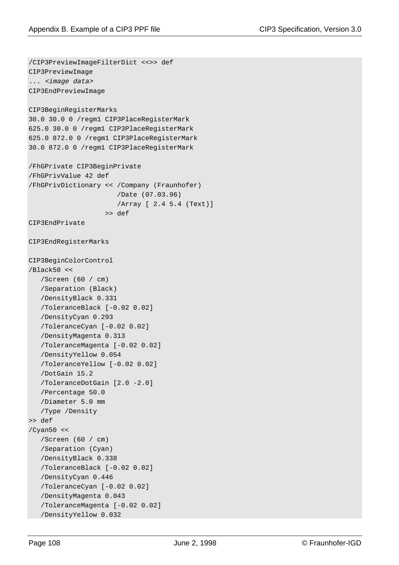```
/CIP3PreviewImageFilterDict <<>> def
CIP3PreviewImage
... <image data>
CIP3EndPreviewImage
CIP3BeginRegisterMarks
30.0 30.0 0 /regm1 CIP3PlaceRegisterMark
625.0 30.0 0 /regm1 CIP3PlaceRegisterMark
625.0 872.0 0 /regm1 CIP3PlaceRegisterMark
30.0 872.0 0 /regm1 CIP3PlaceRegisterMark
/FhGPrivate CIP3BeginPrivate
/FhGPrivValue 42 def
/FhGPrivDictionary << /Company (Fraunhofer)
                        /Date (07.03.96)
                        /Array [ 2.4 5.4 (Text)]
                     >> def
CIP3EndPrivate
CIP3EndRegisterMarks
CIP3BeginColorControl
/Black50 <<
    /Screen (60 / cm)
    /Separation (Black)
    /DensityBlack 0.331
    /ToleranceBlack [-0.02 0.02]
    /DensityCyan 0.293
    /ToleranceCyan [-0.02 0.02]
    /DensityMagenta 0.313
    /ToleranceMagenta [-0.02 0.02]
    /DensityYellow 0.054
    /ToleranceYellow [-0.02 0.02]
    /DotGain 15.2
    /ToleranceDotGain [2.0 -2.0]
    /Percentage 50.0
    /Diameter 5.0 mm
    /Type /Density
>> def
/Cyan50 <<
    /Screen (60 / cm)
    /Separation (Cyan)
    /DensityBlack 0.338
    /ToleranceBlack [-0.02 0.02]
    /DensityCyan 0.446
    /ToleranceCyan [-0.02 0.02]
    /DensityMagenta 0.043
    /ToleranceMagenta [-0.02 0.02]
    /DensityYellow 0.032
```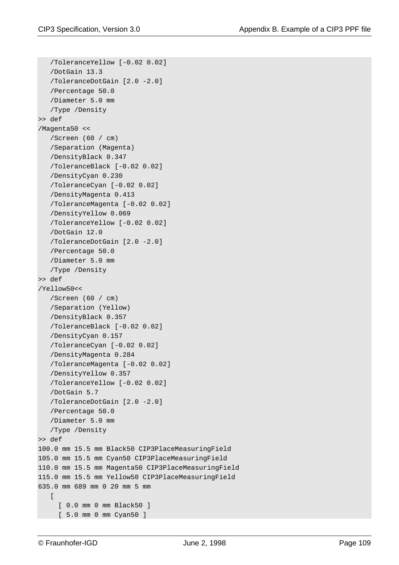```
 /ToleranceYellow [-0.02 0.02]
    /DotGain 13.3
    /ToleranceDotGain [2.0 -2.0]
    /Percentage 50.0
    /Diameter 5.0 mm
    /Type /Density
>> def
/Magenta50 <<
    /Screen (60 / cm)
    /Separation (Magenta)
    /DensityBlack 0.347
    /ToleranceBlack [-0.02 0.02]
    /DensityCyan 0.230
    /ToleranceCyan [-0.02 0.02]
    /DensityMagenta 0.413
    /ToleranceMagenta [-0.02 0.02]
    /DensityYellow 0.069
    /ToleranceYellow [-0.02 0.02]
    /DotGain 12.0
    /ToleranceDotGain [2.0 -2.0]
    /Percentage 50.0
    /Diameter 5.0 mm
    /Type /Density
>> def
/Yellow50<<
    /Screen (60 / cm)
    /Separation (Yellow)
    /DensityBlack 0.357
    /ToleranceBlack [-0.02 0.02]
    /DensityCyan 0.157
    /ToleranceCyan [-0.02 0.02]
    /DensityMagenta 0.284
    /ToleranceMagenta [-0.02 0.02]
    /DensityYellow 0.357
    /ToleranceYellow [-0.02 0.02]
    /DotGain 5.7
    /ToleranceDotGain [2.0 -2.0]
    /Percentage 50.0
    /Diameter 5.0 mm
    /Type /Density
>> def
100.0 mm 15.5 mm Black50 CIP3PlaceMeasuringField
105.0 mm 15.5 mm Cyan50 CIP3PlaceMeasuringField
110.0 mm 15.5 mm Magenta50 CIP3PlaceMeasuringField
115.0 mm 15.5 mm Yellow50 CIP3PlaceMeasuringField
635.0 mm 689 mm 0 20 mm 5 mm
   \lceil [ 0.0 mm 0 mm Black50 ]
      [ 5.0 mm 0 mm Cyan50 ]
```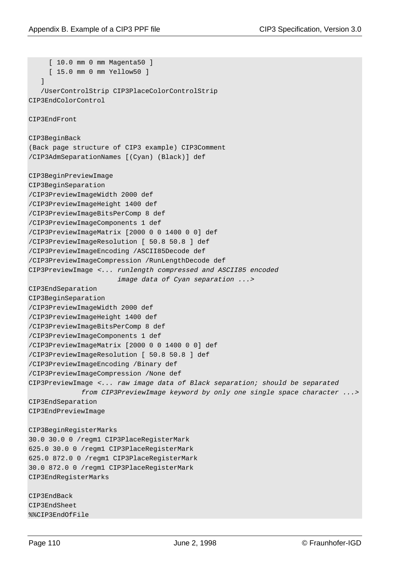```
[ 10.0 mm 0 mm Magenta50 ]
      [ 15.0 mm 0 mm Yellow50 ]
    ]
    /UserControlStrip CIP3PlaceColorControlStrip
CIP3EndColorControl
CIP3EndFront
CIP3BeginBack
(Back page structure of CIP3 example) CIP3Comment
/CIP3AdmSeparationNames [(Cyan) (Black)] def
CIP3BeginPreviewImage
CIP3BeginSeparation
/CIP3PreviewImageWidth 2000 def
/CIP3PreviewImageHeight 1400 def
/CIP3PreviewImageBitsPerComp 8 def
/CIP3PreviewImageComponents 1 def
/CIP3PreviewImageMatrix [2000 0 0 1400 0 0] def
/CIP3PreviewImageResolution [ 50.8 50.8 ] def
/CIP3PreviewImageEncoding /ASCII85Decode def
/CIP3PreviewImageCompression /RunLengthDecode def
CIP3PreviewImage <... runlength compressed and ASCII85 encoded
                       image data of Cyan separation ...>
CIP3EndSeparation
CIP3BeginSeparation
/CIP3PreviewImageWidth 2000 def
/CIP3PreviewImageHeight 1400 def
/CIP3PreviewImageBitsPerComp 8 def
/CIP3PreviewImageComponents 1 def
/CIP3PreviewImageMatrix [2000 0 0 1400 0 0] def
/CIP3PreviewImageResolution [ 50.8 50.8 ] def
/CIP3PreviewImageEncoding /Binary def
/CIP3PreviewImageCompression /None def
CIP3PreviewImage <... raw image data of Black separation; should be separated
              from CIP3PreviewImage keyword by only one single space character ...>
CIP3EndSeparation
CIP3EndPreviewImage
CIP3BeginRegisterMarks
30.0 30.0 0 /regm1 CIP3PlaceRegisterMark
625.0 30.0 0 /regm1 CIP3PlaceRegisterMark
625.0 872.0 0 /regm1 CIP3PlaceRegisterMark
30.0 872.0 0 /regm1 CIP3PlaceRegisterMark
CIP3EndRegisterMarks
CIP3EndBack
CIP3EndSheet
%%CIP3EndOfFile
```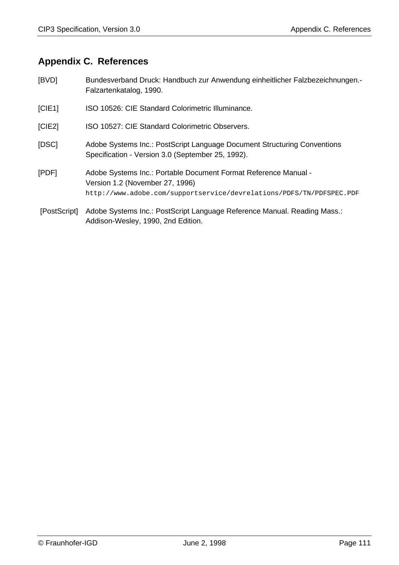#### **Appendix C. References**

- [BVD] Bundesverband Druck: Handbuch zur Anwendung einheitlicher Falzbezeichnungen.- Falzartenkatalog, 1990. [CIE1] ISO 10526: CIE Standard Colorimetric Illuminance. [CIE2] ISO 10527: CIE Standard Colorimetric Observers.
- [DSC] Adobe Systems Inc.: PostScript Language Document Structuring Conventions Specification - Version 3.0 (September 25, 1992).
- [PDF] Adobe Systems Inc.: Portable Document Format Reference Manual Version 1.2 (November 27, 1996) http://www.adobe.com/supportservice/devrelations/PDFS/TN/PDFSPEC.PDF
- [PostScript] Adobe Systems Inc.: PostScript Language Reference Manual. Reading Mass.: Addison-Wesley, 1990, 2nd Edition.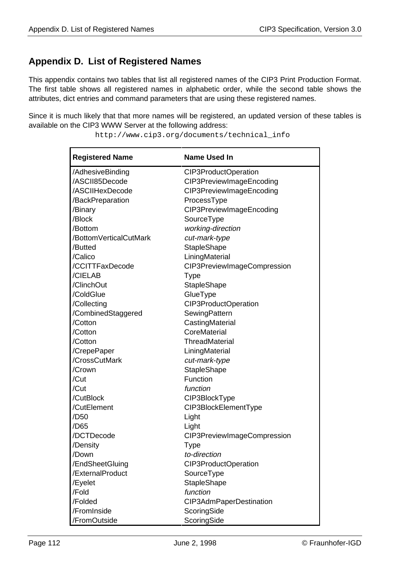#### **Appendix D. List of Registered Names**

This appendix contains two tables that list all registered names of the CIP3 Print Production Format. The first table shows all registered names in alphabetic order, while the second table shows the attributes, dict entries and command parameters that are using these registered names.

Since it is much likely that that more names will be registered, an updated version of these tables is available on the CIP3 WWW Server at the following address:

| <b>Registered Name</b> | <b>Name Used In</b>         |
|------------------------|-----------------------------|
| /AdhesiveBinding       | CIP3ProductOperation        |
| /ASCII85Decode         | CIP3PreviewImageEncoding    |
| /ASCIIHexDecode        | CIP3PreviewImageEncoding    |
| /BackPreparation       | ProcessType                 |
| /Binary                | CIP3PreviewImageEncoding    |
| /Block                 | SourceType                  |
| /Bottom                | working-direction           |
| /BottomVerticalCutMark | cut-mark-type               |
| /Butted                | <b>StapleShape</b>          |
| /Calico                | LiningMaterial              |
| /CCITTFaxDecode        | CIP3PreviewImageCompression |
| /CIELAB                | Type                        |
| /ClinchOut             | StapleShape                 |
| /ColdGlue              | GlueType                    |
| /Collecting            | CIP3ProductOperation        |
| /CombinedStaggered     | SewingPattern               |
| /Cotton                | CastingMaterial             |
| /Cotton                | CoreMaterial                |
| /Cotton                | <b>ThreadMaterial</b>       |
| /CrepePaper            | LiningMaterial              |
| /CrossCutMark          | cut-mark-type               |
| /Crown                 | <b>StapleShape</b>          |
| /Cut                   | Function                    |
| /Cut                   | function                    |
| /CutBlock              | CIP3BlockType               |
| /CutElement            | CIP3BlockElementType        |
| /D50                   | Light                       |
| /D65                   | Light                       |
| /DCTDecode             | CIP3PreviewImageCompression |
| /Density               | <b>Type</b>                 |
| /Down                  | to-direction                |
| /EndSheetGluing        | CIP3ProductOperation        |
| /ExternalProduct       | SourceType                  |
| /Eyelet                | StapleShape                 |
| /Fold                  | function                    |
| /Folded                | CIP3AdmPaperDestination     |
| /FromInside            | ScoringSide                 |
| /FromOutside           | ScoringSide                 |

http://www.cip3.org/documents/technical\_info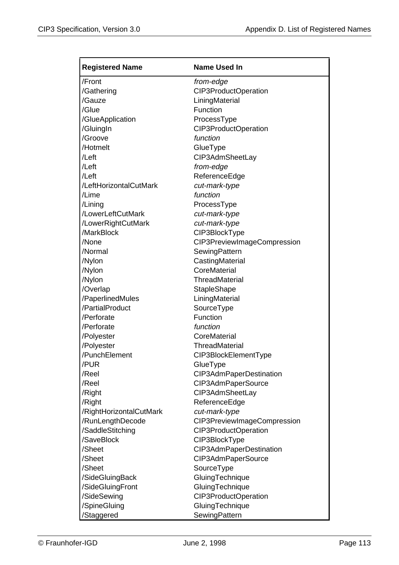| <b>Registered Name</b>  | <b>Name Used In</b>         |
|-------------------------|-----------------------------|
| /Front                  | from-edge                   |
| /Gathering              | CIP3ProductOperation        |
| /Gauze                  | LiningMaterial              |
| /Glue                   | Function                    |
| /GlueApplication        | ProcessType                 |
| /GluingIn               | CIP3ProductOperation        |
| /Groove                 | function                    |
| /Hotmelt                | GlueType                    |
| /Left                   | CIP3AdmSheetLay             |
| /Left                   | from-edge                   |
| /Left                   | ReferenceEdge               |
| /LeftHorizontalCutMark  | cut-mark-type               |
| /Lime                   | function                    |
| /Lining                 | ProcessType                 |
| /LowerLeftCutMark       | cut-mark-type               |
| /LowerRightCutMark      | cut-mark-type               |
| /MarkBlock              | CIP3BlockType               |
| /None                   | CIP3PreviewImageCompression |
| /Normal                 | SewingPattern               |
| /Nylon                  | CastingMaterial             |
| /Nylon                  | CoreMaterial                |
| /Nylon                  | <b>ThreadMaterial</b>       |
| /Overlap                | <b>StapleShape</b>          |
| /PaperlinedMules        | LiningMaterial              |
| /PartialProduct         | SourceType                  |
| /Perforate              | Function                    |
| /Perforate              | function                    |
| /Polyester              | CoreMaterial                |
| /Polyester              | <b>ThreadMaterial</b>       |
| /PunchElement           | CIP3BlockElementType        |
| /PUR                    | GlueType                    |
| /Reel                   | CIP3AdmPaperDestination     |
| /Reel                   | CIP3AdmPaperSource          |
| /Right                  | CIP3AdmSheetLay             |
| /Right                  | ReferenceEdge               |
| /RightHorizontalCutMark | cut-mark-type               |
| /RunLengthDecode        | CIP3PreviewImageCompression |
| /SaddleStitching        | CIP3ProductOperation        |
| /SaveBlock              | CIP3BlockType               |
| /Sheet                  | CIP3AdmPaperDestination     |
| /Sheet                  | CIP3AdmPaperSource          |
| /Sheet                  | SourceType                  |
| /SideGluingBack         | GluingTechnique             |
| /SideGluingFront        | GluingTechnique             |
| /SideSewing             | CIP3ProductOperation        |
| /SpineGluing            | GluingTechnique             |
| /Staggered              | SewingPattern               |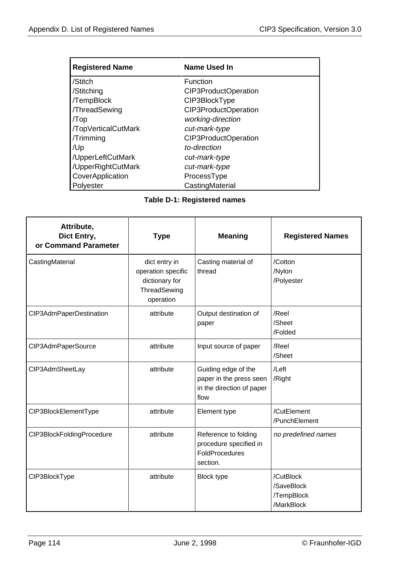| <b>Registered Name</b> | Name Used In         |
|------------------------|----------------------|
| /Stitch                | <b>Function</b>      |
| /Stitching             | CIP3ProductOperation |
| /TempBlock             | CIP3BlockType        |
| /ThreadSewing          | CIP3ProductOperation |
| /Top                   | working-direction    |
| /TopVerticalCutMark    | cut-mark-type        |
| /Trimming              | CIP3ProductOperation |
| /Up                    | to-direction         |
| /UpperLeftCutMark      | cut-mark-type        |
| /UpperRightCutMark     | cut-mark-type        |
| CoverApplication       | ProcessType          |
| Polyester              | CastingMaterial      |

#### **Table D-1: Registered names**

| Attribute,<br>Dict Entry,<br>or Command Parameter | <b>Type</b>                                                                        | <b>Meaning</b>                                                                      | <b>Registered Names</b>                             |
|---------------------------------------------------|------------------------------------------------------------------------------------|-------------------------------------------------------------------------------------|-----------------------------------------------------|
| CastingMaterial                                   | dict entry in<br>operation specific<br>dictionary for<br>ThreadSewing<br>operation | Casting material of<br>thread                                                       | /Cotton<br>/Nylon<br>/Polyester                     |
| CIP3AdmPaperDestination                           | attribute                                                                          | Output destination of<br>paper                                                      | /Reel<br>/Sheet<br>/Folded                          |
| CIP3AdmPaperSource                                | attribute                                                                          | Input source of paper                                                               | /Reel<br>/Sheet                                     |
| CIP3AdmSheetLay                                   | attribute                                                                          | Guiding edge of the<br>paper in the press seen<br>in the direction of paper<br>flow | /Left<br>/Right                                     |
| CIP3BlockElementType                              | attribute                                                                          | Element type                                                                        | /CutElement<br>/PunchElement                        |
| CIP3BlockFoldingProcedure                         | attribute                                                                          | Reference to folding<br>procedure specified in<br>FoldProcedures<br>section.        | no predefined names                                 |
| CIP3BlockType                                     | attribute                                                                          | <b>Block type</b>                                                                   | /CutBlock<br>/SaveBlock<br>/TempBlock<br>/MarkBlock |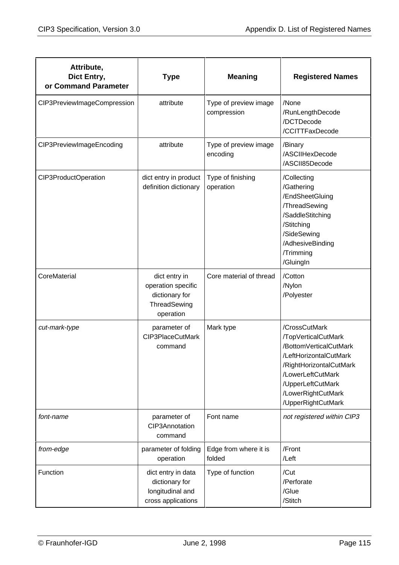| Attribute,<br>Dict Entry,<br>or Command Parameter | <b>Type</b>                                                                        | <b>Meaning</b>                       | <b>Registered Names</b>                                                                                                                                                                                   |
|---------------------------------------------------|------------------------------------------------------------------------------------|--------------------------------------|-----------------------------------------------------------------------------------------------------------------------------------------------------------------------------------------------------------|
| CIP3PreviewImageCompression                       | attribute                                                                          | Type of preview image<br>compression | /None<br>/RunLengthDecode<br>/DCTDecode<br>/CCITTFaxDecode                                                                                                                                                |
| CIP3PreviewImageEncoding                          | attribute                                                                          | Type of preview image<br>encoding    | /Binary<br>/ASCIIHexDecode<br>/ASCII85Decode                                                                                                                                                              |
| CIP3ProductOperation                              | dict entry in product<br>definition dictionary                                     | Type of finishing<br>operation       | /Collecting<br>/Gathering<br>/EndSheetGluing<br>/ThreadSewing<br>/SaddleStitching<br>/Stitching<br>/SideSewing<br>/AdhesiveBinding<br>/Trimming<br>/GluingIn                                              |
| CoreMaterial                                      | dict entry in<br>operation specific<br>dictionary for<br>ThreadSewing<br>operation | Core material of thread              | /Cotton<br>/Nylon<br>/Polyester                                                                                                                                                                           |
| cut-mark-type                                     | parameter of<br>CIP3PlaceCutMark<br>command                                        | Mark type                            | /CrossCutMark<br>/TopVerticalCutMark<br>/BottomVerticalCutMark<br>/LeftHorizontalCutMark<br>/RightHorizontalCutMark<br>/LowerLeftCutMark<br>/UpperLeftCutMark<br>/LowerRightCutMark<br>/UpperRightCutMark |
| font-name                                         | parameter of<br>CIP3Annotation<br>command                                          | Font name                            | not registered within CIP3                                                                                                                                                                                |
| from-edge                                         | parameter of folding<br>operation                                                  | Edge from where it is<br>folded      | /Front<br>/Left                                                                                                                                                                                           |
| Function                                          | dict entry in data<br>dictionary for<br>longitudinal and<br>cross applications     | Type of function                     | /Cut<br>/Perforate<br>/Glue<br>/Stitch                                                                                                                                                                    |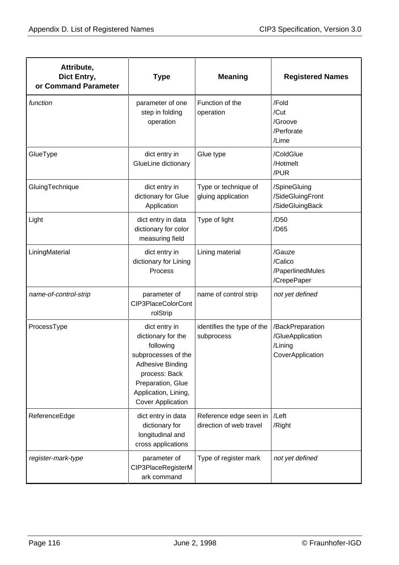| Attribute,<br>Dict Entry,<br>or Command Parameter | <b>Type</b>                                                                                                                                                                                  | <b>Meaning</b>                                    | <b>Registered Names</b>                                             |
|---------------------------------------------------|----------------------------------------------------------------------------------------------------------------------------------------------------------------------------------------------|---------------------------------------------------|---------------------------------------------------------------------|
| function                                          | parameter of one<br>step in folding<br>operation                                                                                                                                             | Function of the<br>operation                      | /Fold<br>/Cut<br>/Groove<br>/Perforate<br>/Lime                     |
| GlueType                                          | dict entry in<br>GlueLine dictionary                                                                                                                                                         | Glue type                                         | /ColdGlue<br>/Hotmelt<br>/PUR                                       |
| GluingTechnique                                   | dict entry in<br>dictionary for Glue<br>Application                                                                                                                                          | Type or technique of<br>gluing application        | /SpineGluing<br>/SideGluingFront<br>/SideGluingBack                 |
| Light                                             | dict entry in data<br>dictionary for color<br>measuring field                                                                                                                                | Type of light                                     | /D <sub>50</sub><br>/D65                                            |
| LiningMaterial                                    | dict entry in<br>dictionary for Lining<br>Process                                                                                                                                            | Lining material                                   | /Gauze<br>/Calico<br>/PaperlinedMules<br>/CrepePaper                |
| name-of-control-strip                             | parameter of<br>CIP3PlaceColorCont<br>rolStrip                                                                                                                                               | name of control strip                             | not yet defined                                                     |
| ProcessType                                       | dict entry in<br>dictionary for the<br>following<br>subprocesses of the<br><b>Adhesive Binding</b><br>process: Back<br>Preparation, Glue<br>Application, Lining,<br><b>Cover Application</b> | identifies the type of the<br>subprocess          | /BackPreparation<br>/GlueApplication<br>/Lining<br>CoverApplication |
| ReferenceEdge                                     | dict entry in data<br>dictionary for<br>longitudinal and<br>cross applications                                                                                                               | Reference edge seen in<br>direction of web travel | /Left<br>/Right                                                     |
| register-mark-type                                | parameter of<br>CIP3PlaceRegisterM<br>ark command                                                                                                                                            | Type of register mark                             | not yet defined                                                     |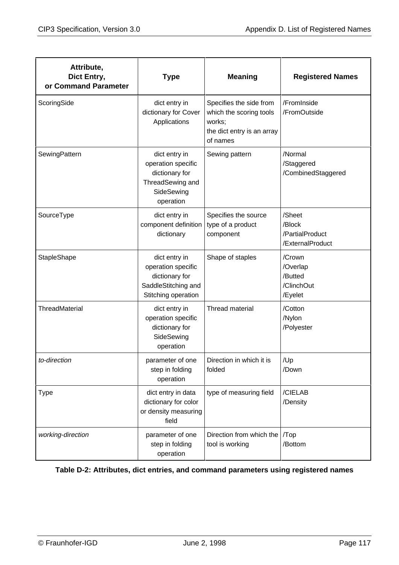| Attribute,<br>Dict Entry,<br>or Command Parameter | <b>Type</b>                                                                                          | <b>Meaning</b>                                                                                         | <b>Registered Names</b>                                 |
|---------------------------------------------------|------------------------------------------------------------------------------------------------------|--------------------------------------------------------------------------------------------------------|---------------------------------------------------------|
| ScoringSide                                       | dict entry in<br>dictionary for Cover<br>Applications                                                | Specifies the side from<br>which the scoring tools<br>works;<br>the dict entry is an array<br>of names | /FromInside<br>/FromOutside                             |
| SewingPattern                                     | dict entry in<br>operation specific<br>dictionary for<br>ThreadSewing and<br>SideSewing<br>operation | Sewing pattern                                                                                         | /Normal<br>/Staggered<br>/CombinedStaggered             |
| SourceType                                        | dict entry in<br>component definition<br>dictionary                                                  | Specifies the source<br>type of a product<br>component                                                 | /Sheet<br>/Block<br>/PartialProduct<br>/ExternalProduct |
| StapleShape                                       | dict entry in<br>operation specific<br>dictionary for<br>SaddleStitching and<br>Stitching operation  | Shape of staples                                                                                       | /Crown<br>/Overlap<br>/Butted<br>/ClinchOut<br>/Eyelet  |
| ThreadMaterial                                    | dict entry in<br>operation specific<br>dictionary for<br>SideSewing<br>operation                     | <b>Thread material</b>                                                                                 | /Cotton<br>/Nylon<br>/Polyester                         |
| to-direction                                      | parameter of one<br>step in folding<br>operation                                                     | Direction in which it is<br>folded                                                                     | /Up<br>/Down                                            |
| Type                                              | dict entry in data<br>dictionary for color<br>or density measuring<br>field                          | type of measuring field                                                                                | /CIELAB<br>/Density                                     |
| working-direction                                 | parameter of one<br>step in folding<br>operation                                                     | Direction from which the   /Top<br>tool is working                                                     | /Bottom                                                 |

#### **Table D-2: Attributes, dict entries, and command parameters using registered names**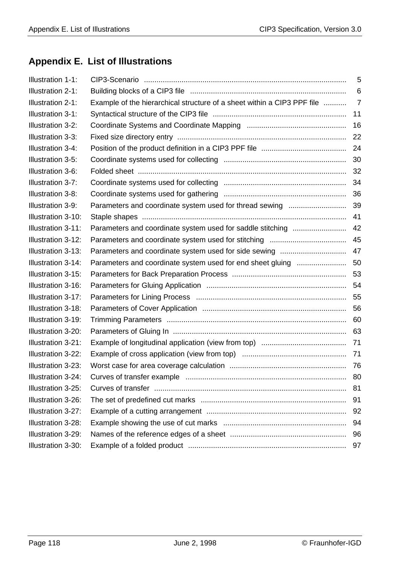# **Appendix E. List of Illustrations**

| <b>Illustration 1-1:</b> |                                                                         | 5   |
|--------------------------|-------------------------------------------------------------------------|-----|
| Illustration 2-1:        |                                                                         | 6   |
| <b>Illustration 2-1:</b> | Example of the hierarchical structure of a sheet within a CIP3 PPF file | 7   |
| Illustration 3-1:        |                                                                         | 11  |
| Illustration 3-2:        |                                                                         | 16  |
| Illustration 3-3:        |                                                                         | 22  |
| Illustration 3-4:        |                                                                         | 24  |
| Illustration 3-5:        |                                                                         | 30  |
| Illustration 3-6:        |                                                                         | 32  |
| Illustration 3-7:        |                                                                         | 34  |
| Illustration 3-8:        |                                                                         |     |
| Illustration 3-9:        | Parameters and coordinate system used for thread sewing                 | 39  |
| Illustration 3-10:       |                                                                         | 41  |
| Illustration 3-11:       | Parameters and coordinate system used for saddle stitching              | 42  |
| Illustration 3-12:       |                                                                         | 45  |
| Illustration 3-13:       |                                                                         | 47  |
| Illustration 3-14:       | Parameters and coordinate system used for end sheet gluing              | 50  |
| Illustration 3-15:       |                                                                         | 53  |
| Illustration 3-16:       |                                                                         | 54  |
| Illustration 3-17:       |                                                                         |     |
| Illustration 3-18:       |                                                                         |     |
| Illustration 3-19:       |                                                                         | 60  |
| Illustration 3-20:       |                                                                         |     |
| Illustration 3-21:       |                                                                         |     |
| Illustration 3-22:       |                                                                         |     |
| Illustration 3-23:       |                                                                         | -76 |
| Illustration 3-24:       |                                                                         | 80  |
| Illustration 3-25:       |                                                                         | 81  |
| Illustration 3-26:       |                                                                         | 91  |
| Illustration 3-27:       |                                                                         | 92  |
| Illustration 3-28:       |                                                                         | 94  |
| Illustration 3-29:       |                                                                         | 96  |
| Illustration 3-30:       |                                                                         | 97  |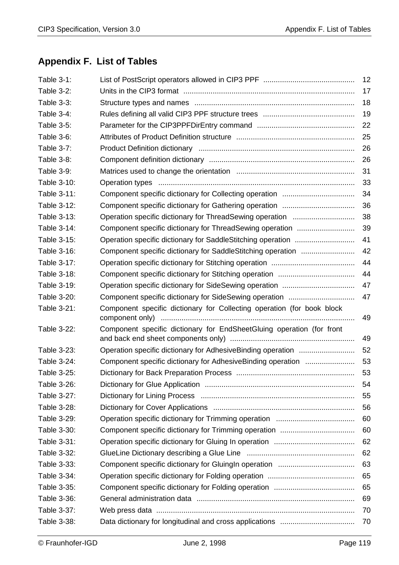# **Appendix F. List of Tables**

| Table 3-1:        |                                                                        | 12 |
|-------------------|------------------------------------------------------------------------|----|
| Table 3-2:        |                                                                        | 17 |
| Table 3-3:        |                                                                        | 18 |
| Table 3-4:        |                                                                        | 19 |
| Table 3-5:        |                                                                        | 22 |
| Table 3-6:        |                                                                        | 25 |
| <b>Table 3-7:</b> |                                                                        | 26 |
| Table 3-8:        |                                                                        | 26 |
| <b>Table 3-9:</b> |                                                                        | 31 |
| Table 3-10:       |                                                                        | 33 |
| Table 3-11:       |                                                                        | 34 |
| Table 3-12:       |                                                                        | 36 |
| Table 3-13:       |                                                                        | 38 |
| Table 3-14:       |                                                                        | 39 |
| Table 3-15:       |                                                                        | 41 |
| Table 3-16:       |                                                                        | 42 |
| Table 3-17:       |                                                                        | 44 |
| Table 3-18:       |                                                                        | 44 |
| Table 3-19:       |                                                                        | 47 |
| Table 3-20:       |                                                                        | 47 |
| Table 3-21:       | Component specific dictionary for Collecting operation (for book block | 49 |
| Table 3-22:       | Component specific dictionary for EndSheetGluing operation (for front  | 49 |
| Table 3-23:       |                                                                        | 52 |
| Table 3-24:       | Component specific dictionary for AdhesiveBinding operation            | 53 |
| Table 3-25:       |                                                                        | 53 |
| Table 3-26:       |                                                                        | 54 |
| Table 3-27:       |                                                                        | 55 |
| Table 3-28:       |                                                                        | 56 |
| Table 3-29:       |                                                                        | 60 |
| Table 3-30:       |                                                                        | 60 |
| Table 3-31:       |                                                                        | 62 |
| Table 3-32:       |                                                                        | 62 |
| Table 3-33:       |                                                                        | 63 |
| Table 3-34:       |                                                                        | 65 |
| Table 3-35:       |                                                                        | 65 |
| Table 3-36:       |                                                                        | 69 |
| Table 3-37:       |                                                                        | 70 |
| Table 3-38:       |                                                                        | 70 |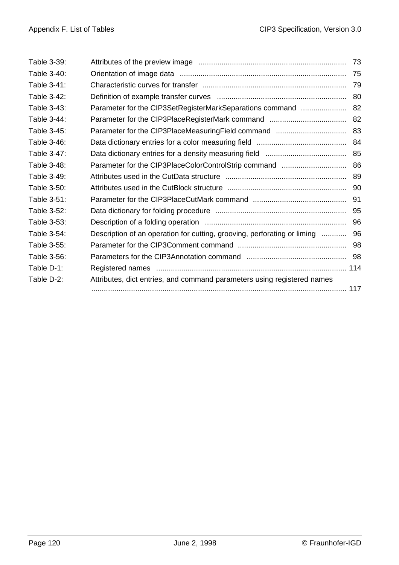| Table 3-39: |                                                                          | 73 |
|-------------|--------------------------------------------------------------------------|----|
| Table 3-40: |                                                                          |    |
| Table 3-41: |                                                                          | 79 |
| Table 3-42: |                                                                          | 80 |
| Table 3-43: | Parameter for the CIP3SetRegisterMarkSeparations command  82             |    |
| Table 3-44: |                                                                          |    |
| Table 3-45: |                                                                          |    |
| Table 3-46: |                                                                          |    |
| Table 3-47: |                                                                          |    |
| Table 3-48: |                                                                          |    |
| Table 3-49: |                                                                          |    |
| Table 3-50: |                                                                          |    |
| Table 3-51: |                                                                          | 91 |
| Table 3-52: |                                                                          |    |
| Table 3-53: |                                                                          |    |
| Table 3-54: | Description of an operation for cutting, grooving, perforating or liming | 96 |
| Table 3-55: |                                                                          |    |
| Table 3-56: |                                                                          |    |
| Table D-1:  |                                                                          |    |
| Table D-2:  | Attributes, dict entries, and command parameters using registered names  |    |
|             |                                                                          |    |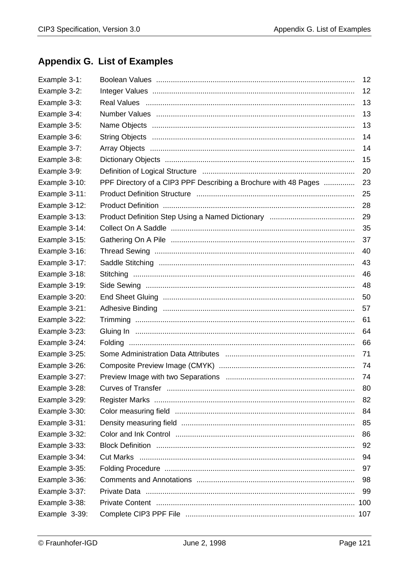# **Appendix G. List of Examples**

| Example 3-1:  |                                                                 | 12  |
|---------------|-----------------------------------------------------------------|-----|
| Example 3-2:  |                                                                 | 12  |
| Example 3-3:  |                                                                 | 13  |
| Example 3-4:  |                                                                 | 13  |
| Example 3-5:  |                                                                 | 13  |
| Example 3-6:  |                                                                 | 14  |
| Example 3-7:  |                                                                 | 14  |
| Example 3-8:  |                                                                 | 15  |
| Example 3-9:  |                                                                 | 20  |
| Example 3-10: | PPF Directory of a CIP3 PPF Describing a Brochure with 48 Pages | 23  |
| Example 3-11: |                                                                 | 25  |
| Example 3-12: |                                                                 | 28  |
| Example 3-13: |                                                                 | 29  |
| Example 3-14: |                                                                 | 35  |
| Example 3-15: |                                                                 | 37  |
| Example 3-16: |                                                                 | 40  |
| Example 3-17: |                                                                 | 43  |
| Example 3-18: |                                                                 | 46  |
| Example 3-19: |                                                                 | 48  |
| Example 3-20: |                                                                 | 50  |
| Example 3-21: |                                                                 | 57  |
| Example 3-22: |                                                                 | 61  |
| Example 3-23: |                                                                 | 64  |
| Example 3-24: |                                                                 | 66  |
| Example 3-25: |                                                                 | 71  |
| Example 3-26: |                                                                 | 74  |
| Example 3-27: |                                                                 | 74  |
| Example 3-28: |                                                                 | 80  |
| Example 3-29: |                                                                 | 82  |
| Example 3-30: |                                                                 | 84  |
| Example 3-31: |                                                                 | 85  |
| Example 3-32: |                                                                 | 86  |
| Example 3-33: |                                                                 | 92  |
| Example 3-34: |                                                                 | 94  |
| Example 3-35: |                                                                 | 97  |
| Example 3-36: |                                                                 | 98  |
| Example 3-37: |                                                                 | 99  |
| Example 3-38: |                                                                 | 100 |
| Example 3-39: |                                                                 | 107 |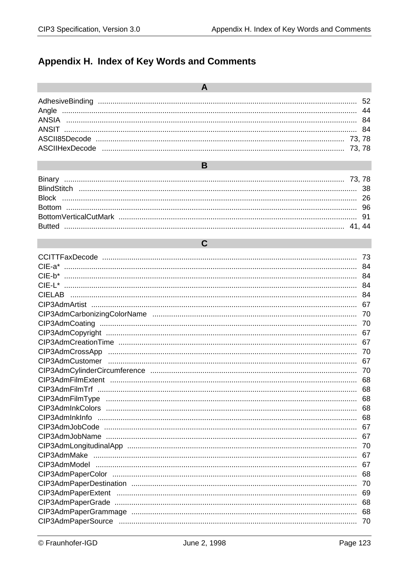### Appendix H. Index of Key Words and Comments

 $\overline{\mathbf{A}}$ 

 $\mathbf C$ 

 $\overline{B}$ 

|          | 73  |
|----------|-----|
| $CIE-a*$ | 84  |
|          |     |
| $CIF-I*$ | 84  |
|          | 84  |
|          | 67  |
|          | -70 |
|          | 70  |
|          | 67  |
|          | 67  |
|          |     |
|          | 67  |
|          | -70 |
|          | 68  |
|          |     |
|          | 68  |
|          | 68  |
|          | 68  |
|          | 67  |
|          | 67  |
|          | 70  |
|          | 67  |
|          | 67  |
|          | 68  |
|          | 70  |
|          | 69  |
|          | 68  |
|          | 68  |
|          | 70  |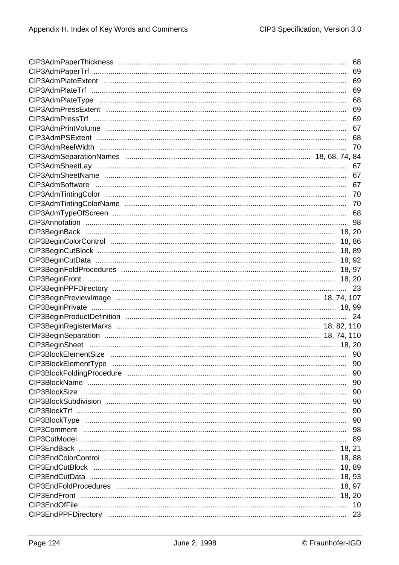| 68  |
|-----|
|     |
|     |
|     |
|     |
|     |
|     |
|     |
|     |
|     |
|     |
| 67  |
|     |
|     |
|     |
|     |
|     |
|     |
|     |
|     |
|     |
|     |
|     |
|     |
| -23 |
|     |
|     |
| 24  |
|     |
|     |
|     |
|     |
| 90  |
|     |
|     |
|     |
|     |
|     |
|     |
|     |
|     |
|     |
|     |
|     |
|     |
|     |
|     |
|     |
|     |
|     |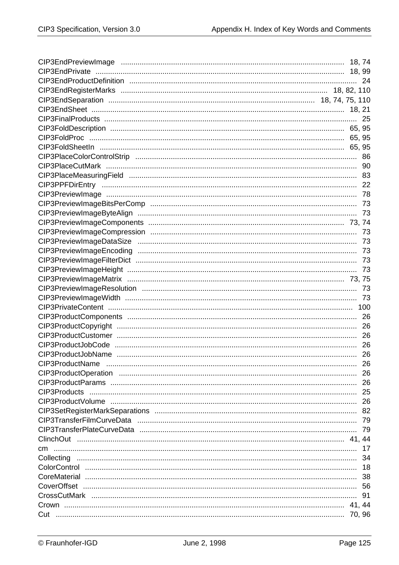|  | 26  |
|--|-----|
|  |     |
|  |     |
|  |     |
|  |     |
|  |     |
|  |     |
|  |     |
|  | -79 |
|  |     |
|  | 17  |
|  |     |
|  |     |
|  |     |
|  |     |
|  |     |
|  |     |
|  |     |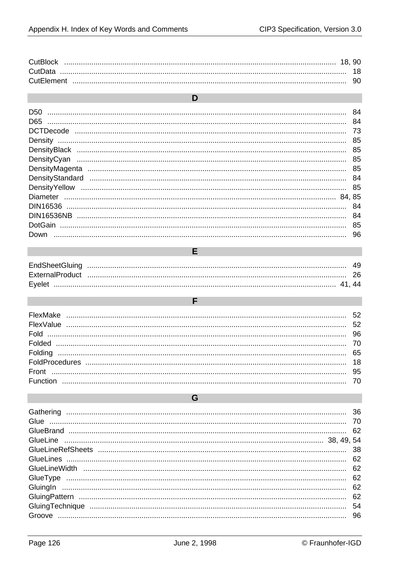| <b>CutBlock</b> |  |
|-----------------|--|
|                 |  |
|                 |  |

| n                                                                                                                                                                                                                                                                                                                                                                                                                                                        |     |
|----------------------------------------------------------------------------------------------------------------------------------------------------------------------------------------------------------------------------------------------------------------------------------------------------------------------------------------------------------------------------------------------------------------------------------------------------------|-----|
| D50                                                                                                                                                                                                                                                                                                                                                                                                                                                      |     |
| $\begin{minipage}{0.5\textwidth} \begin{tabular}{ l l l } \hline \multicolumn{1}{ l l l } \hline \multicolumn{1}{ l l } \hline \multicolumn{1}{ l l } \hline \multicolumn{1}{ l } \hline \multicolumn{1}{ l } \hline \multicolumn{1}{ l } \hline \multicolumn{1}{ l } \hline \multicolumn{1}{ l } \hline \multicolumn{1}{ l } \hline \multicolumn{1}{ l } \hline \multicolumn{1}{ l } \hline \multicolumn{1}{ l } \hline \multicolumn{1}{ l } \h$<br>D65 | 84  |
|                                                                                                                                                                                                                                                                                                                                                                                                                                                          | 73  |
|                                                                                                                                                                                                                                                                                                                                                                                                                                                          | 85  |
|                                                                                                                                                                                                                                                                                                                                                                                                                                                          | 85  |
|                                                                                                                                                                                                                                                                                                                                                                                                                                                          | 85  |
|                                                                                                                                                                                                                                                                                                                                                                                                                                                          |     |
|                                                                                                                                                                                                                                                                                                                                                                                                                                                          |     |
|                                                                                                                                                                                                                                                                                                                                                                                                                                                          | 85  |
|                                                                                                                                                                                                                                                                                                                                                                                                                                                          | 85  |
|                                                                                                                                                                                                                                                                                                                                                                                                                                                          | 84  |
|                                                                                                                                                                                                                                                                                                                                                                                                                                                          |     |
|                                                                                                                                                                                                                                                                                                                                                                                                                                                          | 85  |
|                                                                                                                                                                                                                                                                                                                                                                                                                                                          | -96 |

| Evelet |  |
|--------|--|

 $\mathsf F$ 

E

| Function |  |
|----------|--|

G

| Gathering |    |
|-----------|----|
|           | 70 |
|           |    |
|           |    |
|           | 38 |
|           | 62 |
|           | 62 |
| GlueType  | 62 |
|           | 62 |
|           | 62 |
|           | 54 |
| Groove    | 96 |
|           |    |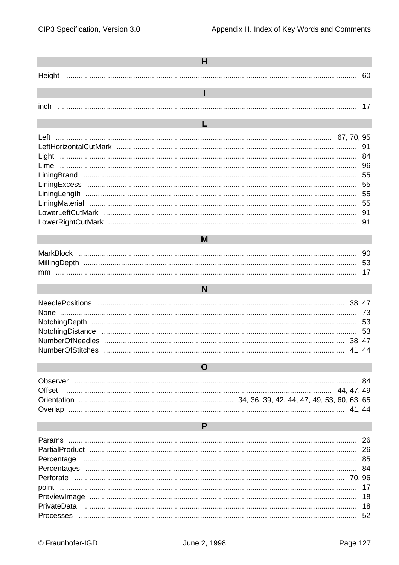| н                            |                                  |
|------------------------------|----------------------------------|
|                              | 60                               |
| T                            |                                  |
| inch                         | 17                               |
| L                            |                                  |
|                              | 91<br>84<br>96                   |
|                              | 55<br>55                         |
|                              | 91                               |
|                              |                                  |
| M                            |                                  |
|                              |                                  |
| N                            |                                  |
| 41, 44                       | 53                               |
| O                            |                                  |
| Observer<br>Offset<br>41, 44 | 84                               |
| P                            |                                  |
| point                        | 26<br>84<br>17<br>18<br>18<br>52 |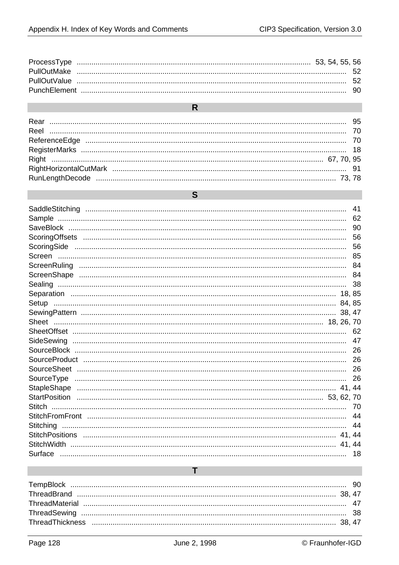| and the state of the state of the state of the state of the state of the state of the state of the state of th |  |
|----------------------------------------------------------------------------------------------------------------|--|
|                                                                                                                |  |
|                                                                                                                |  |
|                                                                                                                |  |
|                                                                                                                |  |
|                                                                                                                |  |
|                                                                                                                |  |
|                                                                                                                |  |

| <b>STATE</b> |  |
|--------------|--|
|              |  |

|         | 41    |
|---------|-------|
|         | 62    |
|         | 90    |
|         | 56    |
|         | 56    |
|         |       |
|         |       |
|         |       |
|         |       |
|         |       |
| Setup   |       |
|         | 38.47 |
|         |       |
|         |       |
|         | 47    |
|         |       |
|         |       |
|         |       |
|         |       |
|         |       |
|         |       |
|         |       |
|         |       |
|         | 44    |
|         |       |
| 41.     | 44    |
| Surface | 18.   |